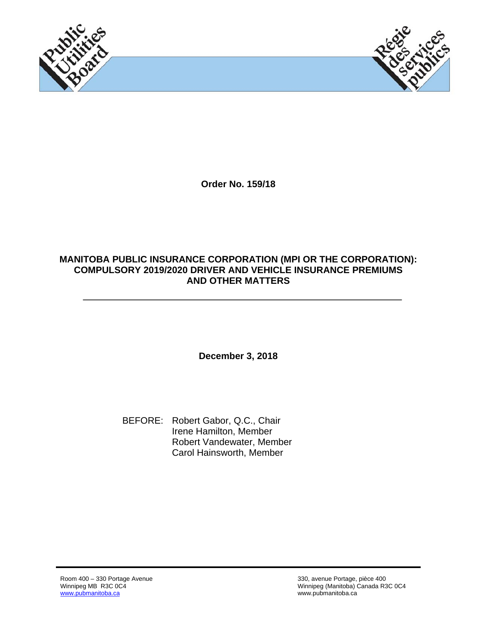



**Order No. 159/18** 

#### **MANITOBA PUBLIC INSURANCE CORPORATION (MPI OR THE CORPORATION): COMPULSORY 2019/2020 DRIVER AND VEHICLE INSURANCE PREMIUMS AND OTHER MATTERS**

**December 3, 2018** 

 BEFORE: Robert Gabor, Q.C., Chair Irene Hamilton, Member Robert Vandewater, Member Carol Hainsworth, Member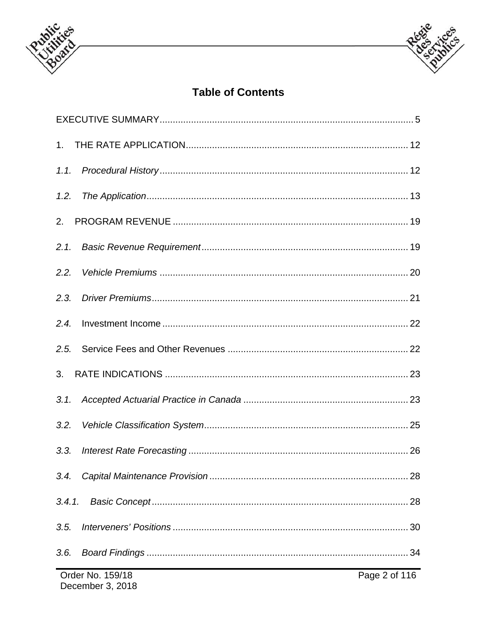



# **Table of Contents**

| 1.2.                              |  |    |  |  |
|-----------------------------------|--|----|--|--|
| 2.                                |  |    |  |  |
| 2.1.                              |  |    |  |  |
| 2.2.                              |  |    |  |  |
| 2.3.                              |  |    |  |  |
| 2.4.                              |  |    |  |  |
| 2.5.                              |  |    |  |  |
|                                   |  |    |  |  |
| 3.1.                              |  |    |  |  |
|                                   |  |    |  |  |
| 3.3.                              |  |    |  |  |
| 3.4.                              |  | 28 |  |  |
| 3.4.1.                            |  |    |  |  |
| 3.5.                              |  |    |  |  |
| 3.6.                              |  |    |  |  |
| Order No. 159/18<br>Page 2 of 116 |  |    |  |  |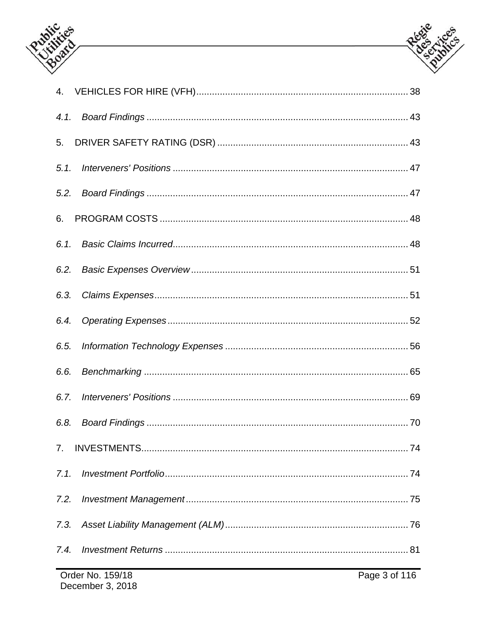



| 4.1.           |                  |               |
|----------------|------------------|---------------|
| 5.             |                  |               |
| 5.1.           |                  |               |
| 5.2.           |                  |               |
| 6.             |                  |               |
| 6.1.           |                  |               |
|                |                  |               |
| 6.3.           |                  |               |
| 6.4.           |                  |               |
| 6.5.           |                  |               |
| 6.6.           |                  |               |
| 6.7.           |                  |               |
|                |                  |               |
| 7 <sub>1</sub> |                  |               |
| 7.1.           |                  |               |
| 7.2.           |                  |               |
| 7.3.           |                  |               |
| 7.4.           |                  |               |
|                | Order No. 159/18 | Page 3 of 116 |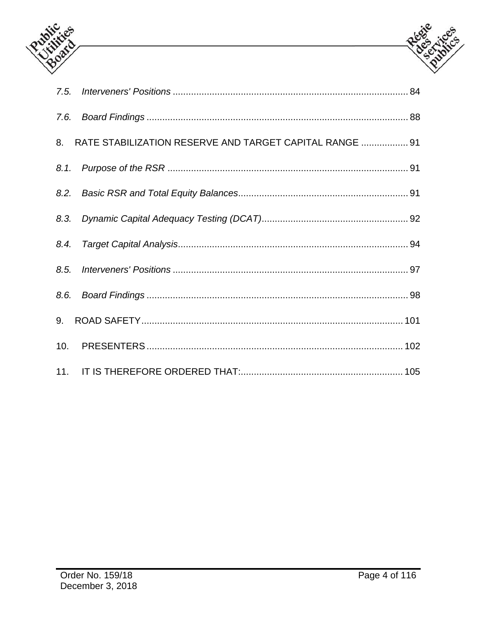



| 8. RATE STABILIZATION RESERVE AND TARGET CAPITAL RANGE  91 |
|------------------------------------------------------------|
|                                                            |
|                                                            |
|                                                            |
|                                                            |
|                                                            |
|                                                            |
|                                                            |
|                                                            |
|                                                            |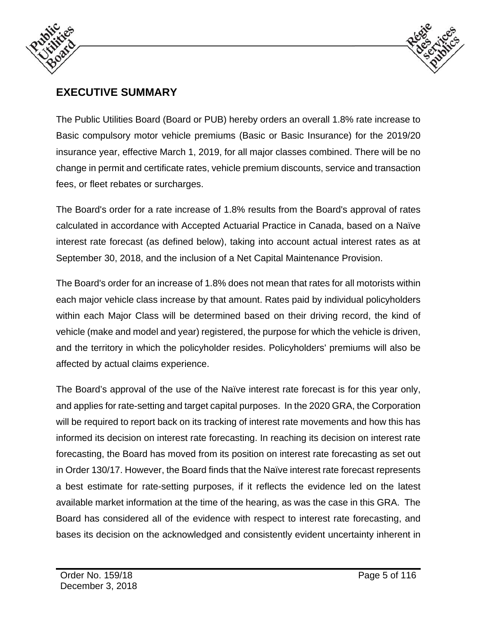



# **EXECUTIVE SUMMARY**

The Public Utilities Board (Board or PUB) hereby orders an overall 1.8% rate increase to Basic compulsory motor vehicle premiums (Basic or Basic Insurance) for the 2019/20 insurance year, effective March 1, 2019, for all major classes combined. There will be no change in permit and certificate rates, vehicle premium discounts, service and transaction fees, or fleet rebates or surcharges.

The Board's order for a rate increase of 1.8% results from the Board's approval of rates calculated in accordance with Accepted Actuarial Practice in Canada, based on a Naïve interest rate forecast (as defined below), taking into account actual interest rates as at September 30, 2018, and the inclusion of a Net Capital Maintenance Provision.

The Board's order for an increase of 1.8% does not mean that rates for all motorists within each major vehicle class increase by that amount. Rates paid by individual policyholders within each Major Class will be determined based on their driving record, the kind of vehicle (make and model and year) registered, the purpose for which the vehicle is driven, and the territory in which the policyholder resides. Policyholders' premiums will also be affected by actual claims experience.

The Board's approval of the use of the Naïve interest rate forecast is for this year only, and applies for rate-setting and target capital purposes. In the 2020 GRA, the Corporation will be required to report back on its tracking of interest rate movements and how this has informed its decision on interest rate forecasting. In reaching its decision on interest rate forecasting, the Board has moved from its position on interest rate forecasting as set out in Order 130/17. However, the Board finds that the Naïve interest rate forecast represents a best estimate for rate-setting purposes, if it reflects the evidence led on the latest available market information at the time of the hearing, as was the case in this GRA. The Board has considered all of the evidence with respect to interest rate forecasting, and bases its decision on the acknowledged and consistently evident uncertainty inherent in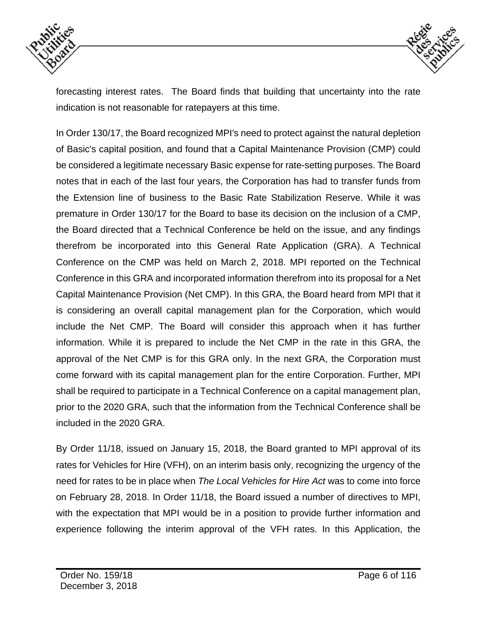



forecasting interest rates. The Board finds that building that uncertainty into the rate indication is not reasonable for ratepayers at this time.

In Order 130/17, the Board recognized MPI's need to protect against the natural depletion of Basic's capital position, and found that a Capital Maintenance Provision (CMP) could be considered a legitimate necessary Basic expense for rate-setting purposes. The Board notes that in each of the last four years, the Corporation has had to transfer funds from the Extension line of business to the Basic Rate Stabilization Reserve. While it was premature in Order 130/17 for the Board to base its decision on the inclusion of a CMP, the Board directed that a Technical Conference be held on the issue, and any findings therefrom be incorporated into this General Rate Application (GRA). A Technical Conference on the CMP was held on March 2, 2018. MPI reported on the Technical Conference in this GRA and incorporated information therefrom into its proposal for a Net Capital Maintenance Provision (Net CMP). In this GRA, the Board heard from MPI that it is considering an overall capital management plan for the Corporation, which would include the Net CMP. The Board will consider this approach when it has further information. While it is prepared to include the Net CMP in the rate in this GRA, the approval of the Net CMP is for this GRA only. In the next GRA, the Corporation must come forward with its capital management plan for the entire Corporation. Further, MPI shall be required to participate in a Technical Conference on a capital management plan, prior to the 2020 GRA, such that the information from the Technical Conference shall be included in the 2020 GRA.

By Order 11/18, issued on January 15, 2018, the Board granted to MPI approval of its rates for Vehicles for Hire (VFH), on an interim basis only, recognizing the urgency of the need for rates to be in place when *The Local Vehicles for Hire Act* was to come into force on February 28, 2018. In Order 11/18, the Board issued a number of directives to MPI, with the expectation that MPI would be in a position to provide further information and experience following the interim approval of the VFH rates. In this Application, the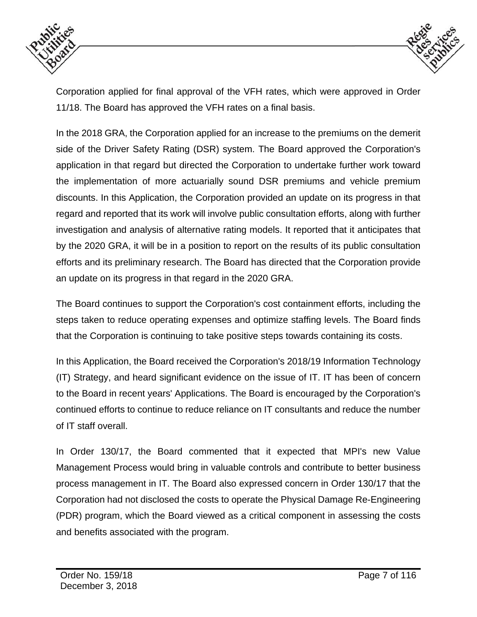



Corporation applied for final approval of the VFH rates, which were approved in Order 11/18. The Board has approved the VFH rates on a final basis.

In the 2018 GRA, the Corporation applied for an increase to the premiums on the demerit side of the Driver Safety Rating (DSR) system. The Board approved the Corporation's application in that regard but directed the Corporation to undertake further work toward the implementation of more actuarially sound DSR premiums and vehicle premium discounts. In this Application, the Corporation provided an update on its progress in that regard and reported that its work will involve public consultation efforts, along with further investigation and analysis of alternative rating models. It reported that it anticipates that by the 2020 GRA, it will be in a position to report on the results of its public consultation efforts and its preliminary research. The Board has directed that the Corporation provide an update on its progress in that regard in the 2020 GRA.

The Board continues to support the Corporation's cost containment efforts, including the steps taken to reduce operating expenses and optimize staffing levels. The Board finds that the Corporation is continuing to take positive steps towards containing its costs.

In this Application, the Board received the Corporation's 2018/19 Information Technology (IT) Strategy, and heard significant evidence on the issue of IT. IT has been of concern to the Board in recent years' Applications. The Board is encouraged by the Corporation's continued efforts to continue to reduce reliance on IT consultants and reduce the number of IT staff overall.

In Order 130/17, the Board commented that it expected that MPI's new Value Management Process would bring in valuable controls and contribute to better business process management in IT. The Board also expressed concern in Order 130/17 that the Corporation had not disclosed the costs to operate the Physical Damage Re-Engineering (PDR) program, which the Board viewed as a critical component in assessing the costs and benefits associated with the program.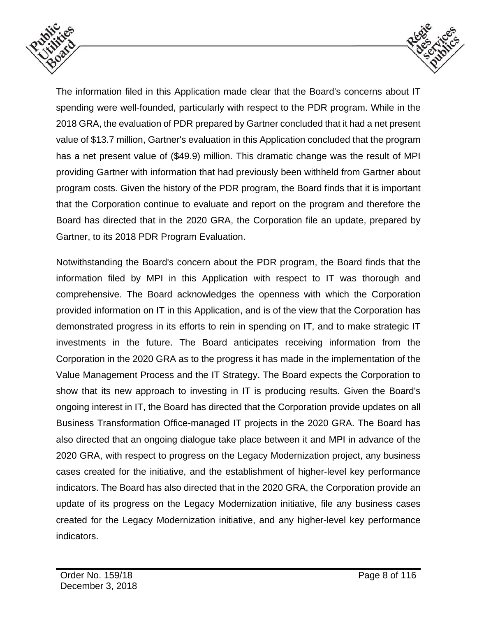



The information filed in this Application made clear that the Board's concerns about IT spending were well-founded, particularly with respect to the PDR program. While in the 2018 GRA, the evaluation of PDR prepared by Gartner concluded that it had a net present value of \$13.7 million, Gartner's evaluation in this Application concluded that the program has a net present value of (\$49.9) million. This dramatic change was the result of MPI providing Gartner with information that had previously been withheld from Gartner about program costs. Given the history of the PDR program, the Board finds that it is important that the Corporation continue to evaluate and report on the program and therefore the Board has directed that in the 2020 GRA, the Corporation file an update, prepared by Gartner, to its 2018 PDR Program Evaluation.

Notwithstanding the Board's concern about the PDR program, the Board finds that the information filed by MPI in this Application with respect to IT was thorough and comprehensive. The Board acknowledges the openness with which the Corporation provided information on IT in this Application, and is of the view that the Corporation has demonstrated progress in its efforts to rein in spending on IT, and to make strategic IT investments in the future. The Board anticipates receiving information from the Corporation in the 2020 GRA as to the progress it has made in the implementation of the Value Management Process and the IT Strategy. The Board expects the Corporation to show that its new approach to investing in IT is producing results. Given the Board's ongoing interest in IT, the Board has directed that the Corporation provide updates on all Business Transformation Office-managed IT projects in the 2020 GRA. The Board has also directed that an ongoing dialogue take place between it and MPI in advance of the 2020 GRA, with respect to progress on the Legacy Modernization project, any business cases created for the initiative, and the establishment of higher-level key performance indicators. The Board has also directed that in the 2020 GRA, the Corporation provide an update of its progress on the Legacy Modernization initiative, file any business cases created for the Legacy Modernization initiative, and any higher-level key performance indicators.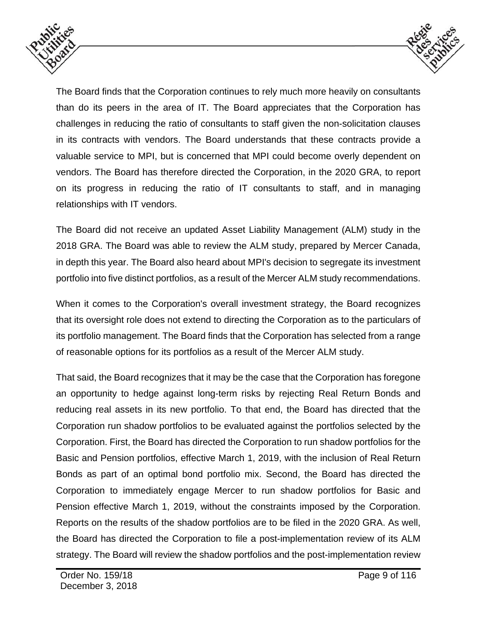



The Board finds that the Corporation continues to rely much more heavily on consultants than do its peers in the area of IT. The Board appreciates that the Corporation has challenges in reducing the ratio of consultants to staff given the non-solicitation clauses in its contracts with vendors. The Board understands that these contracts provide a valuable service to MPI, but is concerned that MPI could become overly dependent on vendors. The Board has therefore directed the Corporation, in the 2020 GRA, to report on its progress in reducing the ratio of IT consultants to staff, and in managing relationships with IT vendors.

The Board did not receive an updated Asset Liability Management (ALM) study in the 2018 GRA. The Board was able to review the ALM study, prepared by Mercer Canada, in depth this year. The Board also heard about MPI's decision to segregate its investment portfolio into five distinct portfolios, as a result of the Mercer ALM study recommendations.

When it comes to the Corporation's overall investment strategy, the Board recognizes that its oversight role does not extend to directing the Corporation as to the particulars of its portfolio management. The Board finds that the Corporation has selected from a range of reasonable options for its portfolios as a result of the Mercer ALM study.

That said, the Board recognizes that it may be the case that the Corporation has foregone an opportunity to hedge against long-term risks by rejecting Real Return Bonds and reducing real assets in its new portfolio. To that end, the Board has directed that the Corporation run shadow portfolios to be evaluated against the portfolios selected by the Corporation. First, the Board has directed the Corporation to run shadow portfolios for the Basic and Pension portfolios, effective March 1, 2019, with the inclusion of Real Return Bonds as part of an optimal bond portfolio mix. Second, the Board has directed the Corporation to immediately engage Mercer to run shadow portfolios for Basic and Pension effective March 1, 2019, without the constraints imposed by the Corporation. Reports on the results of the shadow portfolios are to be filed in the 2020 GRA. As well, the Board has directed the Corporation to file a post-implementation review of its ALM strategy. The Board will review the shadow portfolios and the post-implementation review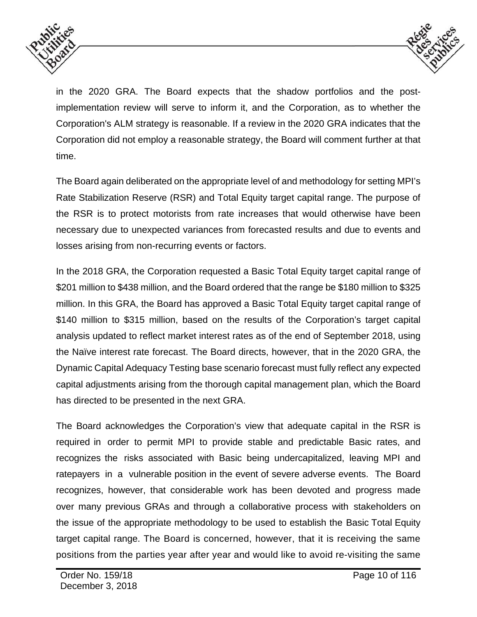



in the 2020 GRA. The Board expects that the shadow portfolios and the postimplementation review will serve to inform it, and the Corporation, as to whether the Corporation's ALM strategy is reasonable. If a review in the 2020 GRA indicates that the Corporation did not employ a reasonable strategy, the Board will comment further at that time.

The Board again deliberated on the appropriate level of and methodology for setting MPI's Rate Stabilization Reserve (RSR) and Total Equity target capital range. The purpose of the RSR is to protect motorists from rate increases that would otherwise have been necessary due to unexpected variances from forecasted results and due to events and losses arising from non-recurring events or factors.

In the 2018 GRA, the Corporation requested a Basic Total Equity target capital range of \$201 million to \$438 million, and the Board ordered that the range be \$180 million to \$325 million. In this GRA, the Board has approved a Basic Total Equity target capital range of \$140 million to \$315 million, based on the results of the Corporation's target capital analysis updated to reflect market interest rates as of the end of September 2018, using the Naïve interest rate forecast. The Board directs, however, that in the 2020 GRA, the Dynamic Capital Adequacy Testing base scenario forecast must fully reflect any expected capital adjustments arising from the thorough capital management plan, which the Board has directed to be presented in the next GRA.

The Board acknowledges the Corporation's view that adequate capital in the RSR is required in order to permit MPI to provide stable and predictable Basic rates, and recognizes the risks associated with Basic being undercapitalized, leaving MPI and ratepayers in a vulnerable position in the event of severe adverse events. The Board recognizes, however, that considerable work has been devoted and progress made over many previous GRAs and through a collaborative process with stakeholders on the issue of the appropriate methodology to be used to establish the Basic Total Equity target capital range. The Board is concerned, however, that it is receiving the same positions from the parties year after year and would like to avoid re-visiting the same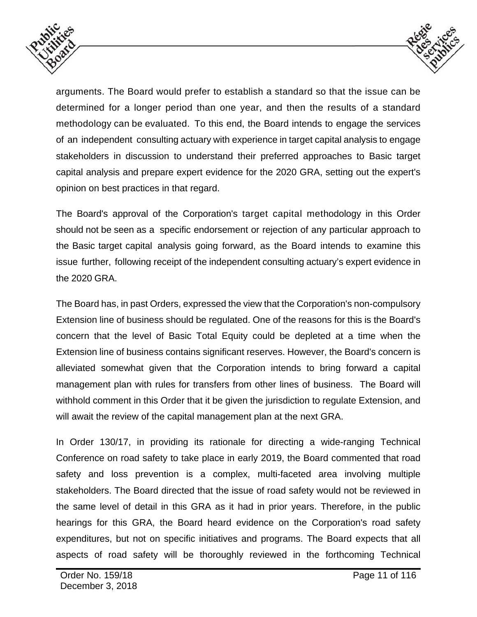



arguments. The Board would prefer to establish a standard so that the issue can be determined for a longer period than one year, and then the results of a standard methodology can be evaluated. To this end, the Board intends to engage the services of an independent consulting actuary with experience in target capital analysis to engage stakeholders in discussion to understand their preferred approaches to Basic target capital analysis and prepare expert evidence for the 2020 GRA, setting out the expert's opinion on best practices in that regard.

The Board's approval of the Corporation's target capital methodology in this Order should not be seen as a specific endorsement or rejection of any particular approach to the Basic target capital analysis going forward, as the Board intends to examine this issue further, following receipt of the independent consulting actuary's expert evidence in the 2020 GRA.

The Board has, in past Orders, expressed the view that the Corporation's non-compulsory Extension line of business should be regulated. One of the reasons for this is the Board's concern that the level of Basic Total Equity could be depleted at a time when the Extension line of business contains significant reserves. However, the Board's concern is alleviated somewhat given that the Corporation intends to bring forward a capital management plan with rules for transfers from other lines of business. The Board will withhold comment in this Order that it be given the jurisdiction to regulate Extension, and will await the review of the capital management plan at the next GRA.

In Order 130/17, in providing its rationale for directing a wide-ranging Technical Conference on road safety to take place in early 2019, the Board commented that road safety and loss prevention is a complex, multi-faceted area involving multiple stakeholders. The Board directed that the issue of road safety would not be reviewed in the same level of detail in this GRA as it had in prior years. Therefore, in the public hearings for this GRA, the Board heard evidence on the Corporation's road safety expenditures, but not on specific initiatives and programs. The Board expects that all aspects of road safety will be thoroughly reviewed in the forthcoming Technical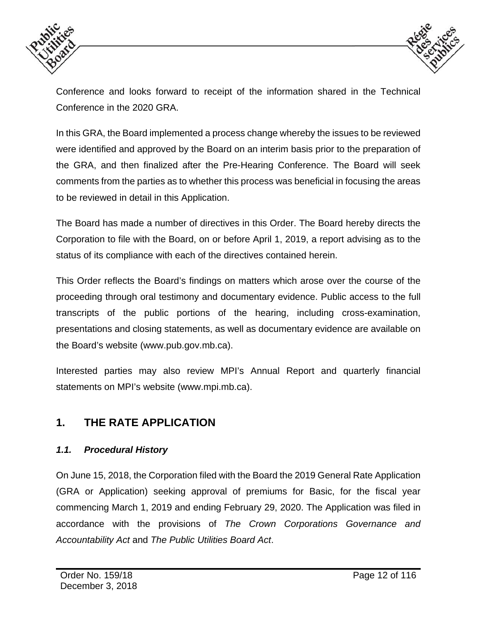



Conference and looks forward to receipt of the information shared in the Technical Conference in the 2020 GRA.

In this GRA, the Board implemented a process change whereby the issues to be reviewed were identified and approved by the Board on an interim basis prior to the preparation of the GRA, and then finalized after the Pre-Hearing Conference. The Board will seek comments from the parties as to whether this process was beneficial in focusing the areas to be reviewed in detail in this Application.

The Board has made a number of directives in this Order. The Board hereby directs the Corporation to file with the Board, on or before April 1, 2019, a report advising as to the status of its compliance with each of the directives contained herein.

This Order reflects the Board's findings on matters which arose over the course of the proceeding through oral testimony and documentary evidence. Public access to the full transcripts of the public portions of the hearing, including cross-examination, presentations and closing statements, as well as documentary evidence are available on the Board's website (www.pub.gov.mb.ca).

Interested parties may also review MPI's Annual Report and quarterly financial statements on MPI's website (www.mpi.mb.ca).

# **1. THE RATE APPLICATION**

### *1.1. Procedural History*

On June 15, 2018, the Corporation filed with the Board the 2019 General Rate Application (GRA or Application) seeking approval of premiums for Basic, for the fiscal year commencing March 1, 2019 and ending February 29, 2020. The Application was filed in accordance with the provisions of *The Crown Corporations Governance and Accountability Act* and *The Public Utilities Board Act*.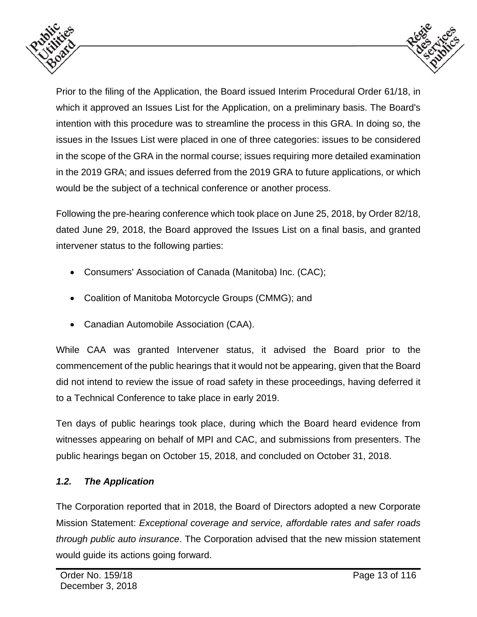



Prior to the filing of the Application, the Board issued Interim Procedural Order 61/18, in which it approved an Issues List for the Application, on a preliminary basis. The Board's intention with this procedure was to streamline the process in this GRA. In doing so, the issues in the Issues List were placed in one of three categories: issues to be considered in the scope of the GRA in the normal course; issues requiring more detailed examination in the 2019 GRA; and issues deferred from the 2019 GRA to future applications, or which would be the subject of a technical conference or another process.

Following the pre-hearing conference which took place on June 25, 2018, by Order 82/18, dated June 29, 2018, the Board approved the Issues List on a final basis, and granted intervener status to the following parties:

- Consumers' Association of Canada (Manitoba) Inc. (CAC);
- Coalition of Manitoba Motorcycle Groups (CMMG); and
- Canadian Automobile Association (CAA).

While CAA was granted Intervener status, it advised the Board prior to the commencement of the public hearings that it would not be appearing, given that the Board did not intend to review the issue of road safety in these proceedings, having deferred it to a Technical Conference to take place in early 2019.

Ten days of public hearings took place, during which the Board heard evidence from witnesses appearing on behalf of MPI and CAC, and submissions from presenters. The public hearings began on October 15, 2018, and concluded on October 31, 2018.

## *1.2. The Application*

The Corporation reported that in 2018, the Board of Directors adopted a new Corporate Mission Statement: *Exceptional coverage and service, affordable rates and safer roads through public auto insurance*. The Corporation advised that the new mission statement would guide its actions going forward.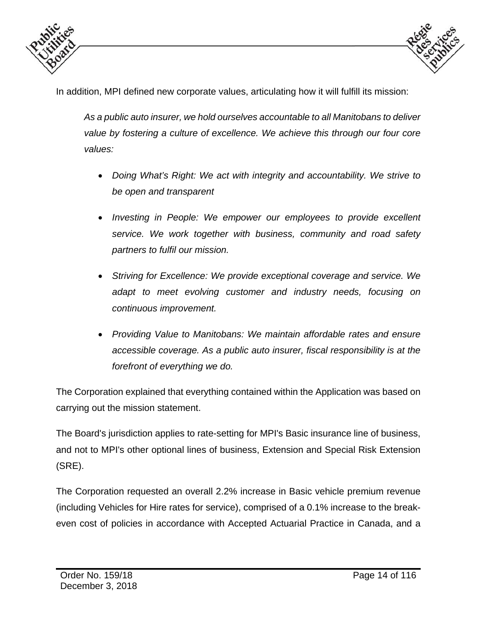



In addition, MPI defined new corporate values, articulating how it will fulfill its mission:

*As a public auto insurer, we hold ourselves accountable to all Manitobans to deliver value by fostering a culture of excellence. We achieve this through our four core values:* 

- *Doing What's Right: We act with integrity and accountability. We strive to be open and transparent*
- *Investing in People: We empower our employees to provide excellent service. We work together with business, community and road safety partners to fulfil our mission.*
- *Striving for Excellence: We provide exceptional coverage and service. We adapt to meet evolving customer and industry needs, focusing on continuous improvement.*
- *Providing Value to Manitobans: We maintain affordable rates and ensure accessible coverage. As a public auto insurer, fiscal responsibility is at the forefront of everything we do.*

The Corporation explained that everything contained within the Application was based on carrying out the mission statement.

The Board's jurisdiction applies to rate-setting for MPI's Basic insurance line of business, and not to MPI's other optional lines of business, Extension and Special Risk Extension (SRE).

The Corporation requested an overall 2.2% increase in Basic vehicle premium revenue (including Vehicles for Hire rates for service), comprised of a 0.1% increase to the breakeven cost of policies in accordance with Accepted Actuarial Practice in Canada, and a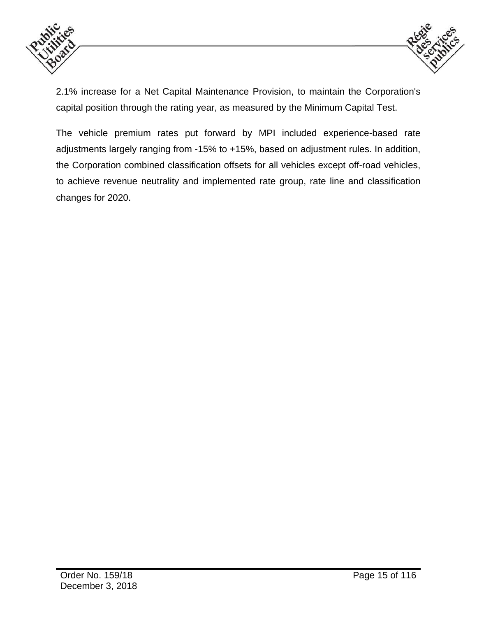



2.1% increase for a Net Capital Maintenance Provision, to maintain the Corporation's capital position through the rating year, as measured by the Minimum Capital Test.

The vehicle premium rates put forward by MPI included experience-based rate adjustments largely ranging from -15% to +15%, based on adjustment rules. In addition, the Corporation combined classification offsets for all vehicles except off-road vehicles, to achieve revenue neutrality and implemented rate group, rate line and classification changes for 2020.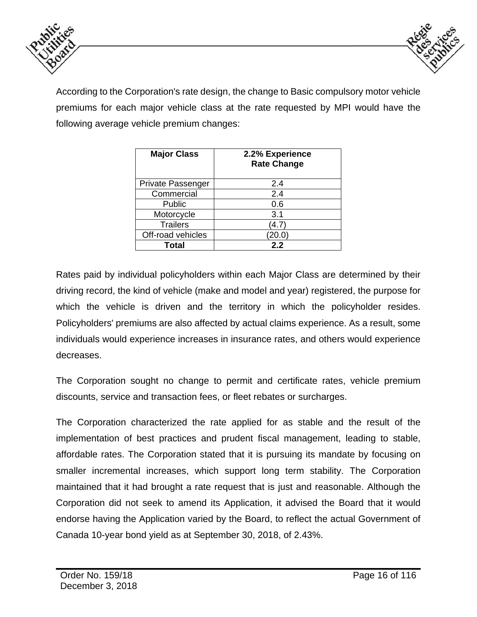



According to the Corporation's rate design, the change to Basic compulsory motor vehicle premiums for each major vehicle class at the rate requested by MPI would have the following average vehicle premium changes:

| <b>Major Class</b> | 2.2% Experience<br><b>Rate Change</b> |
|--------------------|---------------------------------------|
| Private Passenger  | 2.4                                   |
| Commercial         | 2.4                                   |
| Public             | 0.6                                   |
| Motorcycle         | 3.1                                   |
| <b>Trailers</b>    | (4.7                                  |
| Off-road vehicles  | [20.0]                                |
| Total              | 2.2                                   |

Rates paid by individual policyholders within each Major Class are determined by their driving record, the kind of vehicle (make and model and year) registered, the purpose for which the vehicle is driven and the territory in which the policyholder resides. Policyholders' premiums are also affected by actual claims experience. As a result, some individuals would experience increases in insurance rates, and others would experience decreases.

The Corporation sought no change to permit and certificate rates, vehicle premium discounts, service and transaction fees, or fleet rebates or surcharges.

The Corporation characterized the rate applied for as stable and the result of the implementation of best practices and prudent fiscal management, leading to stable, affordable rates. The Corporation stated that it is pursuing its mandate by focusing on smaller incremental increases, which support long term stability. The Corporation maintained that it had brought a rate request that is just and reasonable. Although the Corporation did not seek to amend its Application, it advised the Board that it would endorse having the Application varied by the Board, to reflect the actual Government of Canada 10-year bond yield as at September 30, 2018, of 2.43%.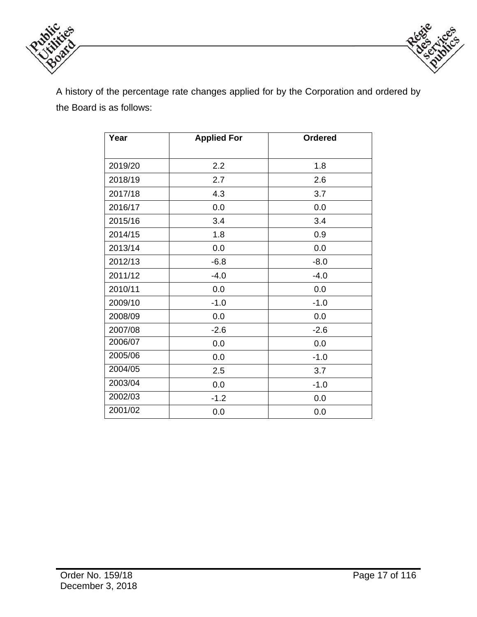



A history of the percentage rate changes applied for by the Corporation and ordered by the Board is as follows:

| Year    | <b>Applied For</b> | <b>Ordered</b> |
|---------|--------------------|----------------|
| 2019/20 | 2.2                | 1.8            |
| 2018/19 | 2.7                | 2.6            |
| 2017/18 | 4.3                | 3.7            |
| 2016/17 | 0.0                | 0.0            |
| 2015/16 | 3.4                | 3.4            |
| 2014/15 | 1.8                | 0.9            |
| 2013/14 | 0.0                | 0.0            |
| 2012/13 | $-6.8$             | $-8.0$         |
| 2011/12 | $-4.0$             | $-4.0$         |
| 2010/11 | 0.0                | 0.0            |
| 2009/10 | $-1.0$             | $-1.0$         |
| 2008/09 | 0.0                | 0.0            |
| 2007/08 | $-2.6$             | $-2.6$         |
| 2006/07 | 0.0                | 0.0            |
| 2005/06 | 0.0                | $-1.0$         |
| 2004/05 | 2.5                | 3.7            |
| 2003/04 | 0.0                | $-1.0$         |
| 2002/03 | $-1.2$             | 0.0            |
| 2001/02 | 0.0                | 0.0            |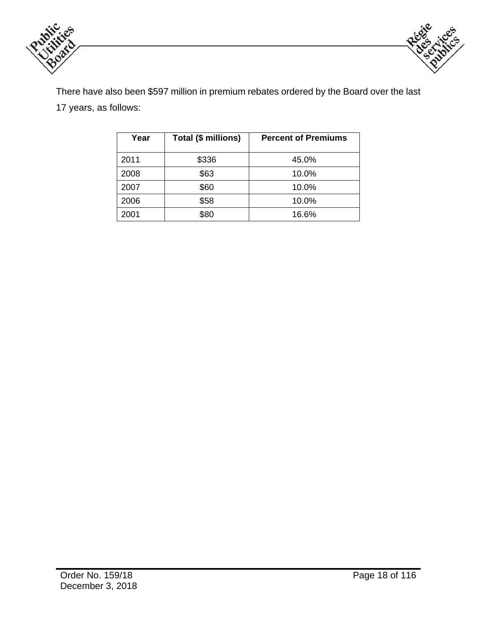



There have also been \$597 million in premium rebates ordered by the Board over the last 17 years, as follows:

| Year | Total (\$ millions) | <b>Percent of Premiums</b> |
|------|---------------------|----------------------------|
| 2011 | \$336               | 45.0%                      |
| 2008 | \$63                | 10.0%                      |
| 2007 | \$60                | 10.0%                      |
| 2006 | \$58                | 10.0%                      |
| 2001 | \$80                | 16.6%                      |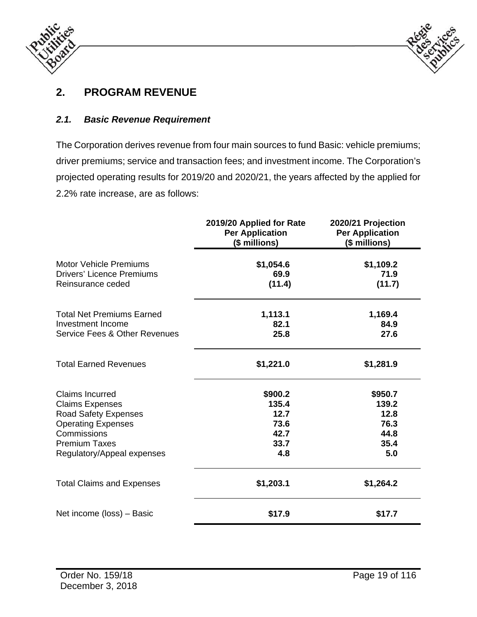



# **2. PROGRAM REVENUE**

### *2.1. Basic Revenue Requirement*

The Corporation derives revenue from four main sources to fund Basic: vehicle premiums; driver premiums; service and transaction fees; and investment income. The Corporation's projected operating results for 2019/20 and 2020/21, the years affected by the applied for 2.2% rate increase, are as follows:

|                                                                                                                                                                                   | 2019/20 Applied for Rate<br><b>Per Application</b><br>(\$ millions) | 2020/21 Projection<br><b>Per Application</b><br>(\$ millions) |
|-----------------------------------------------------------------------------------------------------------------------------------------------------------------------------------|---------------------------------------------------------------------|---------------------------------------------------------------|
| <b>Motor Vehicle Premiums</b><br><b>Drivers' Licence Premiums</b><br>Reinsurance ceded                                                                                            | \$1,054.6<br>69.9<br>(11.4)                                         | \$1,109.2<br>71.9<br>(11.7)                                   |
| <b>Total Net Premiums Earned</b><br>Investment Income<br>Service Fees & Other Revenues                                                                                            | 1,113.1<br>82.1<br>25.8                                             | 1,169.4<br>84.9<br>27.6                                       |
| <b>Total Earned Revenues</b>                                                                                                                                                      | \$1,221.0                                                           | \$1,281.9                                                     |
| <b>Claims Incurred</b><br><b>Claims Expenses</b><br><b>Road Safety Expenses</b><br><b>Operating Expenses</b><br>Commissions<br><b>Premium Taxes</b><br>Regulatory/Appeal expenses | \$900.2<br>135.4<br>12.7<br>73.6<br>42.7<br>33.7<br>4.8             | \$950.7<br>139.2<br>12.8<br>76.3<br>44.8<br>35.4<br>5.0       |
| <b>Total Claims and Expenses</b>                                                                                                                                                  | \$1,203.1                                                           | \$1,264.2                                                     |
| Net income (loss) - Basic                                                                                                                                                         | \$17.9                                                              | \$17.7                                                        |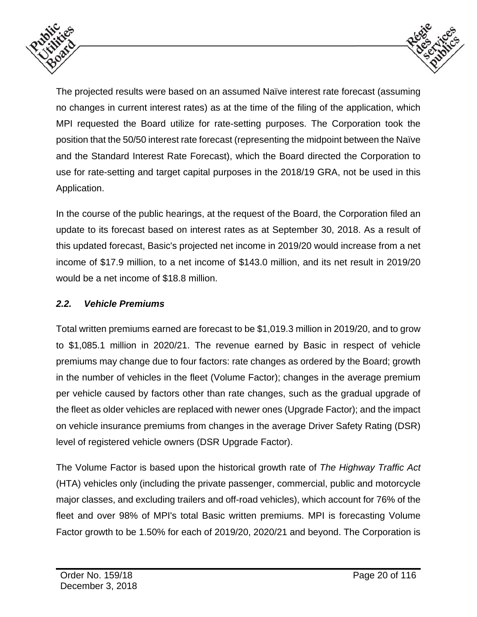



The projected results were based on an assumed Naïve interest rate forecast (assuming no changes in current interest rates) as at the time of the filing of the application, which MPI requested the Board utilize for rate-setting purposes. The Corporation took the position that the 50/50 interest rate forecast (representing the midpoint between the Naïve and the Standard Interest Rate Forecast), which the Board directed the Corporation to use for rate-setting and target capital purposes in the 2018/19 GRA, not be used in this Application.

In the course of the public hearings, at the request of the Board, the Corporation filed an update to its forecast based on interest rates as at September 30, 2018. As a result of this updated forecast, Basic's projected net income in 2019/20 would increase from a net income of \$17.9 million, to a net income of \$143.0 million, and its net result in 2019/20 would be a net income of \$18.8 million.

### *2.2. Vehicle Premiums*

Total written premiums earned are forecast to be \$1,019.3 million in 2019/20, and to grow to \$1,085.1 million in 2020/21. The revenue earned by Basic in respect of vehicle premiums may change due to four factors: rate changes as ordered by the Board; growth in the number of vehicles in the fleet (Volume Factor); changes in the average premium per vehicle caused by factors other than rate changes, such as the gradual upgrade of the fleet as older vehicles are replaced with newer ones (Upgrade Factor); and the impact on vehicle insurance premiums from changes in the average Driver Safety Rating (DSR) level of registered vehicle owners (DSR Upgrade Factor).

The Volume Factor is based upon the historical growth rate of *The Highway Traffic Act* (HTA) vehicles only (including the private passenger, commercial, public and motorcycle major classes, and excluding trailers and off-road vehicles), which account for 76% of the fleet and over 98% of MPI's total Basic written premiums. MPI is forecasting Volume Factor growth to be 1.50% for each of 2019/20, 2020/21 and beyond. The Corporation is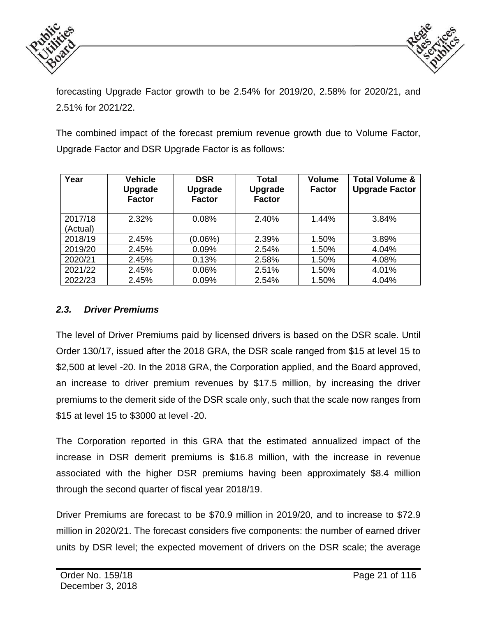



forecasting Upgrade Factor growth to be 2.54% for 2019/20, 2.58% for 2020/21, and 2.51% for 2021/22.

The combined impact of the forecast premium revenue growth due to Volume Factor, Upgrade Factor and DSR Upgrade Factor is as follows:

| Year                | <b>Vehicle</b><br><b>Upgrade</b><br><b>Factor</b> | <b>DSR</b><br><b>Upgrade</b><br><b>Factor</b> | Total<br><b>Upgrade</b><br><b>Factor</b> | <b>Volume</b><br><b>Factor</b> | <b>Total Volume &amp;</b><br><b>Upgrade Factor</b> |
|---------------------|---------------------------------------------------|-----------------------------------------------|------------------------------------------|--------------------------------|----------------------------------------------------|
| 2017/18<br>(Actual) | 2.32%                                             | 0.08%                                         | 2.40%                                    | 1.44%                          | 3.84%                                              |
| 2018/19             | 2.45%                                             | $(0.06\%)$                                    | 2.39%                                    | 1.50%                          | 3.89%                                              |
| 2019/20             | 2.45%                                             | 0.09%                                         | 2.54%                                    | 1.50%                          | 4.04%                                              |
| 2020/21             | 2.45%                                             | 0.13%                                         | 2.58%                                    | 1.50%                          | 4.08%                                              |
| 2021/22             | 2.45%                                             | 0.06%                                         | 2.51%                                    | 1.50%                          | 4.01%                                              |
| 2022/23             | 2.45%                                             | 0.09%                                         | 2.54%                                    | 1.50%                          | 4.04%                                              |

#### *2.3. Driver Premiums*

The level of Driver Premiums paid by licensed drivers is based on the DSR scale. Until Order 130/17, issued after the 2018 GRA, the DSR scale ranged from \$15 at level 15 to \$2,500 at level -20. In the 2018 GRA, the Corporation applied, and the Board approved, an increase to driver premium revenues by \$17.5 million, by increasing the driver premiums to the demerit side of the DSR scale only, such that the scale now ranges from \$15 at level 15 to \$3000 at level -20.

The Corporation reported in this GRA that the estimated annualized impact of the increase in DSR demerit premiums is \$16.8 million, with the increase in revenue associated with the higher DSR premiums having been approximately \$8.4 million through the second quarter of fiscal year 2018/19.

Driver Premiums are forecast to be \$70.9 million in 2019/20, and to increase to \$72.9 million in 2020/21. The forecast considers five components: the number of earned driver units by DSR level; the expected movement of drivers on the DSR scale; the average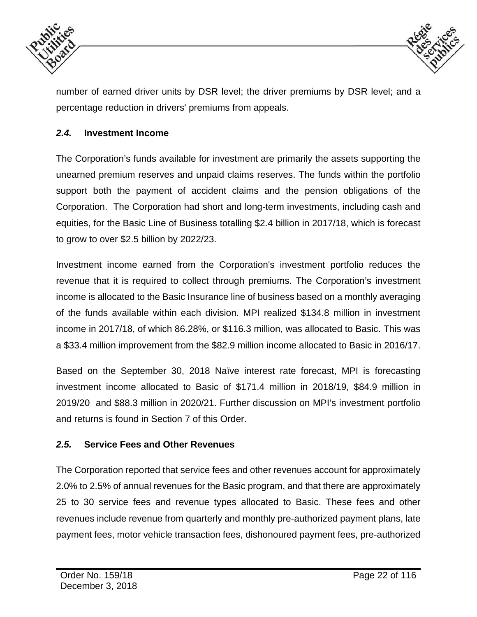



number of earned driver units by DSR level; the driver premiums by DSR level; and a percentage reduction in drivers' premiums from appeals.

### *2.4.* **Investment Income**

The Corporation's funds available for investment are primarily the assets supporting the unearned premium reserves and unpaid claims reserves. The funds within the portfolio support both the payment of accident claims and the pension obligations of the Corporation. The Corporation had short and long-term investments, including cash and equities, for the Basic Line of Business totalling \$2.4 billion in 2017/18, which is forecast to grow to over \$2.5 billion by 2022/23.

Investment income earned from the Corporation's investment portfolio reduces the revenue that it is required to collect through premiums. The Corporation's investment income is allocated to the Basic Insurance line of business based on a monthly averaging of the funds available within each division. MPI realized \$134.8 million in investment income in 2017/18, of which 86.28%, or \$116.3 million, was allocated to Basic. This was a \$33.4 million improvement from the \$82.9 million income allocated to Basic in 2016/17.

Based on the September 30, 2018 Naïve interest rate forecast, MPI is forecasting investment income allocated to Basic of \$171.4 million in 2018/19, \$84.9 million in 2019/20 and \$88.3 million in 2020/21. Further discussion on MPI's investment portfolio and returns is found in Section 7 of this Order.

#### *2.5.* **Service Fees and Other Revenues**

The Corporation reported that service fees and other revenues account for approximately 2.0% to 2.5% of annual revenues for the Basic program, and that there are approximately 25 to 30 service fees and revenue types allocated to Basic. These fees and other revenues include revenue from quarterly and monthly pre-authorized payment plans, late payment fees, motor vehicle transaction fees, dishonoured payment fees, pre-authorized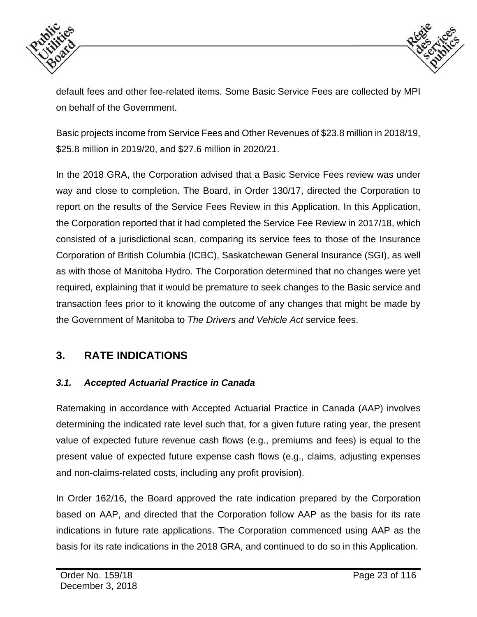



default fees and other fee-related items. Some Basic Service Fees are collected by MPI on behalf of the Government.

Basic projects income from Service Fees and Other Revenues of \$23.8 million in 2018/19, \$25.8 million in 2019/20, and \$27.6 million in 2020/21.

In the 2018 GRA, the Corporation advised that a Basic Service Fees review was under way and close to completion. The Board, in Order 130/17, directed the Corporation to report on the results of the Service Fees Review in this Application. In this Application, the Corporation reported that it had completed the Service Fee Review in 2017/18, which consisted of a jurisdictional scan, comparing its service fees to those of the Insurance Corporation of British Columbia (ICBC), Saskatchewan General Insurance (SGI), as well as with those of Manitoba Hydro. The Corporation determined that no changes were yet required, explaining that it would be premature to seek changes to the Basic service and transaction fees prior to it knowing the outcome of any changes that might be made by the Government of Manitoba to *The Drivers and Vehicle Act* service fees.

# **3. RATE INDICATIONS**

### *3.1. Accepted Actuarial Practice in Canada*

Ratemaking in accordance with Accepted Actuarial Practice in Canada (AAP) involves determining the indicated rate level such that, for a given future rating year, the present value of expected future revenue cash flows (e.g., premiums and fees) is equal to the present value of expected future expense cash flows (e.g., claims, adjusting expenses and non-claims-related costs, including any profit provision).

In Order 162/16, the Board approved the rate indication prepared by the Corporation based on AAP, and directed that the Corporation follow AAP as the basis for its rate indications in future rate applications. The Corporation commenced using AAP as the basis for its rate indications in the 2018 GRA, and continued to do so in this Application.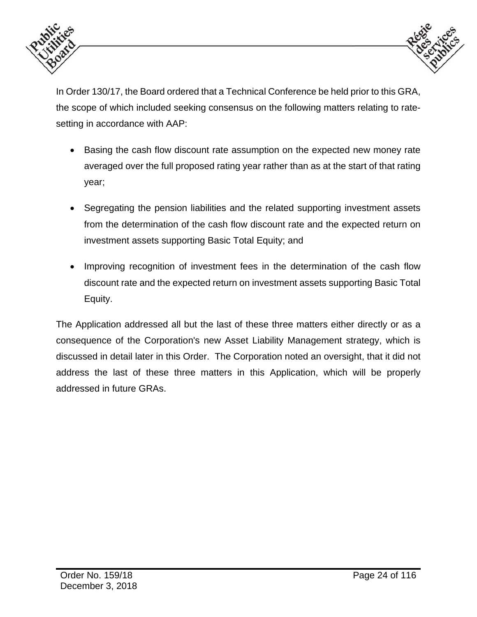



In Order 130/17, the Board ordered that a Technical Conference be held prior to this GRA, the scope of which included seeking consensus on the following matters relating to ratesetting in accordance with AAP:

- Basing the cash flow discount rate assumption on the expected new money rate averaged over the full proposed rating year rather than as at the start of that rating year;
- Segregating the pension liabilities and the related supporting investment assets from the determination of the cash flow discount rate and the expected return on investment assets supporting Basic Total Equity; and
- Improving recognition of investment fees in the determination of the cash flow discount rate and the expected return on investment assets supporting Basic Total Equity.

The Application addressed all but the last of these three matters either directly or as a consequence of the Corporation's new Asset Liability Management strategy, which is discussed in detail later in this Order. The Corporation noted an oversight, that it did not address the last of these three matters in this Application, which will be properly addressed in future GRAs.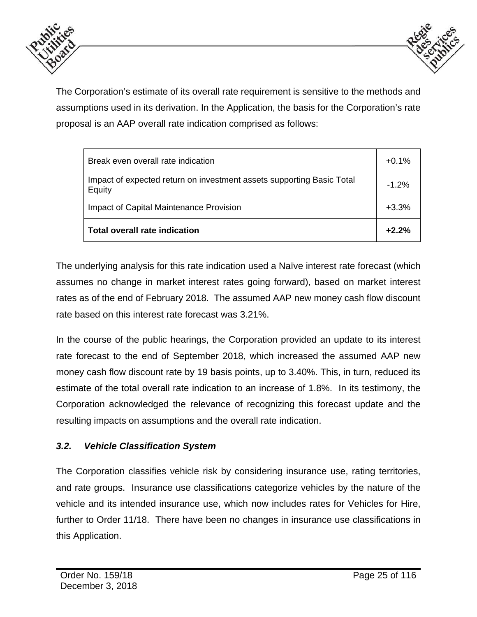



The Corporation's estimate of its overall rate requirement is sensitive to the methods and assumptions used in its derivation. In the Application, the basis for the Corporation's rate proposal is an AAP overall rate indication comprised as follows:

| Break even overall rate indication                                              | $+0.1%$ |
|---------------------------------------------------------------------------------|---------|
| Impact of expected return on investment assets supporting Basic Total<br>Equity | $-1.2%$ |
| Impact of Capital Maintenance Provision                                         | $+3.3%$ |
| Total overall rate indication                                                   | $+2.2%$ |

The underlying analysis for this rate indication used a Naïve interest rate forecast (which assumes no change in market interest rates going forward), based on market interest rates as of the end of February 2018. The assumed AAP new money cash flow discount rate based on this interest rate forecast was 3.21%.

In the course of the public hearings, the Corporation provided an update to its interest rate forecast to the end of September 2018, which increased the assumed AAP new money cash flow discount rate by 19 basis points, up to 3.40%. This, in turn, reduced its estimate of the total overall rate indication to an increase of 1.8%. In its testimony, the Corporation acknowledged the relevance of recognizing this forecast update and the resulting impacts on assumptions and the overall rate indication.

### *3.2. Vehicle Classification System*

The Corporation classifies vehicle risk by considering insurance use, rating territories, and rate groups. Insurance use classifications categorize vehicles by the nature of the vehicle and its intended insurance use, which now includes rates for Vehicles for Hire, further to Order 11/18. There have been no changes in insurance use classifications in this Application.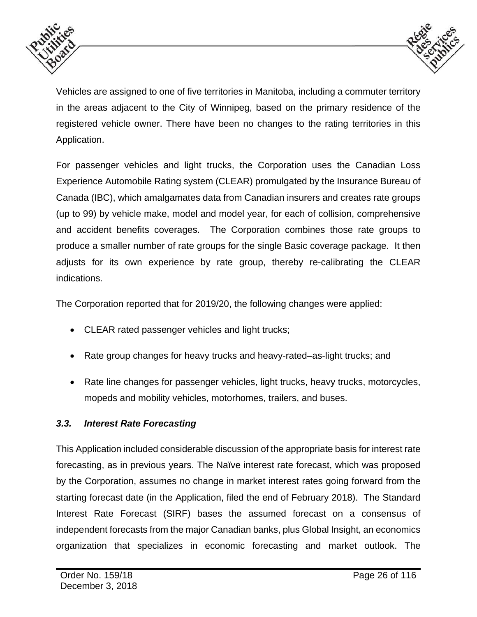



Vehicles are assigned to one of five territories in Manitoba, including a commuter territory in the areas adjacent to the City of Winnipeg, based on the primary residence of the registered vehicle owner. There have been no changes to the rating territories in this Application.

For passenger vehicles and light trucks, the Corporation uses the Canadian Loss Experience Automobile Rating system (CLEAR) promulgated by the Insurance Bureau of Canada (IBC), which amalgamates data from Canadian insurers and creates rate groups (up to 99) by vehicle make, model and model year, for each of collision, comprehensive and accident benefits coverages. The Corporation combines those rate groups to produce a smaller number of rate groups for the single Basic coverage package. It then adjusts for its own experience by rate group, thereby re-calibrating the CLEAR indications.

The Corporation reported that for 2019/20, the following changes were applied:

- CLEAR rated passenger vehicles and light trucks;
- Rate group changes for heavy trucks and heavy-rated–as-light trucks; and
- Rate line changes for passenger vehicles, light trucks, heavy trucks, motorcycles, mopeds and mobility vehicles, motorhomes, trailers, and buses.

### *3.3. Interest Rate Forecasting*

This Application included considerable discussion of the appropriate basis for interest rate forecasting, as in previous years. The Naïve interest rate forecast, which was proposed by the Corporation, assumes no change in market interest rates going forward from the starting forecast date (in the Application, filed the end of February 2018). The Standard Interest Rate Forecast (SIRF) bases the assumed forecast on a consensus of independent forecasts from the major Canadian banks, plus Global Insight, an economics organization that specializes in economic forecasting and market outlook. The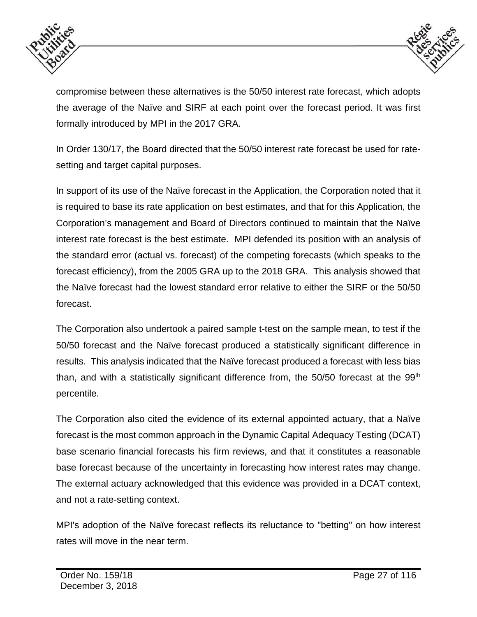



compromise between these alternatives is the 50/50 interest rate forecast, which adopts the average of the Naïve and SIRF at each point over the forecast period. It was first formally introduced by MPI in the 2017 GRA.

In Order 130/17, the Board directed that the 50/50 interest rate forecast be used for ratesetting and target capital purposes.

In support of its use of the Naïve forecast in the Application, the Corporation noted that it is required to base its rate application on best estimates, and that for this Application, the Corporation's management and Board of Directors continued to maintain that the Naïve interest rate forecast is the best estimate. MPI defended its position with an analysis of the standard error (actual vs. forecast) of the competing forecasts (which speaks to the forecast efficiency), from the 2005 GRA up to the 2018 GRA. This analysis showed that the Naïve forecast had the lowest standard error relative to either the SIRF or the 50/50 forecast.

The Corporation also undertook a paired sample t-test on the sample mean, to test if the 50/50 forecast and the Naïve forecast produced a statistically significant difference in results. This analysis indicated that the Naïve forecast produced a forecast with less bias than, and with a statistically significant difference from, the 50/50 forecast at the 99<sup>th</sup> percentile.

The Corporation also cited the evidence of its external appointed actuary, that a Naïve forecast is the most common approach in the Dynamic Capital Adequacy Testing (DCAT) base scenario financial forecasts his firm reviews, and that it constitutes a reasonable base forecast because of the uncertainty in forecasting how interest rates may change. The external actuary acknowledged that this evidence was provided in a DCAT context, and not a rate-setting context.

MPI's adoption of the Naïve forecast reflects its reluctance to "betting" on how interest rates will move in the near term.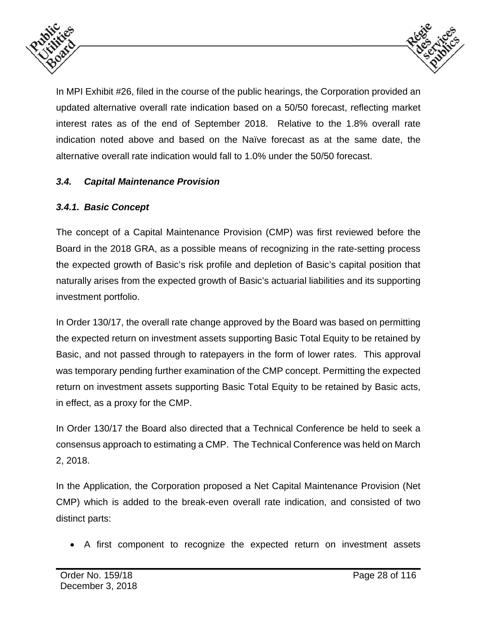



In MPI Exhibit #26, filed in the course of the public hearings, the Corporation provided an updated alternative overall rate indication based on a 50/50 forecast, reflecting market interest rates as of the end of September 2018. Relative to the 1.8% overall rate indication noted above and based on the Naïve forecast as at the same date, the alternative overall rate indication would fall to 1.0% under the 50/50 forecast.

### *3.4. Capital Maintenance Provision*

### *3.4.1. Basic Concept*

The concept of a Capital Maintenance Provision (CMP) was first reviewed before the Board in the 2018 GRA, as a possible means of recognizing in the rate-setting process the expected growth of Basic's risk profile and depletion of Basic's capital position that naturally arises from the expected growth of Basic's actuarial liabilities and its supporting investment portfolio.

In Order 130/17, the overall rate change approved by the Board was based on permitting the expected return on investment assets supporting Basic Total Equity to be retained by Basic, and not passed through to ratepayers in the form of lower rates. This approval was temporary pending further examination of the CMP concept. Permitting the expected return on investment assets supporting Basic Total Equity to be retained by Basic acts, in effect, as a proxy for the CMP.

In Order 130/17 the Board also directed that a Technical Conference be held to seek a consensus approach to estimating a CMP. The Technical Conference was held on March 2, 2018.

In the Application, the Corporation proposed a Net Capital Maintenance Provision (Net CMP) which is added to the break-even overall rate indication, and consisted of two distinct parts:

A first component to recognize the expected return on investment assets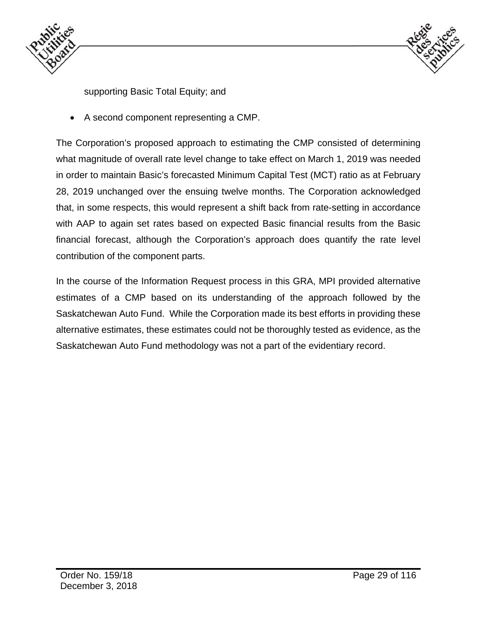



supporting Basic Total Equity; and

A second component representing a CMP.

The Corporation's proposed approach to estimating the CMP consisted of determining what magnitude of overall rate level change to take effect on March 1, 2019 was needed in order to maintain Basic's forecasted Minimum Capital Test (MCT) ratio as at February 28, 2019 unchanged over the ensuing twelve months. The Corporation acknowledged that, in some respects, this would represent a shift back from rate-setting in accordance with AAP to again set rates based on expected Basic financial results from the Basic financial forecast, although the Corporation's approach does quantify the rate level contribution of the component parts.

In the course of the Information Request process in this GRA, MPI provided alternative estimates of a CMP based on its understanding of the approach followed by the Saskatchewan Auto Fund. While the Corporation made its best efforts in providing these alternative estimates, these estimates could not be thoroughly tested as evidence, as the Saskatchewan Auto Fund methodology was not a part of the evidentiary record.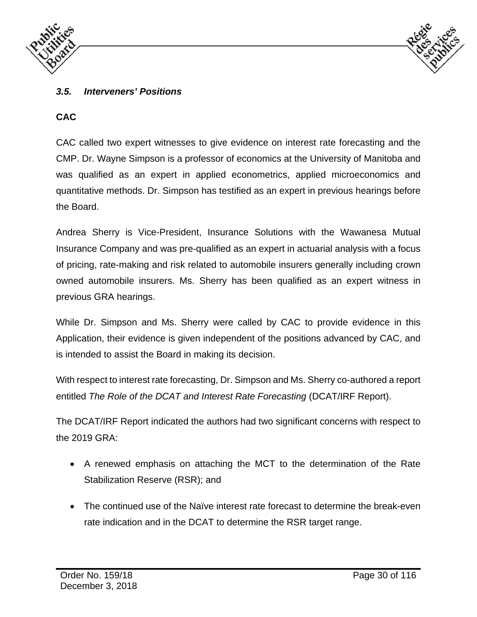



### *3.5. Interveners' Positions*

### **CAC**

CAC called two expert witnesses to give evidence on interest rate forecasting and the CMP. Dr. Wayne Simpson is a professor of economics at the University of Manitoba and was qualified as an expert in applied econometrics, applied microeconomics and quantitative methods. Dr. Simpson has testified as an expert in previous hearings before the Board.

Andrea Sherry is Vice-President, Insurance Solutions with the Wawanesa Mutual Insurance Company and was pre-qualified as an expert in actuarial analysis with a focus of pricing, rate-making and risk related to automobile insurers generally including crown owned automobile insurers. Ms. Sherry has been qualified as an expert witness in previous GRA hearings.

While Dr. Simpson and Ms. Sherry were called by CAC to provide evidence in this Application, their evidence is given independent of the positions advanced by CAC, and is intended to assist the Board in making its decision.

With respect to interest rate forecasting, Dr. Simpson and Ms. Sherry co-authored a report entitled *The Role of the DCAT and Interest Rate Forecasting* (DCAT/IRF Report).

The DCAT/IRF Report indicated the authors had two significant concerns with respect to the 2019 GRA:

- A renewed emphasis on attaching the MCT to the determination of the Rate Stabilization Reserve (RSR); and
- The continued use of the Naïve interest rate forecast to determine the break-even rate indication and in the DCAT to determine the RSR target range.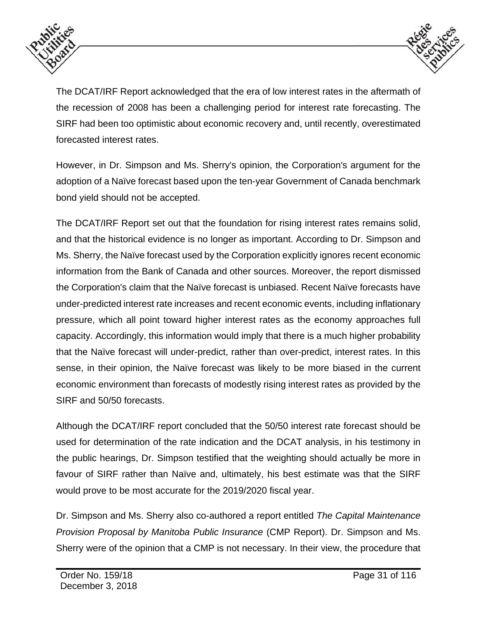



The DCAT/IRF Report acknowledged that the era of low interest rates in the aftermath of the recession of 2008 has been a challenging period for interest rate forecasting. The SIRF had been too optimistic about economic recovery and, until recently, overestimated forecasted interest rates.

However, in Dr. Simpson and Ms. Sherry's opinion, the Corporation's argument for the adoption of a Naïve forecast based upon the ten-year Government of Canada benchmark bond yield should not be accepted.

The DCAT/IRF Report set out that the foundation for rising interest rates remains solid, and that the historical evidence is no longer as important. According to Dr. Simpson and Ms. Sherry, the Naïve forecast used by the Corporation explicitly ignores recent economic information from the Bank of Canada and other sources. Moreover, the report dismissed the Corporation's claim that the Naïve forecast is unbiased. Recent Naïve forecasts have under-predicted interest rate increases and recent economic events, including inflationary pressure, which all point toward higher interest rates as the economy approaches full capacity. Accordingly, this information would imply that there is a much higher probability that the Naïve forecast will under-predict, rather than over-predict, interest rates. In this sense, in their opinion, the Naïve forecast was likely to be more biased in the current economic environment than forecasts of modestly rising interest rates as provided by the SIRF and 50/50 forecasts.

Although the DCAT/IRF report concluded that the 50/50 interest rate forecast should be used for determination of the rate indication and the DCAT analysis, in his testimony in the public hearings, Dr. Simpson testified that the weighting should actually be more in favour of SIRF rather than Naïve and, ultimately, his best estimate was that the SIRF would prove to be most accurate for the 2019/2020 fiscal year.

Dr. Simpson and Ms. Sherry also co-authored a report entitled *The Capital Maintenance Provision Proposal by Manitoba Public Insurance* (CMP Report). Dr. Simpson and Ms. Sherry were of the opinion that a CMP is not necessary. In their view, the procedure that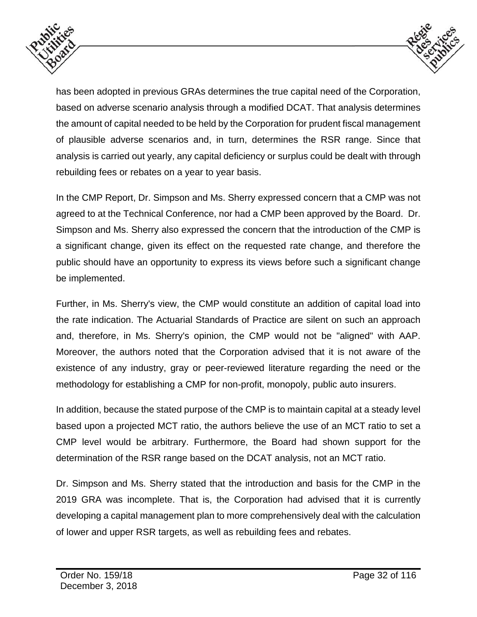



has been adopted in previous GRAs determines the true capital need of the Corporation, based on adverse scenario analysis through a modified DCAT. That analysis determines the amount of capital needed to be held by the Corporation for prudent fiscal management of plausible adverse scenarios and, in turn, determines the RSR range. Since that analysis is carried out yearly, any capital deficiency or surplus could be dealt with through rebuilding fees or rebates on a year to year basis.

In the CMP Report, Dr. Simpson and Ms. Sherry expressed concern that a CMP was not agreed to at the Technical Conference, nor had a CMP been approved by the Board. Dr. Simpson and Ms. Sherry also expressed the concern that the introduction of the CMP is a significant change, given its effect on the requested rate change, and therefore the public should have an opportunity to express its views before such a significant change be implemented.

Further, in Ms. Sherry's view, the CMP would constitute an addition of capital load into the rate indication. The Actuarial Standards of Practice are silent on such an approach and, therefore, in Ms. Sherry's opinion, the CMP would not be "aligned" with AAP. Moreover, the authors noted that the Corporation advised that it is not aware of the existence of any industry, gray or peer-reviewed literature regarding the need or the methodology for establishing a CMP for non-profit, monopoly, public auto insurers.

In addition, because the stated purpose of the CMP is to maintain capital at a steady level based upon a projected MCT ratio, the authors believe the use of an MCT ratio to set a CMP level would be arbitrary. Furthermore, the Board had shown support for the determination of the RSR range based on the DCAT analysis, not an MCT ratio.

Dr. Simpson and Ms. Sherry stated that the introduction and basis for the CMP in the 2019 GRA was incomplete. That is, the Corporation had advised that it is currently developing a capital management plan to more comprehensively deal with the calculation of lower and upper RSR targets, as well as rebuilding fees and rebates.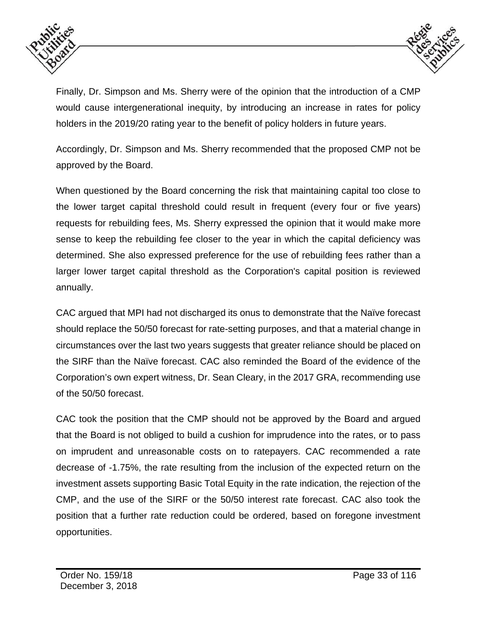



Finally, Dr. Simpson and Ms. Sherry were of the opinion that the introduction of a CMP would cause intergenerational inequity, by introducing an increase in rates for policy holders in the 2019/20 rating year to the benefit of policy holders in future years.

Accordingly, Dr. Simpson and Ms. Sherry recommended that the proposed CMP not be approved by the Board.

When questioned by the Board concerning the risk that maintaining capital too close to the lower target capital threshold could result in frequent (every four or five years) requests for rebuilding fees, Ms. Sherry expressed the opinion that it would make more sense to keep the rebuilding fee closer to the year in which the capital deficiency was determined. She also expressed preference for the use of rebuilding fees rather than a larger lower target capital threshold as the Corporation's capital position is reviewed annually.

CAC argued that MPI had not discharged its onus to demonstrate that the Naïve forecast should replace the 50/50 forecast for rate-setting purposes, and that a material change in circumstances over the last two years suggests that greater reliance should be placed on the SIRF than the Naïve forecast. CAC also reminded the Board of the evidence of the Corporation's own expert witness, Dr. Sean Cleary, in the 2017 GRA, recommending use of the 50/50 forecast.

CAC took the position that the CMP should not be approved by the Board and argued that the Board is not obliged to build a cushion for imprudence into the rates, or to pass on imprudent and unreasonable costs on to ratepayers. CAC recommended a rate decrease of -1.75%, the rate resulting from the inclusion of the expected return on the investment assets supporting Basic Total Equity in the rate indication, the rejection of the CMP, and the use of the SIRF or the 50/50 interest rate forecast. CAC also took the position that a further rate reduction could be ordered, based on foregone investment opportunities.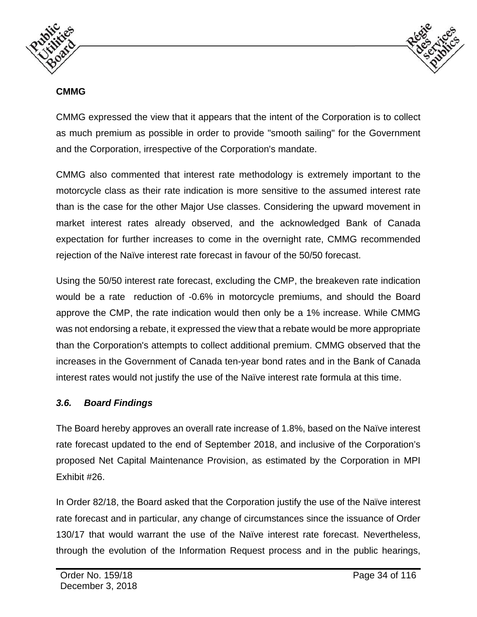



#### **CMMG**

CMMG expressed the view that it appears that the intent of the Corporation is to collect as much premium as possible in order to provide "smooth sailing" for the Government and the Corporation, irrespective of the Corporation's mandate.

CMMG also commented that interest rate methodology is extremely important to the motorcycle class as their rate indication is more sensitive to the assumed interest rate than is the case for the other Major Use classes. Considering the upward movement in market interest rates already observed, and the acknowledged Bank of Canada expectation for further increases to come in the overnight rate, CMMG recommended rejection of the Naïve interest rate forecast in favour of the 50/50 forecast.

Using the 50/50 interest rate forecast, excluding the CMP, the breakeven rate indication would be a rate reduction of -0.6% in motorcycle premiums, and should the Board approve the CMP, the rate indication would then only be a 1% increase. While CMMG was not endorsing a rebate, it expressed the view that a rebate would be more appropriate than the Corporation's attempts to collect additional premium. CMMG observed that the increases in the Government of Canada ten-year bond rates and in the Bank of Canada interest rates would not justify the use of the Naïve interest rate formula at this time.

### *3.6. Board Findings*

The Board hereby approves an overall rate increase of 1.8%, based on the Naïve interest rate forecast updated to the end of September 2018, and inclusive of the Corporation's proposed Net Capital Maintenance Provision, as estimated by the Corporation in MPI Exhibit #26.

In Order 82/18, the Board asked that the Corporation justify the use of the Naïve interest rate forecast and in particular, any change of circumstances since the issuance of Order 130/17 that would warrant the use of the Naïve interest rate forecast. Nevertheless, through the evolution of the Information Request process and in the public hearings,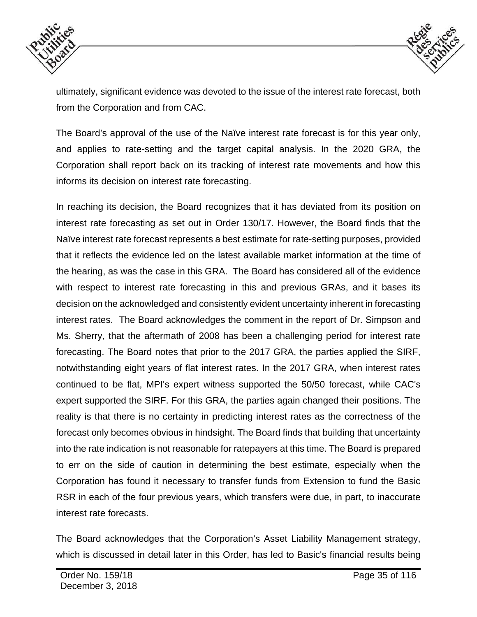



ultimately, significant evidence was devoted to the issue of the interest rate forecast, both from the Corporation and from CAC.

The Board's approval of the use of the Naïve interest rate forecast is for this year only, and applies to rate-setting and the target capital analysis. In the 2020 GRA, the Corporation shall report back on its tracking of interest rate movements and how this informs its decision on interest rate forecasting.

In reaching its decision, the Board recognizes that it has deviated from its position on interest rate forecasting as set out in Order 130/17. However, the Board finds that the Naïve interest rate forecast represents a best estimate for rate-setting purposes, provided that it reflects the evidence led on the latest available market information at the time of the hearing, as was the case in this GRA. The Board has considered all of the evidence with respect to interest rate forecasting in this and previous GRAs, and it bases its decision on the acknowledged and consistently evident uncertainty inherent in forecasting interest rates. The Board acknowledges the comment in the report of Dr. Simpson and Ms. Sherry, that the aftermath of 2008 has been a challenging period for interest rate forecasting. The Board notes that prior to the 2017 GRA, the parties applied the SIRF, notwithstanding eight years of flat interest rates. In the 2017 GRA, when interest rates continued to be flat, MPI's expert witness supported the 50/50 forecast, while CAC's expert supported the SIRF. For this GRA, the parties again changed their positions. The reality is that there is no certainty in predicting interest rates as the correctness of the forecast only becomes obvious in hindsight. The Board finds that building that uncertainty into the rate indication is not reasonable for ratepayers at this time. The Board is prepared to err on the side of caution in determining the best estimate, especially when the Corporation has found it necessary to transfer funds from Extension to fund the Basic RSR in each of the four previous years, which transfers were due, in part, to inaccurate interest rate forecasts.

The Board acknowledges that the Corporation's Asset Liability Management strategy, which is discussed in detail later in this Order, has led to Basic's financial results being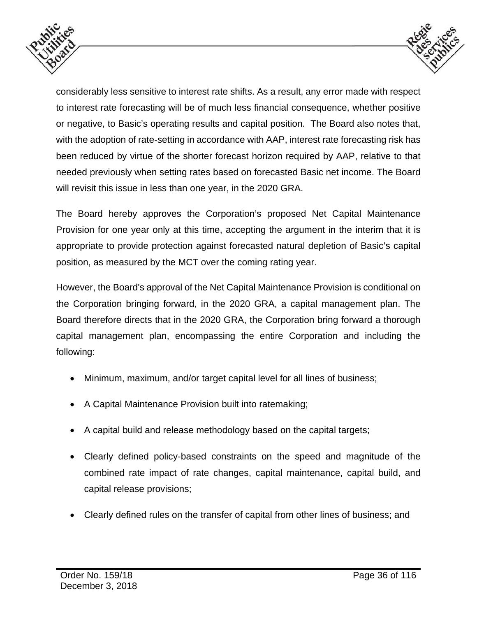



considerably less sensitive to interest rate shifts. As a result, any error made with respect to interest rate forecasting will be of much less financial consequence, whether positive or negative, to Basic's operating results and capital position. The Board also notes that, with the adoption of rate-setting in accordance with AAP, interest rate forecasting risk has been reduced by virtue of the shorter forecast horizon required by AAP, relative to that needed previously when setting rates based on forecasted Basic net income. The Board will revisit this issue in less than one year, in the 2020 GRA.

The Board hereby approves the Corporation's proposed Net Capital Maintenance Provision for one year only at this time, accepting the argument in the interim that it is appropriate to provide protection against forecasted natural depletion of Basic's capital position, as measured by the MCT over the coming rating year.

However, the Board's approval of the Net Capital Maintenance Provision is conditional on the Corporation bringing forward, in the 2020 GRA, a capital management plan. The Board therefore directs that in the 2020 GRA, the Corporation bring forward a thorough capital management plan, encompassing the entire Corporation and including the following:

- Minimum, maximum, and/or target capital level for all lines of business;
- A Capital Maintenance Provision built into ratemaking;
- A capital build and release methodology based on the capital targets;
- Clearly defined policy-based constraints on the speed and magnitude of the combined rate impact of rate changes, capital maintenance, capital build, and capital release provisions;
- Clearly defined rules on the transfer of capital from other lines of business; and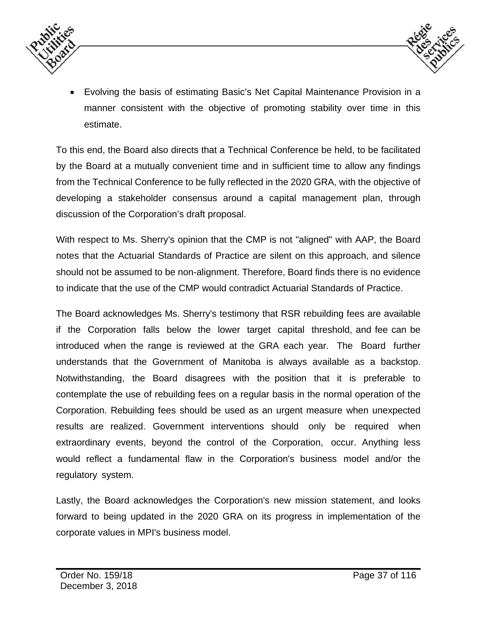



 Evolving the basis of estimating Basic's Net Capital Maintenance Provision in a manner consistent with the objective of promoting stability over time in this estimate.

To this end, the Board also directs that a Technical Conference be held, to be facilitated by the Board at a mutually convenient time and in sufficient time to allow any findings from the Technical Conference to be fully reflected in the 2020 GRA, with the objective of developing a stakeholder consensus around a capital management plan, through discussion of the Corporation's draft proposal.

With respect to Ms. Sherry's opinion that the CMP is not "aligned" with AAP, the Board notes that the Actuarial Standards of Practice are silent on this approach, and silence should not be assumed to be non-alignment. Therefore, Board finds there is no evidence to indicate that the use of the CMP would contradict Actuarial Standards of Practice.

The Board acknowledges Ms. Sherry's testimony that RSR rebuilding fees are available if the Corporation falls below the lower target capital threshold, and fee can be introduced when the range is reviewed at the GRA each year. The Board further understands that the Government of Manitoba is always available as a backstop. Notwithstanding, the Board disagrees with the position that it is preferable to contemplate the use of rebuilding fees on a regular basis in the normal operation of the Corporation. Rebuilding fees should be used as an urgent measure when unexpected results are realized. Government interventions should only be required when extraordinary events, beyond the control of the Corporation, occur. Anything less would reflect a fundamental flaw in the Corporation's business model and/or the regulatory system.

Lastly, the Board acknowledges the Corporation's new mission statement, and looks forward to being updated in the 2020 GRA on its progress in implementation of the corporate values in MPI's business model.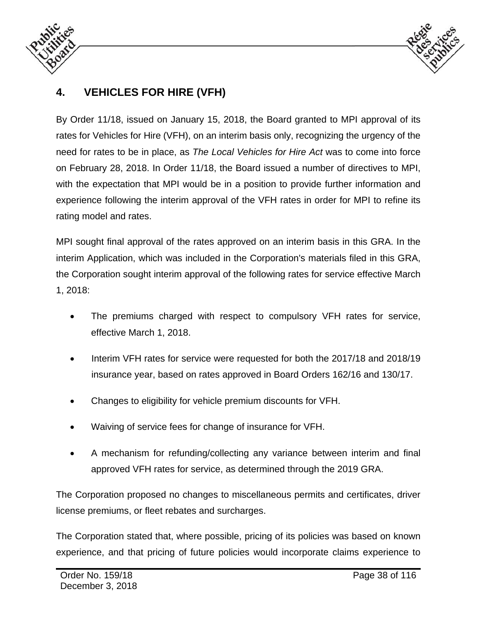



# **4. VEHICLES FOR HIRE (VFH)**

By Order 11/18, issued on January 15, 2018, the Board granted to MPI approval of its rates for Vehicles for Hire (VFH), on an interim basis only, recognizing the urgency of the need for rates to be in place, as *The Local Vehicles for Hire Act* was to come into force on February 28, 2018. In Order 11/18, the Board issued a number of directives to MPI, with the expectation that MPI would be in a position to provide further information and experience following the interim approval of the VFH rates in order for MPI to refine its rating model and rates.

MPI sought final approval of the rates approved on an interim basis in this GRA. In the interim Application, which was included in the Corporation's materials filed in this GRA, the Corporation sought interim approval of the following rates for service effective March 1, 2018:

- The premiums charged with respect to compulsory VFH rates for service, effective March 1, 2018.
- Interim VFH rates for service were requested for both the 2017/18 and 2018/19 insurance year, based on rates approved in Board Orders 162/16 and 130/17.
- Changes to eligibility for vehicle premium discounts for VFH.
- Waiving of service fees for change of insurance for VFH.
- A mechanism for refunding/collecting any variance between interim and final approved VFH rates for service, as determined through the 2019 GRA.

The Corporation proposed no changes to miscellaneous permits and certificates, driver license premiums, or fleet rebates and surcharges.

The Corporation stated that, where possible, pricing of its policies was based on known experience, and that pricing of future policies would incorporate claims experience to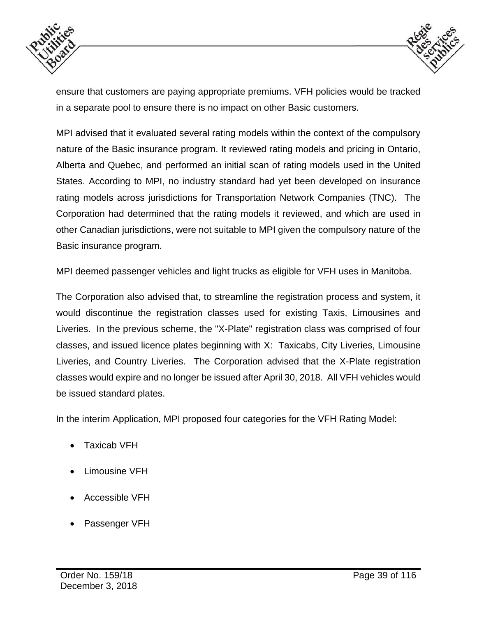



ensure that customers are paying appropriate premiums. VFH policies would be tracked in a separate pool to ensure there is no impact on other Basic customers.

MPI advised that it evaluated several rating models within the context of the compulsory nature of the Basic insurance program. It reviewed rating models and pricing in Ontario, Alberta and Quebec, and performed an initial scan of rating models used in the United States. According to MPI, no industry standard had yet been developed on insurance rating models across jurisdictions for Transportation Network Companies (TNC). The Corporation had determined that the rating models it reviewed, and which are used in other Canadian jurisdictions, were not suitable to MPI given the compulsory nature of the Basic insurance program.

MPI deemed passenger vehicles and light trucks as eligible for VFH uses in Manitoba.

The Corporation also advised that, to streamline the registration process and system, it would discontinue the registration classes used for existing Taxis, Limousines and Liveries. In the previous scheme, the "X-Plate" registration class was comprised of four classes, and issued licence plates beginning with X: Taxicabs, City Liveries, Limousine Liveries, and Country Liveries. The Corporation advised that the X-Plate registration classes would expire and no longer be issued after April 30, 2018. All VFH vehicles would be issued standard plates.

In the interim Application, MPI proposed four categories for the VFH Rating Model:

- Taxicab VFH
- Limousine VFH
- Accessible VFH
- Passenger VFH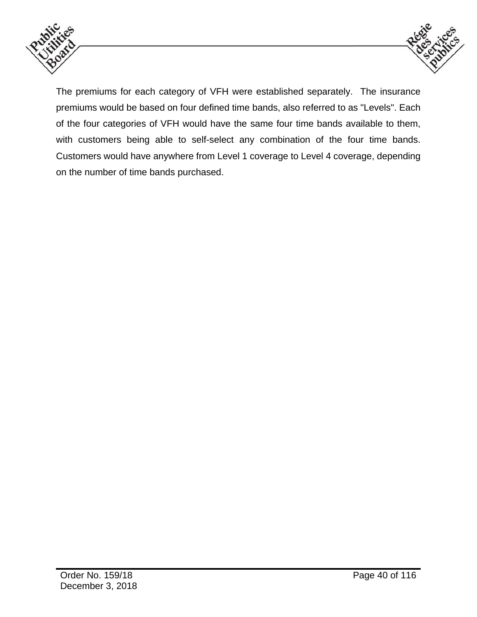



The premiums for each category of VFH were established separately. The insurance premiums would be based on four defined time bands, also referred to as "Levels". Each of the four categories of VFH would have the same four time bands available to them, with customers being able to self-select any combination of the four time bands. Customers would have anywhere from Level 1 coverage to Level 4 coverage, depending on the number of time bands purchased.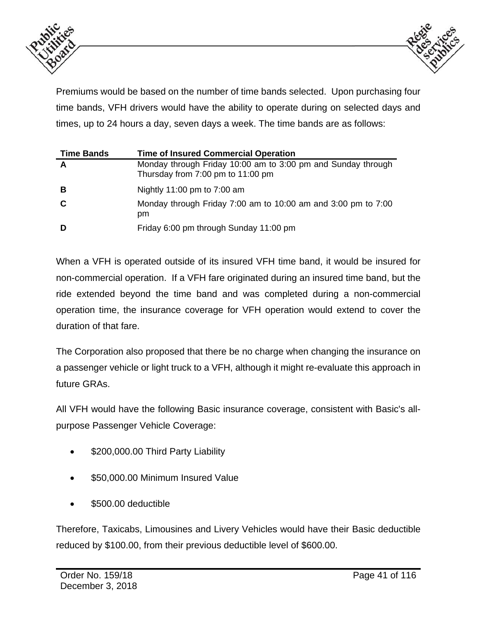



Premiums would be based on the number of time bands selected. Upon purchasing four time bands, VFH drivers would have the ability to operate during on selected days and times, up to 24 hours a day, seven days a week. The time bands are as follows:

| <b>Time Bands</b> | <b>Time of Insured Commercial Operation</b>                                                       |
|-------------------|---------------------------------------------------------------------------------------------------|
| A                 | Monday through Friday 10:00 am to 3:00 pm and Sunday through<br>Thursday from 7:00 pm to 11:00 pm |
| В                 | Nightly 11:00 pm to $7:00$ am                                                                     |
| C                 | Monday through Friday 7:00 am to 10:00 am and 3:00 pm to 7:00<br>pm                               |
| D                 | Friday 6:00 pm through Sunday 11:00 pm                                                            |

When a VFH is operated outside of its insured VFH time band, it would be insured for non-commercial operation. If a VFH fare originated during an insured time band, but the ride extended beyond the time band and was completed during a non-commercial operation time, the insurance coverage for VFH operation would extend to cover the duration of that fare.

The Corporation also proposed that there be no charge when changing the insurance on a passenger vehicle or light truck to a VFH, although it might re-evaluate this approach in future GRAs.

All VFH would have the following Basic insurance coverage, consistent with Basic's allpurpose Passenger Vehicle Coverage:

- \$200,000.00 Third Party Liability
- \$50,000.00 Minimum Insured Value
- \$500.00 deductible

Therefore, Taxicabs, Limousines and Livery Vehicles would have their Basic deductible reduced by \$100.00, from their previous deductible level of \$600.00.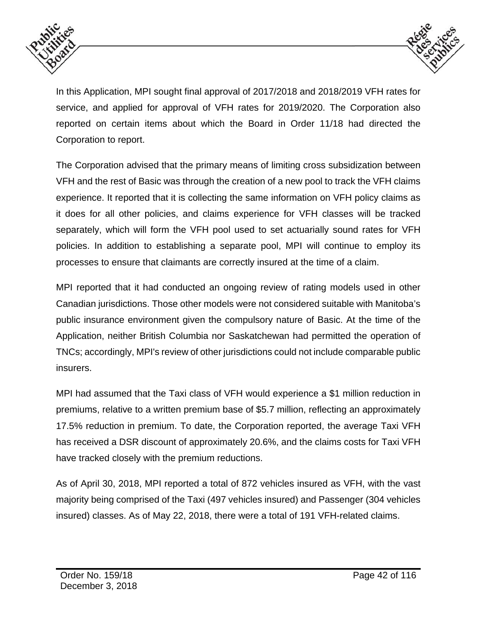



In this Application, MPI sought final approval of 2017/2018 and 2018/2019 VFH rates for service, and applied for approval of VFH rates for 2019/2020. The Corporation also reported on certain items about which the Board in Order 11/18 had directed the Corporation to report.

The Corporation advised that the primary means of limiting cross subsidization between VFH and the rest of Basic was through the creation of a new pool to track the VFH claims experience. It reported that it is collecting the same information on VFH policy claims as it does for all other policies, and claims experience for VFH classes will be tracked separately, which will form the VFH pool used to set actuarially sound rates for VFH policies. In addition to establishing a separate pool, MPI will continue to employ its processes to ensure that claimants are correctly insured at the time of a claim.

MPI reported that it had conducted an ongoing review of rating models used in other Canadian jurisdictions. Those other models were not considered suitable with Manitoba's public insurance environment given the compulsory nature of Basic. At the time of the Application, neither British Columbia nor Saskatchewan had permitted the operation of TNCs; accordingly, MPI's review of other jurisdictions could not include comparable public insurers.

MPI had assumed that the Taxi class of VFH would experience a \$1 million reduction in premiums, relative to a written premium base of \$5.7 million, reflecting an approximately 17.5% reduction in premium. To date, the Corporation reported, the average Taxi VFH has received a DSR discount of approximately 20.6%, and the claims costs for Taxi VFH have tracked closely with the premium reductions.

As of April 30, 2018, MPI reported a total of 872 vehicles insured as VFH, with the vast majority being comprised of the Taxi (497 vehicles insured) and Passenger (304 vehicles insured) classes. As of May 22, 2018, there were a total of 191 VFH-related claims.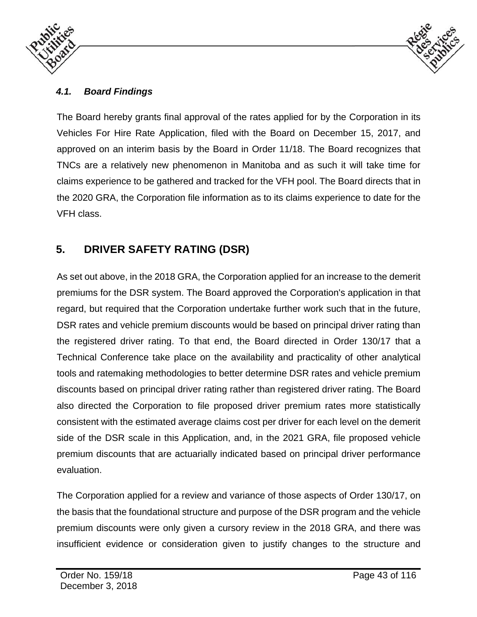



### *4.1. Board Findings*

The Board hereby grants final approval of the rates applied for by the Corporation in its Vehicles For Hire Rate Application, filed with the Board on December 15, 2017, and approved on an interim basis by the Board in Order 11/18. The Board recognizes that TNCs are a relatively new phenomenon in Manitoba and as such it will take time for claims experience to be gathered and tracked for the VFH pool. The Board directs that in the 2020 GRA, the Corporation file information as to its claims experience to date for the VFH class.

# **5. DRIVER SAFETY RATING (DSR)**

As set out above, in the 2018 GRA, the Corporation applied for an increase to the demerit premiums for the DSR system. The Board approved the Corporation's application in that regard, but required that the Corporation undertake further work such that in the future, DSR rates and vehicle premium discounts would be based on principal driver rating than the registered driver rating. To that end, the Board directed in Order 130/17 that a Technical Conference take place on the availability and practicality of other analytical tools and ratemaking methodologies to better determine DSR rates and vehicle premium discounts based on principal driver rating rather than registered driver rating. The Board also directed the Corporation to file proposed driver premium rates more statistically consistent with the estimated average claims cost per driver for each level on the demerit side of the DSR scale in this Application, and, in the 2021 GRA, file proposed vehicle premium discounts that are actuarially indicated based on principal driver performance evaluation.

The Corporation applied for a review and variance of those aspects of Order 130/17, on the basis that the foundational structure and purpose of the DSR program and the vehicle premium discounts were only given a cursory review in the 2018 GRA, and there was insufficient evidence or consideration given to justify changes to the structure and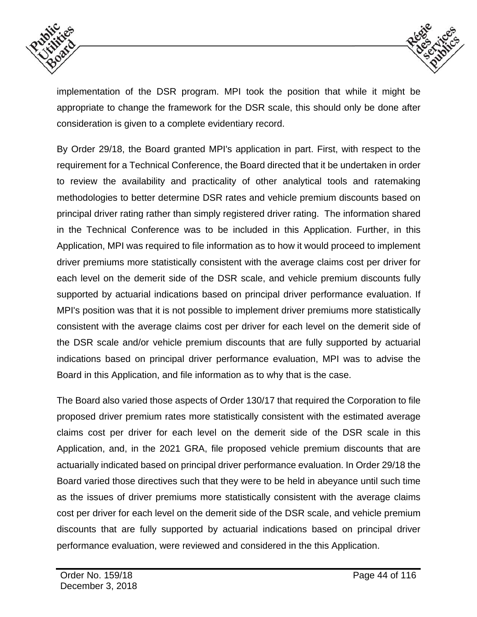



implementation of the DSR program. MPI took the position that while it might be appropriate to change the framework for the DSR scale, this should only be done after consideration is given to a complete evidentiary record.

By Order 29/18, the Board granted MPI's application in part. First, with respect to the requirement for a Technical Conference, the Board directed that it be undertaken in order to review the availability and practicality of other analytical tools and ratemaking methodologies to better determine DSR rates and vehicle premium discounts based on principal driver rating rather than simply registered driver rating. The information shared in the Technical Conference was to be included in this Application. Further, in this Application, MPI was required to file information as to how it would proceed to implement driver premiums more statistically consistent with the average claims cost per driver for each level on the demerit side of the DSR scale, and vehicle premium discounts fully supported by actuarial indications based on principal driver performance evaluation. If MPI's position was that it is not possible to implement driver premiums more statistically consistent with the average claims cost per driver for each level on the demerit side of the DSR scale and/or vehicle premium discounts that are fully supported by actuarial indications based on principal driver performance evaluation, MPI was to advise the Board in this Application, and file information as to why that is the case.

The Board also varied those aspects of Order 130/17 that required the Corporation to file proposed driver premium rates more statistically consistent with the estimated average claims cost per driver for each level on the demerit side of the DSR scale in this Application, and, in the 2021 GRA, file proposed vehicle premium discounts that are actuarially indicated based on principal driver performance evaluation. In Order 29/18 the Board varied those directives such that they were to be held in abeyance until such time as the issues of driver premiums more statistically consistent with the average claims cost per driver for each level on the demerit side of the DSR scale, and vehicle premium discounts that are fully supported by actuarial indications based on principal driver performance evaluation, were reviewed and considered in the this Application.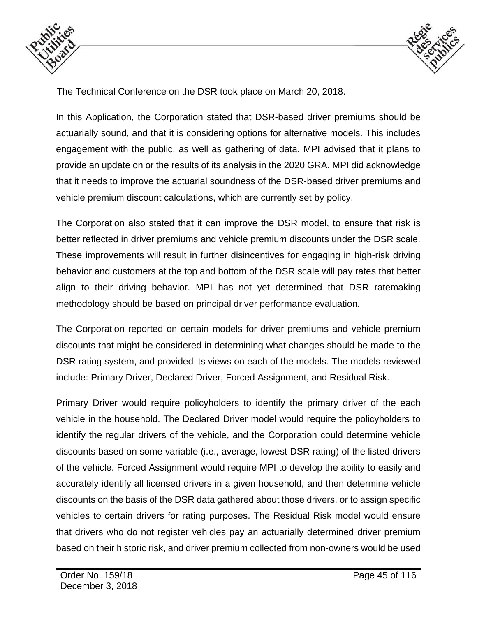



The Technical Conference on the DSR took place on March 20, 2018.

In this Application, the Corporation stated that DSR-based driver premiums should be actuarially sound, and that it is considering options for alternative models. This includes engagement with the public, as well as gathering of data. MPI advised that it plans to provide an update on or the results of its analysis in the 2020 GRA. MPI did acknowledge that it needs to improve the actuarial soundness of the DSR-based driver premiums and vehicle premium discount calculations, which are currently set by policy.

The Corporation also stated that it can improve the DSR model, to ensure that risk is better reflected in driver premiums and vehicle premium discounts under the DSR scale. These improvements will result in further disincentives for engaging in high-risk driving behavior and customers at the top and bottom of the DSR scale will pay rates that better align to their driving behavior. MPI has not yet determined that DSR ratemaking methodology should be based on principal driver performance evaluation.

The Corporation reported on certain models for driver premiums and vehicle premium discounts that might be considered in determining what changes should be made to the DSR rating system, and provided its views on each of the models. The models reviewed include: Primary Driver, Declared Driver, Forced Assignment, and Residual Risk.

Primary Driver would require policyholders to identify the primary driver of the each vehicle in the household. The Declared Driver model would require the policyholders to identify the regular drivers of the vehicle, and the Corporation could determine vehicle discounts based on some variable (i.e., average, lowest DSR rating) of the listed drivers of the vehicle. Forced Assignment would require MPI to develop the ability to easily and accurately identify all licensed drivers in a given household, and then determine vehicle discounts on the basis of the DSR data gathered about those drivers, or to assign specific vehicles to certain drivers for rating purposes. The Residual Risk model would ensure that drivers who do not register vehicles pay an actuarially determined driver premium based on their historic risk, and driver premium collected from non-owners would be used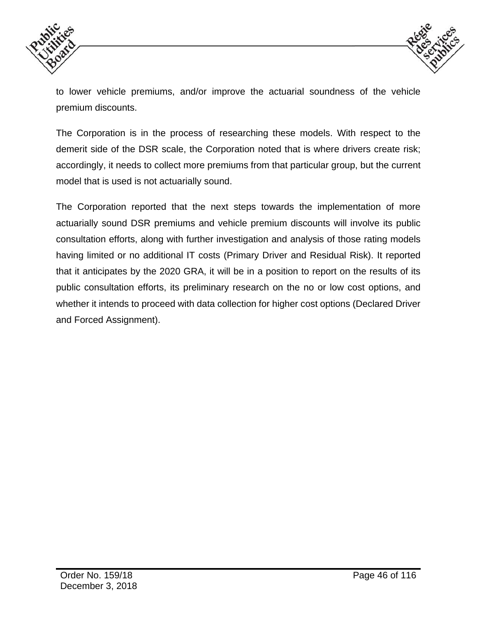



to lower vehicle premiums, and/or improve the actuarial soundness of the vehicle premium discounts.

The Corporation is in the process of researching these models. With respect to the demerit side of the DSR scale, the Corporation noted that is where drivers create risk; accordingly, it needs to collect more premiums from that particular group, but the current model that is used is not actuarially sound.

The Corporation reported that the next steps towards the implementation of more actuarially sound DSR premiums and vehicle premium discounts will involve its public consultation efforts, along with further investigation and analysis of those rating models having limited or no additional IT costs (Primary Driver and Residual Risk). It reported that it anticipates by the 2020 GRA, it will be in a position to report on the results of its public consultation efforts, its preliminary research on the no or low cost options, and whether it intends to proceed with data collection for higher cost options (Declared Driver and Forced Assignment).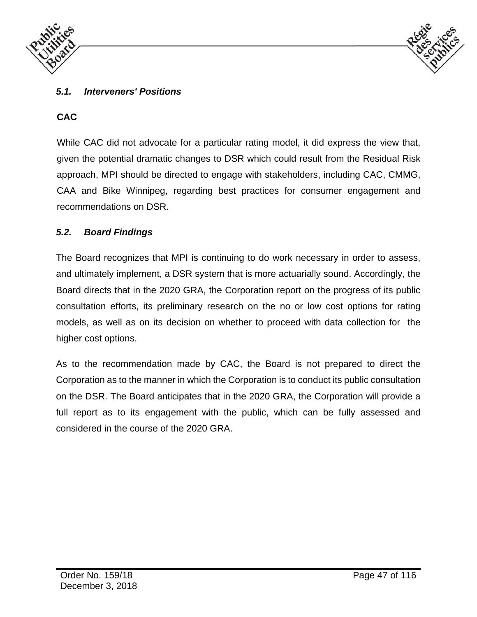



### *5.1. Interveners' Positions*

# **CAC**

While CAC did not advocate for a particular rating model, it did express the view that, given the potential dramatic changes to DSR which could result from the Residual Risk approach, MPI should be directed to engage with stakeholders, including CAC, CMMG, CAA and Bike Winnipeg, regarding best practices for consumer engagement and recommendations on DSR.

#### *5.2. Board Findings*

The Board recognizes that MPI is continuing to do work necessary in order to assess, and ultimately implement, a DSR system that is more actuarially sound. Accordingly, the Board directs that in the 2020 GRA, the Corporation report on the progress of its public consultation efforts, its preliminary research on the no or low cost options for rating models, as well as on its decision on whether to proceed with data collection for the higher cost options.

As to the recommendation made by CAC, the Board is not prepared to direct the Corporation as to the manner in which the Corporation is to conduct its public consultation on the DSR. The Board anticipates that in the 2020 GRA, the Corporation will provide a full report as to its engagement with the public, which can be fully assessed and considered in the course of the 2020 GRA.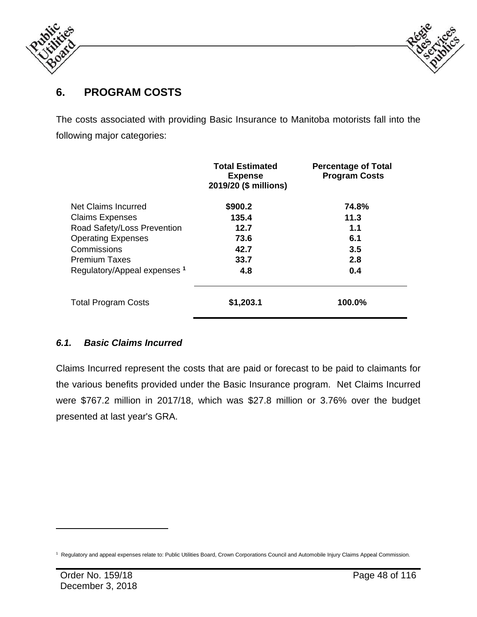



# **6. PROGRAM COSTS**

The costs associated with providing Basic Insurance to Manitoba motorists fall into the following major categories:

|                                         | <b>Total Estimated</b><br><b>Expense</b><br>2019/20 (\$ millions) | <b>Percentage of Total</b><br><b>Program Costs</b> |
|-----------------------------------------|-------------------------------------------------------------------|----------------------------------------------------|
| Net Claims Incurred                     | \$900.2                                                           | 74.8%                                              |
| <b>Claims Expenses</b>                  | 135.4                                                             | 11.3                                               |
| Road Safety/Loss Prevention             | 12.7                                                              | 1.1                                                |
| <b>Operating Expenses</b>               | 73.6                                                              | 6.1                                                |
| Commissions                             | 42.7                                                              | 3.5                                                |
| <b>Premium Taxes</b>                    | 33.7                                                              | 2.8                                                |
| Regulatory/Appeal expenses <sup>1</sup> | 4.8                                                               | 0.4                                                |
| <b>Total Program Costs</b>              | \$1,203.1                                                         | 100.0%                                             |

### *6.1. Basic Claims Incurred*

Claims Incurred represent the costs that are paid or forecast to be paid to claimants for the various benefits provided under the Basic Insurance program. Net Claims Incurred were \$767.2 million in 2017/18, which was \$27.8 million or 3.76% over the budget presented at last year's GRA.

 $\overline{a}$ 

<sup>1</sup> Regulatory and appeal expenses relate to: Public Utilities Board, Crown Corporations Council and Automobile Injury Claims Appeal Commission.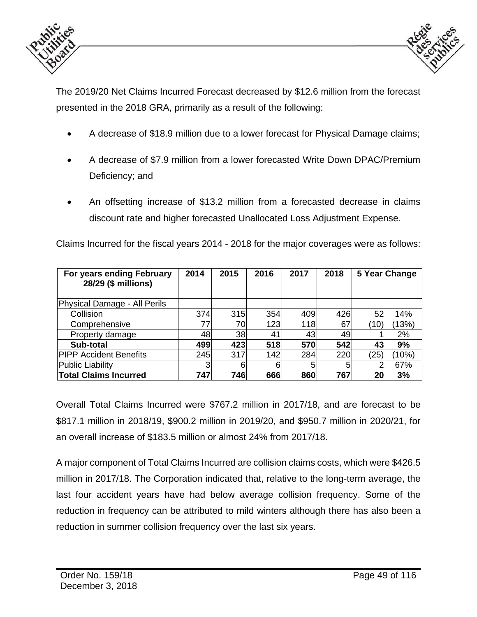



The 2019/20 Net Claims Incurred Forecast decreased by \$12.6 million from the forecast presented in the 2018 GRA, primarily as a result of the following:

- A decrease of \$18.9 million due to a lower forecast for Physical Damage claims;
- A decrease of \$7.9 million from a lower forecasted Write Down DPAC/Premium Deficiency; and
- An offsetting increase of \$13.2 million from a forecasted decrease in claims discount rate and higher forecasted Unallocated Loss Adjustment Expense.

Claims Incurred for the fiscal years 2014 - 2018 for the major coverages were as follows:

| For years ending February<br>28/29 (\$ millions) | 2014 | 2015 | 2016 | 2017 | 2018 |      | 5 Year Change |
|--------------------------------------------------|------|------|------|------|------|------|---------------|
| Physical Damage - All Perils                     |      |      |      |      |      |      |               |
| Collision                                        | 374  | 315  | 354  | 409  | 426  | 52   | 14%           |
| Comprehensive                                    | 77   | 70   | 123  | 118  | 67   | (10) | (13%)         |
| Property damage                                  | 48   | 38   | 41   | 43   | 49   |      | 2%            |
| Sub-total                                        | 499  | 423  | 518  | 570  | 542  | 43   | 9%            |
| <b>PIPP Accident Benefits</b>                    | 245  | 317  | 142  | 284  | 220  | (25) | (10%)         |
| <b>Public Liability</b>                          |      | 6    | 6    | 5    |      | 2    | 67%           |
| <b>Total Claims Incurred</b>                     | 747  | 746  | 666  | 860  | 767  | 20   | 3%            |

Overall Total Claims Incurred were \$767.2 million in 2017/18, and are forecast to be \$817.1 million in 2018/19, \$900.2 million in 2019/20, and \$950.7 million in 2020/21, for an overall increase of \$183.5 million or almost 24% from 2017/18.

A major component of Total Claims Incurred are collision claims costs, which were \$426.5 million in 2017/18. The Corporation indicated that, relative to the long-term average, the last four accident years have had below average collision frequency. Some of the reduction in frequency can be attributed to mild winters although there has also been a reduction in summer collision frequency over the last six years.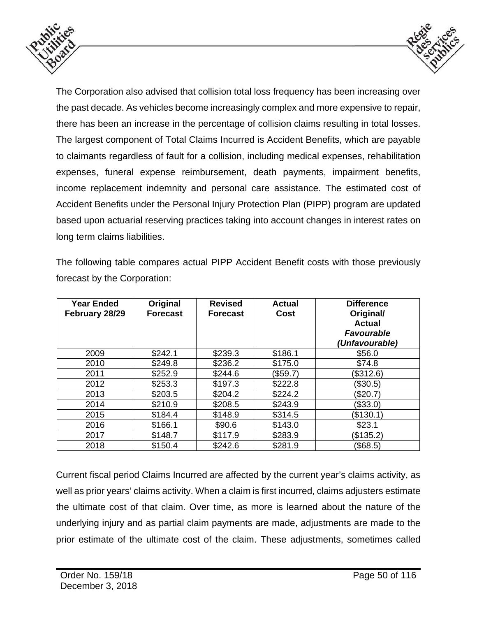



The Corporation also advised that collision total loss frequency has been increasing over the past decade. As vehicles become increasingly complex and more expensive to repair, there has been an increase in the percentage of collision claims resulting in total losses. The largest component of Total Claims Incurred is Accident Benefits, which are payable to claimants regardless of fault for a collision, including medical expenses, rehabilitation expenses, funeral expense reimbursement, death payments, impairment benefits, income replacement indemnity and personal care assistance. The estimated cost of Accident Benefits under the Personal Injury Protection Plan (PIPP) program are updated based upon actuarial reserving practices taking into account changes in interest rates on long term claims liabilities.

The following table compares actual PIPP Accident Benefit costs with those previously forecast by the Corporation:

| <b>Year Ended</b><br>February 28/29 | Original<br><b>Forecast</b> | <b>Revised</b><br><b>Forecast</b> | <b>Actual</b><br>Cost | <b>Difference</b><br>Original/<br><b>Actual</b><br><b>Favourable</b><br>(Unfavourable) |
|-------------------------------------|-----------------------------|-----------------------------------|-----------------------|----------------------------------------------------------------------------------------|
| 2009                                | \$242.1                     | \$239.3                           | \$186.1               | \$56.0                                                                                 |
| 2010                                | \$249.8                     | \$236.2                           | \$175.0               | \$74.8                                                                                 |
| 2011                                | \$252.9                     | \$244.6                           | (\$59.7)              | (\$312.6)                                                                              |
| 2012                                | \$253.3                     | \$197.3                           | \$222.8               | (\$30.5)                                                                               |
| 2013                                | \$203.5                     | \$204.2                           | \$224.2               | (\$20.7)                                                                               |
| 2014                                | \$210.9                     | \$208.5                           | \$243.9               | (\$33.0)                                                                               |
| 2015                                | \$184.4                     | \$148.9                           | \$314.5               | (\$130.1)                                                                              |
| 2016                                | \$166.1                     | \$90.6                            | \$143.0               | \$23.1                                                                                 |
| 2017                                | \$148.7                     | \$117.9                           | \$283.9               | (\$135.2)                                                                              |
| 2018                                | \$150.4                     | \$242.6                           | \$281.9               | (\$68.5)                                                                               |

Current fiscal period Claims Incurred are affected by the current year's claims activity, as well as prior years' claims activity. When a claim is first incurred, claims adjusters estimate the ultimate cost of that claim. Over time, as more is learned about the nature of the underlying injury and as partial claim payments are made, adjustments are made to the prior estimate of the ultimate cost of the claim. These adjustments, sometimes called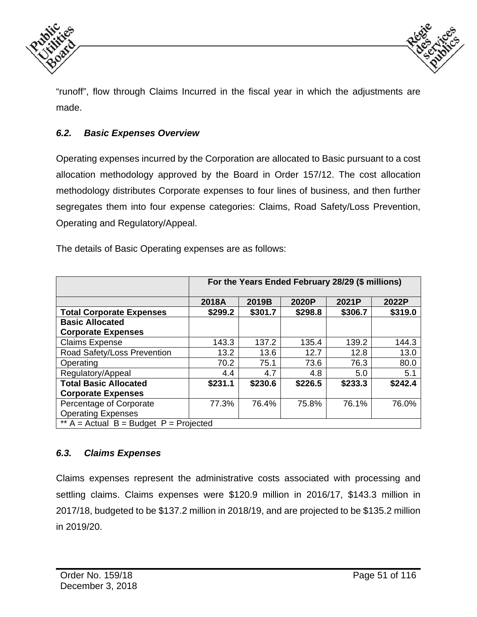



"runoff", flow through Claims Incurred in the fiscal year in which the adjustments are made.

# *6.2. Basic Expenses Overview*

Operating expenses incurred by the Corporation are allocated to Basic pursuant to a cost allocation methodology approved by the Board in Order 157/12. The cost allocation methodology distributes Corporate expenses to four lines of business, and then further segregates them into four expense categories: Claims, Road Safety/Loss Prevention, Operating and Regulatory/Appeal.

The details of Basic Operating expenses are as follows:

|                                          | For the Years Ended February 28/29 (\$ millions) |         |         |         |         |  |  |  |
|------------------------------------------|--------------------------------------------------|---------|---------|---------|---------|--|--|--|
|                                          | 2018A<br>2019B<br>2021P<br>2020P<br>2022P        |         |         |         |         |  |  |  |
| <b>Total Corporate Expenses</b>          | \$299.2                                          | \$301.7 | \$298.8 | \$306.7 | \$319.0 |  |  |  |
| <b>Basic Allocated</b>                   |                                                  |         |         |         |         |  |  |  |
| <b>Corporate Expenses</b>                |                                                  |         |         |         |         |  |  |  |
| <b>Claims Expense</b>                    | 143.3                                            | 137.2   | 135.4   | 139.2   | 144.3   |  |  |  |
| Road Safety/Loss Prevention              | 13.2                                             | 13.6    | 12.7    | 12.8    | 13.0    |  |  |  |
| Operating                                | 70.2                                             | 75.1    | 73.6    | 76.3    | 80.0    |  |  |  |
| Regulatory/Appeal                        | 4.4                                              | 4.7     | 4.8     | 5.0     | 5.1     |  |  |  |
| <b>Total Basic Allocated</b>             | \$231.1                                          | \$230.6 | \$226.5 | \$233.3 | \$242.4 |  |  |  |
| <b>Corporate Expenses</b>                |                                                  |         |         |         |         |  |  |  |
| Percentage of Corporate                  | 77.3%                                            | 76.4%   | 75.8%   | 76.1%   | 76.0%   |  |  |  |
| <b>Operating Expenses</b>                |                                                  |         |         |         |         |  |  |  |
| ** $A =$ Actual B = Budget P = Projected |                                                  |         |         |         |         |  |  |  |

### *6.3. Claims Expenses*

Claims expenses represent the administrative costs associated with processing and settling claims. Claims expenses were \$120.9 million in 2016/17, \$143.3 million in 2017/18, budgeted to be \$137.2 million in 2018/19, and are projected to be \$135.2 million in 2019/20.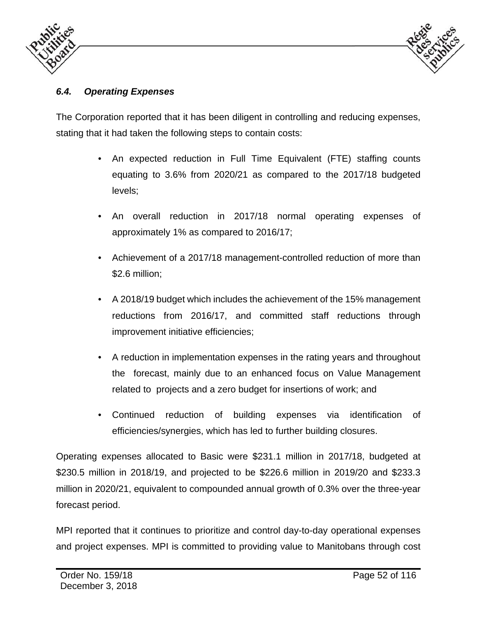



# *6.4. Operating Expenses*

The Corporation reported that it has been diligent in controlling and reducing expenses, stating that it had taken the following steps to contain costs:

- An expected reduction in Full Time Equivalent (FTE) staffing counts equating to 3.6% from 2020/21 as compared to the 2017/18 budgeted levels;
- An overall reduction in 2017/18 normal operating expenses of approximately 1% as compared to 2016/17;
- Achievement of a 2017/18 management-controlled reduction of more than \$2.6 million;
- A 2018/19 budget which includes the achievement of the 15% management reductions from 2016/17, and committed staff reductions through improvement initiative efficiencies;
- A reduction in implementation expenses in the rating years and throughout the forecast, mainly due to an enhanced focus on Value Management related to projects and a zero budget for insertions of work; and
- Continued reduction of building expenses via identification of efficiencies/synergies, which has led to further building closures.

Operating expenses allocated to Basic were \$231.1 million in 2017/18, budgeted at \$230.5 million in 2018/19, and projected to be \$226.6 million in 2019/20 and \$233.3 million in 2020/21, equivalent to compounded annual growth of 0.3% over the three-year forecast period.

MPI reported that it continues to prioritize and control day-to-day operational expenses and project expenses. MPI is committed to providing value to Manitobans through cost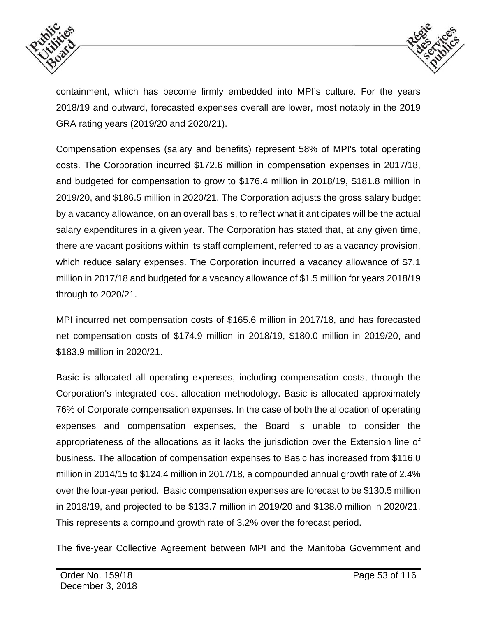



containment, which has become firmly embedded into MPI's culture. For the years 2018/19 and outward, forecasted expenses overall are lower, most notably in the 2019 GRA rating years (2019/20 and 2020/21).

Compensation expenses (salary and benefits) represent 58% of MPI's total operating costs. The Corporation incurred \$172.6 million in compensation expenses in 2017/18, and budgeted for compensation to grow to \$176.4 million in 2018/19, \$181.8 million in 2019/20, and \$186.5 million in 2020/21. The Corporation adjusts the gross salary budget by a vacancy allowance, on an overall basis, to reflect what it anticipates will be the actual salary expenditures in a given year. The Corporation has stated that, at any given time, there are vacant positions within its staff complement, referred to as a vacancy provision, which reduce salary expenses. The Corporation incurred a vacancy allowance of \$7.1 million in 2017/18 and budgeted for a vacancy allowance of \$1.5 million for years 2018/19 through to 2020/21.

MPI incurred net compensation costs of \$165.6 million in 2017/18, and has forecasted net compensation costs of \$174.9 million in 2018/19, \$180.0 million in 2019/20, and \$183.9 million in 2020/21.

Basic is allocated all operating expenses, including compensation costs, through the Corporation's integrated cost allocation methodology. Basic is allocated approximately 76% of Corporate compensation expenses. In the case of both the allocation of operating expenses and compensation expenses, the Board is unable to consider the appropriateness of the allocations as it lacks the jurisdiction over the Extension line of business. The allocation of compensation expenses to Basic has increased from \$116.0 million in 2014/15 to \$124.4 million in 2017/18, a compounded annual growth rate of 2.4% over the four-year period. Basic compensation expenses are forecast to be \$130.5 million in 2018/19, and projected to be \$133.7 million in 2019/20 and \$138.0 million in 2020/21. This represents a compound growth rate of 3.2% over the forecast period.

The five-year Collective Agreement between MPI and the Manitoba Government and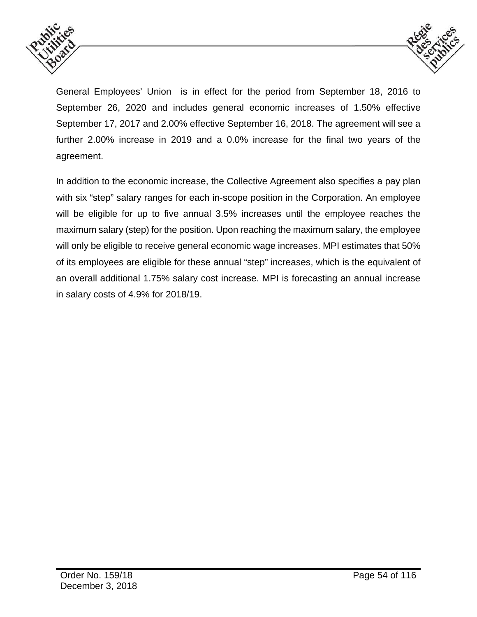



General Employees' Union is in effect for the period from September 18, 2016 to September 26, 2020 and includes general economic increases of 1.50% effective September 17, 2017 and 2.00% effective September 16, 2018. The agreement will see a further 2.00% increase in 2019 and a 0.0% increase for the final two years of the agreement.

In addition to the economic increase, the Collective Agreement also specifies a pay plan with six "step" salary ranges for each in-scope position in the Corporation. An employee will be eligible for up to five annual 3.5% increases until the employee reaches the maximum salary (step) for the position. Upon reaching the maximum salary, the employee will only be eligible to receive general economic wage increases. MPI estimates that 50% of its employees are eligible for these annual "step" increases, which is the equivalent of an overall additional 1.75% salary cost increase. MPI is forecasting an annual increase in salary costs of 4.9% for 2018/19.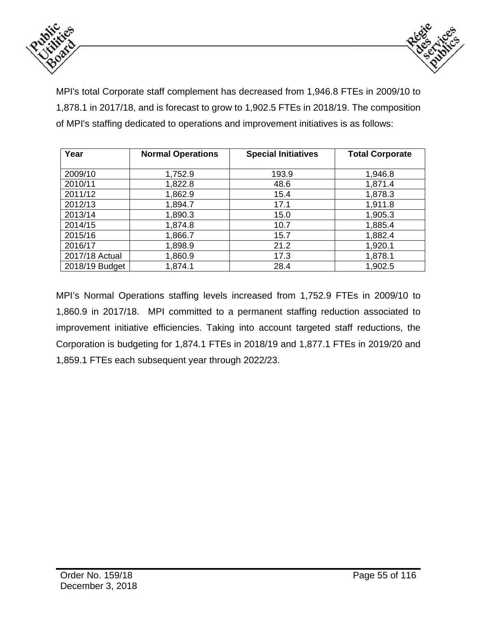



MPI's total Corporate staff complement has decreased from 1,946.8 FTEs in 2009/10 to 1,878.1 in 2017/18, and is forecast to grow to 1,902.5 FTEs in 2018/19. The composition of MPI's staffing dedicated to operations and improvement initiatives is as follows:

| Year           | <b>Normal Operations</b> | <b>Total Corporate</b> |         |  |
|----------------|--------------------------|------------------------|---------|--|
|                |                          |                        |         |  |
| 2009/10        | 1,752.9                  | 193.9                  | 1,946.8 |  |
| 2010/11        | 1,822.8                  | 48.6                   | 1,871.4 |  |
| 2011/12        | 1,862.9                  | 15.4                   | 1,878.3 |  |
| 2012/13        | 1,894.7                  | 17.1                   | 1,911.8 |  |
| 2013/14        | 1,890.3                  | 15.0                   | 1,905.3 |  |
| 2014/15        | 1,874.8                  | 10.7                   | 1,885.4 |  |
| 2015/16        | 1,866.7                  | 15.7                   | 1,882.4 |  |
| 2016/17        | 1,898.9                  | 21.2                   | 1,920.1 |  |
| 2017/18 Actual | 1,860.9                  | 17.3                   | 1,878.1 |  |
| 2018/19 Budget | 1,874.1                  | 28.4                   | 1,902.5 |  |

MPI's Normal Operations staffing levels increased from 1,752.9 FTEs in 2009/10 to 1,860.9 in 2017/18. MPI committed to a permanent staffing reduction associated to improvement initiative efficiencies. Taking into account targeted staff reductions, the Corporation is budgeting for 1,874.1 FTEs in 2018/19 and 1,877.1 FTEs in 2019/20 and 1,859.1 FTEs each subsequent year through 2022/23.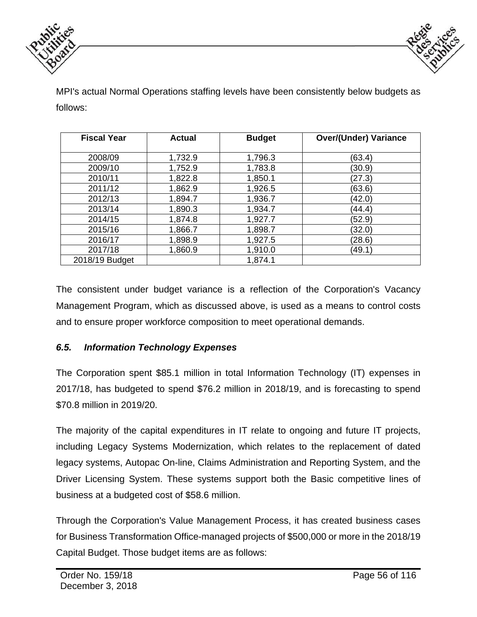



MPI's actual Normal Operations staffing levels have been consistently below budgets as follows:

| <b>Fiscal Year</b> | <b>Actual</b> | <b>Budget</b> | <b>Over/(Under) Variance</b> |
|--------------------|---------------|---------------|------------------------------|
|                    |               |               |                              |
| 2008/09            | 1,732.9       | 1,796.3       | (63.4)                       |
| 2009/10            | 1,752.9       | 1,783.8       | (30.9)                       |
| 2010/11            | 1,822.8       | 1,850.1       | (27.3)                       |
| 2011/12            | 1,862.9       | 1,926.5       | (63.6)                       |
| 2012/13            | 1,894.7       | 1,936.7       | (42.0)                       |
| 2013/14            | 1,890.3       | 1,934.7       | (44.4)                       |
| 2014/15            | 1,874.8       | 1,927.7       | (52.9)                       |
| 2015/16            | 1,866.7       | 1,898.7       | (32.0)                       |
| 2016/17            | 1,898.9       | 1,927.5       | (28.6)                       |
| 2017/18            | 1,860.9       | 1,910.0       | (49.1)                       |
| 2018/19 Budget     |               | 1,874.1       |                              |

The consistent under budget variance is a reflection of the Corporation's Vacancy Management Program, which as discussed above, is used as a means to control costs and to ensure proper workforce composition to meet operational demands.

### *6.5. Information Technology Expenses*

The Corporation spent \$85.1 million in total Information Technology (IT) expenses in 2017/18, has budgeted to spend \$76.2 million in 2018/19, and is forecasting to spend \$70.8 million in 2019/20.

The majority of the capital expenditures in IT relate to ongoing and future IT projects, including Legacy Systems Modernization, which relates to the replacement of dated legacy systems, Autopac On-line, Claims Administration and Reporting System, and the Driver Licensing System. These systems support both the Basic competitive lines of business at a budgeted cost of \$58.6 million.

Through the Corporation's Value Management Process, it has created business cases for Business Transformation Office-managed projects of \$500,000 or more in the 2018/19 Capital Budget. Those budget items are as follows: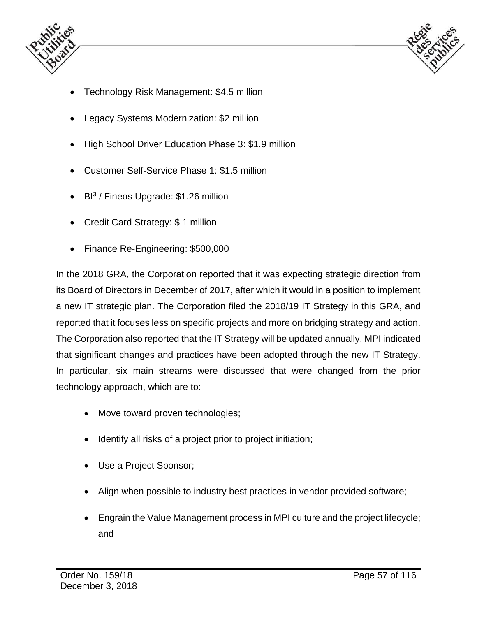



- Technology Risk Management: \$4.5 million
- Legacy Systems Modernization: \$2 million
- High School Driver Education Phase 3: \$1.9 million
- Customer Self-Service Phase 1: \$1.5 million
- $\bullet$  BI<sup>3</sup> / Fineos Upgrade: \$1.26 million
- Credit Card Strategy: \$1 million
- Finance Re-Engineering: \$500,000

In the 2018 GRA, the Corporation reported that it was expecting strategic direction from its Board of Directors in December of 2017, after which it would in a position to implement a new IT strategic plan. The Corporation filed the 2018/19 IT Strategy in this GRA, and reported that it focuses less on specific projects and more on bridging strategy and action. The Corporation also reported that the IT Strategy will be updated annually. MPI indicated that significant changes and practices have been adopted through the new IT Strategy. In particular, six main streams were discussed that were changed from the prior technology approach, which are to:

- Move toward proven technologies;
- Identify all risks of a project prior to project initiation;
- Use a Project Sponsor;
- Align when possible to industry best practices in vendor provided software;
- Engrain the Value Management process in MPI culture and the project lifecycle; and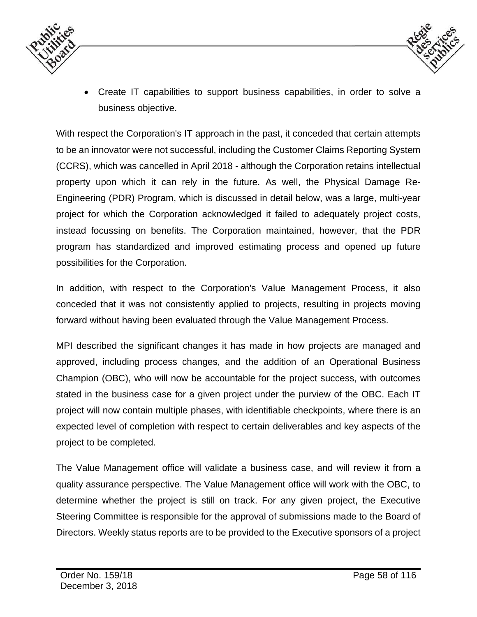



 Create IT capabilities to support business capabilities, in order to solve a business objective.

With respect the Corporation's IT approach in the past, it conceded that certain attempts to be an innovator were not successful, including the Customer Claims Reporting System (CCRS), which was cancelled in April 2018 - although the Corporation retains intellectual property upon which it can rely in the future. As well, the Physical Damage Re-Engineering (PDR) Program, which is discussed in detail below, was a large, multi-year project for which the Corporation acknowledged it failed to adequately project costs, instead focussing on benefits. The Corporation maintained, however, that the PDR program has standardized and improved estimating process and opened up future possibilities for the Corporation.

In addition, with respect to the Corporation's Value Management Process, it also conceded that it was not consistently applied to projects, resulting in projects moving forward without having been evaluated through the Value Management Process.

MPI described the significant changes it has made in how projects are managed and approved, including process changes, and the addition of an Operational Business Champion (OBC), who will now be accountable for the project success, with outcomes stated in the business case for a given project under the purview of the OBC. Each IT project will now contain multiple phases, with identifiable checkpoints, where there is an expected level of completion with respect to certain deliverables and key aspects of the project to be completed.

The Value Management office will validate a business case, and will review it from a quality assurance perspective. The Value Management office will work with the OBC, to determine whether the project is still on track. For any given project, the Executive Steering Committee is responsible for the approval of submissions made to the Board of Directors. Weekly status reports are to be provided to the Executive sponsors of a project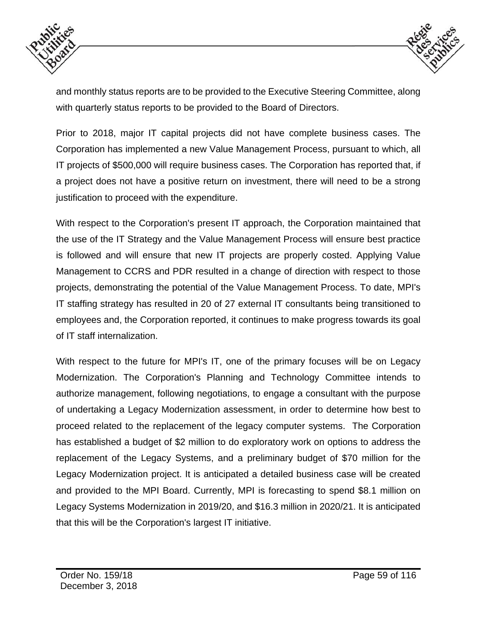



and monthly status reports are to be provided to the Executive Steering Committee, along with quarterly status reports to be provided to the Board of Directors.

Prior to 2018, major IT capital projects did not have complete business cases. The Corporation has implemented a new Value Management Process, pursuant to which, all IT projects of \$500,000 will require business cases. The Corporation has reported that, if a project does not have a positive return on investment, there will need to be a strong justification to proceed with the expenditure.

With respect to the Corporation's present IT approach, the Corporation maintained that the use of the IT Strategy and the Value Management Process will ensure best practice is followed and will ensure that new IT projects are properly costed. Applying Value Management to CCRS and PDR resulted in a change of direction with respect to those projects, demonstrating the potential of the Value Management Process. To date, MPI's IT staffing strategy has resulted in 20 of 27 external IT consultants being transitioned to employees and, the Corporation reported, it continues to make progress towards its goal of IT staff internalization.

With respect to the future for MPI's IT, one of the primary focuses will be on Legacy Modernization. The Corporation's Planning and Technology Committee intends to authorize management, following negotiations, to engage a consultant with the purpose of undertaking a Legacy Modernization assessment, in order to determine how best to proceed related to the replacement of the legacy computer systems. The Corporation has established a budget of \$2 million to do exploratory work on options to address the replacement of the Legacy Systems, and a preliminary budget of \$70 million for the Legacy Modernization project. It is anticipated a detailed business case will be created and provided to the MPI Board. Currently, MPI is forecasting to spend \$8.1 million on Legacy Systems Modernization in 2019/20, and \$16.3 million in 2020/21. It is anticipated that this will be the Corporation's largest IT initiative.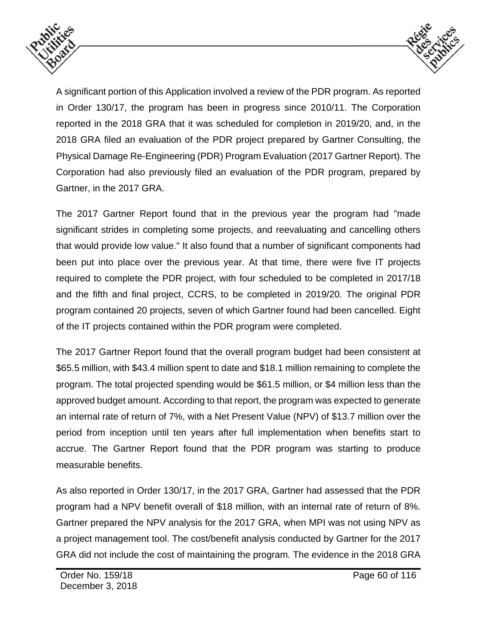



A significant portion of this Application involved a review of the PDR program. As reported in Order 130/17, the program has been in progress since 2010/11. The Corporation reported in the 2018 GRA that it was scheduled for completion in 2019/20, and, in the 2018 GRA filed an evaluation of the PDR project prepared by Gartner Consulting, the Physical Damage Re-Engineering (PDR) Program Evaluation (2017 Gartner Report). The Corporation had also previously filed an evaluation of the PDR program, prepared by Gartner, in the 2017 GRA.

The 2017 Gartner Report found that in the previous year the program had "made significant strides in completing some projects, and reevaluating and cancelling others that would provide low value." It also found that a number of significant components had been put into place over the previous year. At that time, there were five IT projects required to complete the PDR project, with four scheduled to be completed in 2017/18 and the fifth and final project, CCRS, to be completed in 2019/20. The original PDR program contained 20 projects, seven of which Gartner found had been cancelled. Eight of the IT projects contained within the PDR program were completed.

The 2017 Gartner Report found that the overall program budget had been consistent at \$65.5 million, with \$43.4 million spent to date and \$18.1 million remaining to complete the program. The total projected spending would be \$61.5 million, or \$4 million less than the approved budget amount. According to that report, the program was expected to generate an internal rate of return of 7%, with a Net Present Value (NPV) of \$13.7 million over the period from inception until ten years after full implementation when benefits start to accrue. The Gartner Report found that the PDR program was starting to produce measurable benefits.

As also reported in Order 130/17, in the 2017 GRA, Gartner had assessed that the PDR program had a NPV benefit overall of \$18 million, with an internal rate of return of 8%. Gartner prepared the NPV analysis for the 2017 GRA, when MPI was not using NPV as a project management tool. The cost/benefit analysis conducted by Gartner for the 2017 GRA did not include the cost of maintaining the program. The evidence in the 2018 GRA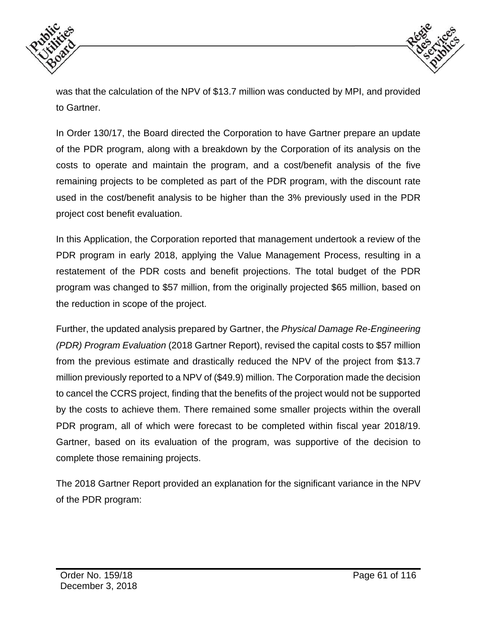



was that the calculation of the NPV of \$13.7 million was conducted by MPI, and provided to Gartner.

In Order 130/17, the Board directed the Corporation to have Gartner prepare an update of the PDR program, along with a breakdown by the Corporation of its analysis on the costs to operate and maintain the program, and a cost/benefit analysis of the five remaining projects to be completed as part of the PDR program, with the discount rate used in the cost/benefit analysis to be higher than the 3% previously used in the PDR project cost benefit evaluation.

In this Application, the Corporation reported that management undertook a review of the PDR program in early 2018, applying the Value Management Process, resulting in a restatement of the PDR costs and benefit projections. The total budget of the PDR program was changed to \$57 million, from the originally projected \$65 million, based on the reduction in scope of the project.

Further, the updated analysis prepared by Gartner, the *Physical Damage Re-Engineering (PDR) Program Evaluation* (2018 Gartner Report), revised the capital costs to \$57 million from the previous estimate and drastically reduced the NPV of the project from \$13.7 million previously reported to a NPV of (\$49.9) million. The Corporation made the decision to cancel the CCRS project, finding that the benefits of the project would not be supported by the costs to achieve them. There remained some smaller projects within the overall PDR program, all of which were forecast to be completed within fiscal year 2018/19. Gartner, based on its evaluation of the program, was supportive of the decision to complete those remaining projects.

The 2018 Gartner Report provided an explanation for the significant variance in the NPV of the PDR program: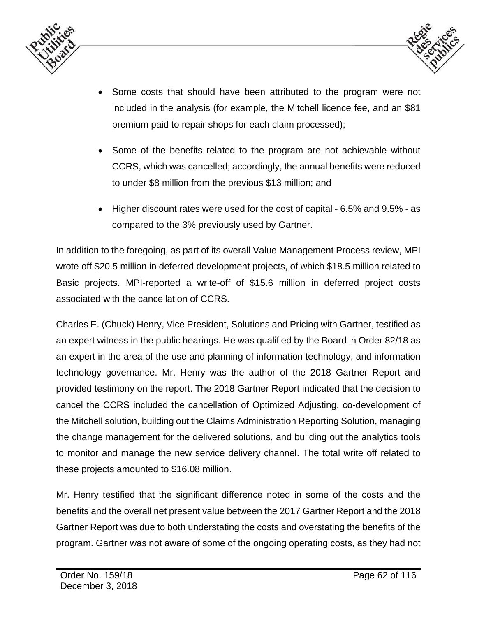



- Some costs that should have been attributed to the program were not included in the analysis (for example, the Mitchell licence fee, and an \$81 premium paid to repair shops for each claim processed);
- Some of the benefits related to the program are not achievable without CCRS, which was cancelled; accordingly, the annual benefits were reduced to under \$8 million from the previous \$13 million; and
- Higher discount rates were used for the cost of capital 6.5% and 9.5% as compared to the 3% previously used by Gartner.

In addition to the foregoing, as part of its overall Value Management Process review, MPI wrote off \$20.5 million in deferred development projects, of which \$18.5 million related to Basic projects. MPI-reported a write-off of \$15.6 million in deferred project costs associated with the cancellation of CCRS.

Charles E. (Chuck) Henry, Vice President, Solutions and Pricing with Gartner, testified as an expert witness in the public hearings. He was qualified by the Board in Order 82/18 as an expert in the area of the use and planning of information technology, and information technology governance. Mr. Henry was the author of the 2018 Gartner Report and provided testimony on the report. The 2018 Gartner Report indicated that the decision to cancel the CCRS included the cancellation of Optimized Adjusting, co-development of the Mitchell solution, building out the Claims Administration Reporting Solution, managing the change management for the delivered solutions, and building out the analytics tools to monitor and manage the new service delivery channel. The total write off related to these projects amounted to \$16.08 million.

Mr. Henry testified that the significant difference noted in some of the costs and the benefits and the overall net present value between the 2017 Gartner Report and the 2018 Gartner Report was due to both understating the costs and overstating the benefits of the program. Gartner was not aware of some of the ongoing operating costs, as they had not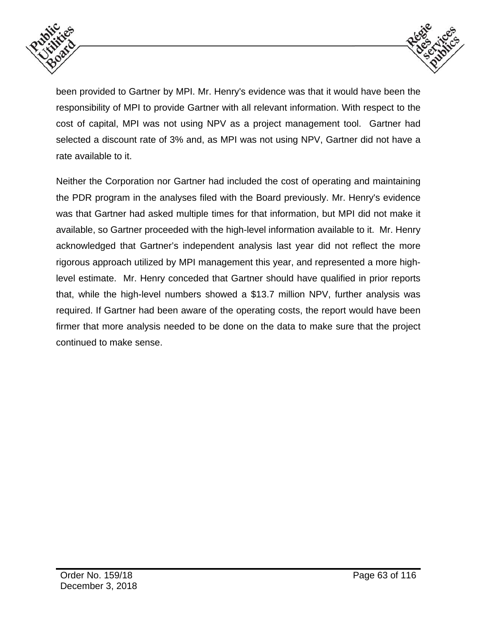



been provided to Gartner by MPI. Mr. Henry's evidence was that it would have been the responsibility of MPI to provide Gartner with all relevant information. With respect to the cost of capital, MPI was not using NPV as a project management tool. Gartner had selected a discount rate of 3% and, as MPI was not using NPV, Gartner did not have a rate available to it.

Neither the Corporation nor Gartner had included the cost of operating and maintaining the PDR program in the analyses filed with the Board previously. Mr. Henry's evidence was that Gartner had asked multiple times for that information, but MPI did not make it available, so Gartner proceeded with the high-level information available to it. Mr. Henry acknowledged that Gartner's independent analysis last year did not reflect the more rigorous approach utilized by MPI management this year, and represented a more highlevel estimate. Mr. Henry conceded that Gartner should have qualified in prior reports that, while the high-level numbers showed a \$13.7 million NPV, further analysis was required. If Gartner had been aware of the operating costs, the report would have been firmer that more analysis needed to be done on the data to make sure that the project continued to make sense.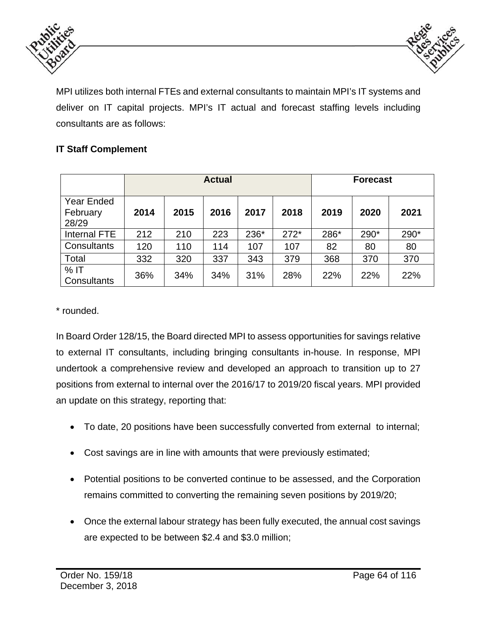



MPI utilizes both internal FTEs and external consultants to maintain MPI's IT systems and deliver on IT capital projects. MPI's IT actual and forecast staffing levels including consultants are as follows:

# **IT Staff Complement**

|                                        | <b>Actual</b> |      |      |      |        |      | <b>Forecast</b> |      |
|----------------------------------------|---------------|------|------|------|--------|------|-----------------|------|
| <b>Year Ended</b><br>February<br>28/29 | 2014          | 2015 | 2016 | 2017 | 2018   | 2019 | 2020            | 2021 |
| Internal FTE                           | 212           | 210  | 223  | 236* | $272*$ | 286* | 290*            | 290* |
| Consultants                            | 120           | 110  | 114  | 107  | 107    | 82   | 80              | 80   |
| Total                                  | 332           | 320  | 337  | 343  | 379    | 368  | 370             | 370  |
| $%$ IT<br>Consultants                  | 36%           | 34%  | 34%  | 31%  | 28%    | 22%  | 22%             | 22%  |

\* rounded.

In Board Order 128/15, the Board directed MPI to assess opportunities for savings relative to external IT consultants, including bringing consultants in-house. In response, MPI undertook a comprehensive review and developed an approach to transition up to 27 positions from external to internal over the 2016/17 to 2019/20 fiscal years. MPI provided an update on this strategy, reporting that:

- To date, 20 positions have been successfully converted from external to internal;
- Cost savings are in line with amounts that were previously estimated;
- Potential positions to be converted continue to be assessed, and the Corporation remains committed to converting the remaining seven positions by 2019/20;
- Once the external labour strategy has been fully executed, the annual cost savings are expected to be between \$2.4 and \$3.0 million;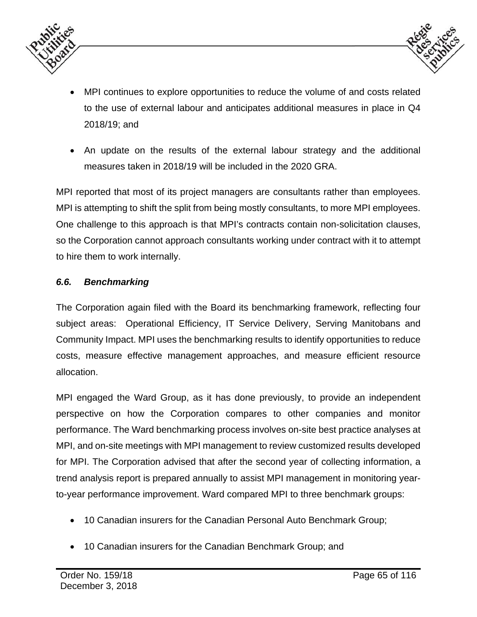



- MPI continues to explore opportunities to reduce the volume of and costs related to the use of external labour and anticipates additional measures in place in Q4 2018/19; and
- An update on the results of the external labour strategy and the additional measures taken in 2018/19 will be included in the 2020 GRA.

MPI reported that most of its project managers are consultants rather than employees. MPI is attempting to shift the split from being mostly consultants, to more MPI employees. One challenge to this approach is that MPI's contracts contain non-solicitation clauses, so the Corporation cannot approach consultants working under contract with it to attempt to hire them to work internally.

#### *6.6. Benchmarking*

The Corporation again filed with the Board its benchmarking framework, reflecting four subject areas: Operational Efficiency, IT Service Delivery, Serving Manitobans and Community Impact. MPI uses the benchmarking results to identify opportunities to reduce costs, measure effective management approaches, and measure efficient resource allocation.

MPI engaged the Ward Group, as it has done previously, to provide an independent perspective on how the Corporation compares to other companies and monitor performance. The Ward benchmarking process involves on-site best practice analyses at MPI, and on-site meetings with MPI management to review customized results developed for MPI. The Corporation advised that after the second year of collecting information, a trend analysis report is prepared annually to assist MPI management in monitoring yearto-year performance improvement. Ward compared MPI to three benchmark groups:

- 10 Canadian insurers for the Canadian Personal Auto Benchmark Group;
- 10 Canadian insurers for the Canadian Benchmark Group; and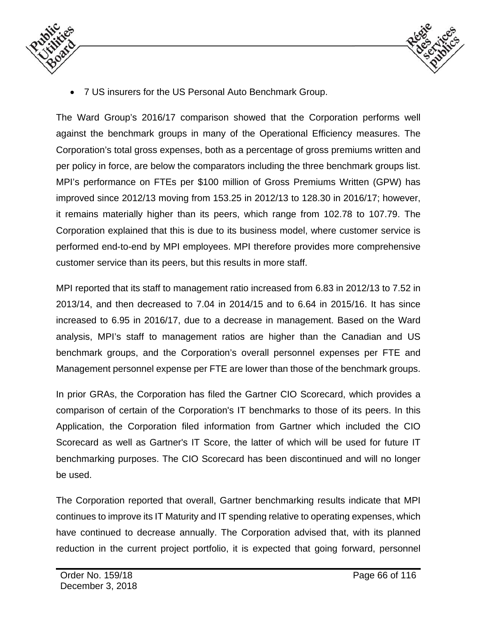



7 US insurers for the US Personal Auto Benchmark Group.

The Ward Group's 2016/17 comparison showed that the Corporation performs well against the benchmark groups in many of the Operational Efficiency measures. The Corporation's total gross expenses, both as a percentage of gross premiums written and per policy in force, are below the comparators including the three benchmark groups list. MPI's performance on FTEs per \$100 million of Gross Premiums Written (GPW) has improved since 2012/13 moving from 153.25 in 2012/13 to 128.30 in 2016/17; however, it remains materially higher than its peers, which range from 102.78 to 107.79. The Corporation explained that this is due to its business model, where customer service is performed end-to-end by MPI employees. MPI therefore provides more comprehensive customer service than its peers, but this results in more staff.

MPI reported that its staff to management ratio increased from 6.83 in 2012/13 to 7.52 in 2013/14, and then decreased to 7.04 in 2014/15 and to 6.64 in 2015/16. It has since increased to 6.95 in 2016/17, due to a decrease in management. Based on the Ward analysis, MPI's staff to management ratios are higher than the Canadian and US benchmark groups, and the Corporation's overall personnel expenses per FTE and Management personnel expense per FTE are lower than those of the benchmark groups.

In prior GRAs, the Corporation has filed the Gartner CIO Scorecard, which provides a comparison of certain of the Corporation's IT benchmarks to those of its peers. In this Application, the Corporation filed information from Gartner which included the CIO Scorecard as well as Gartner's IT Score, the latter of which will be used for future IT benchmarking purposes. The CIO Scorecard has been discontinued and will no longer be used.

The Corporation reported that overall, Gartner benchmarking results indicate that MPI continues to improve its IT Maturity and IT spending relative to operating expenses, which have continued to decrease annually. The Corporation advised that, with its planned reduction in the current project portfolio, it is expected that going forward, personnel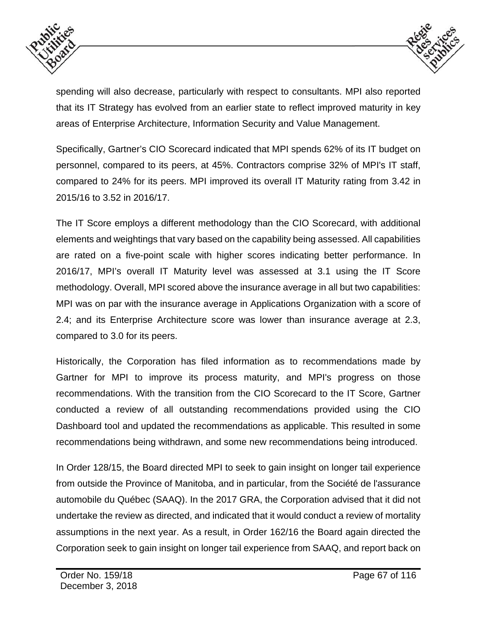



spending will also decrease, particularly with respect to consultants. MPI also reported that its IT Strategy has evolved from an earlier state to reflect improved maturity in key areas of Enterprise Architecture, Information Security and Value Management.

Specifically, Gartner's CIO Scorecard indicated that MPI spends 62% of its IT budget on personnel, compared to its peers, at 45%. Contractors comprise 32% of MPI's IT staff, compared to 24% for its peers. MPI improved its overall IT Maturity rating from 3.42 in 2015/16 to 3.52 in 2016/17.

The IT Score employs a different methodology than the CIO Scorecard, with additional elements and weightings that vary based on the capability being assessed. All capabilities are rated on a five-point scale with higher scores indicating better performance. In 2016/17, MPI's overall IT Maturity level was assessed at 3.1 using the IT Score methodology. Overall, MPI scored above the insurance average in all but two capabilities: MPI was on par with the insurance average in Applications Organization with a score of 2.4; and its Enterprise Architecture score was lower than insurance average at 2.3, compared to 3.0 for its peers.

Historically, the Corporation has filed information as to recommendations made by Gartner for MPI to improve its process maturity, and MPI's progress on those recommendations. With the transition from the CIO Scorecard to the IT Score, Gartner conducted a review of all outstanding recommendations provided using the CIO Dashboard tool and updated the recommendations as applicable. This resulted in some recommendations being withdrawn, and some new recommendations being introduced.

In Order 128/15, the Board directed MPI to seek to gain insight on longer tail experience from outside the Province of Manitoba, and in particular, from the Société de l'assurance automobile du Québec (SAAQ). In the 2017 GRA, the Corporation advised that it did not undertake the review as directed, and indicated that it would conduct a review of mortality assumptions in the next year. As a result, in Order 162/16 the Board again directed the Corporation seek to gain insight on longer tail experience from SAAQ, and report back on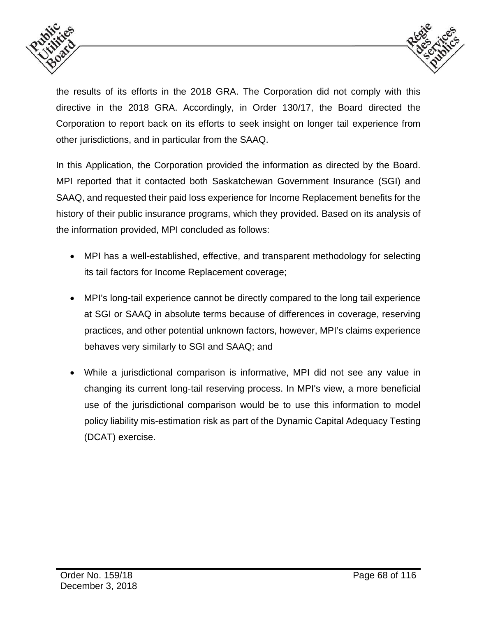



the results of its efforts in the 2018 GRA. The Corporation did not comply with this directive in the 2018 GRA. Accordingly, in Order 130/17, the Board directed the Corporation to report back on its efforts to seek insight on longer tail experience from other jurisdictions, and in particular from the SAAQ.

In this Application, the Corporation provided the information as directed by the Board. MPI reported that it contacted both Saskatchewan Government Insurance (SGI) and SAAQ, and requested their paid loss experience for Income Replacement benefits for the history of their public insurance programs, which they provided. Based on its analysis of the information provided, MPI concluded as follows:

- MPI has a well-established, effective, and transparent methodology for selecting its tail factors for Income Replacement coverage;
- MPI's long-tail experience cannot be directly compared to the long tail experience at SGI or SAAQ in absolute terms because of differences in coverage, reserving practices, and other potential unknown factors, however, MPI's claims experience behaves very similarly to SGI and SAAQ; and
- While a jurisdictional comparison is informative, MPI did not see any value in changing its current long-tail reserving process. In MPI's view, a more beneficial use of the jurisdictional comparison would be to use this information to model policy liability mis-estimation risk as part of the Dynamic Capital Adequacy Testing (DCAT) exercise.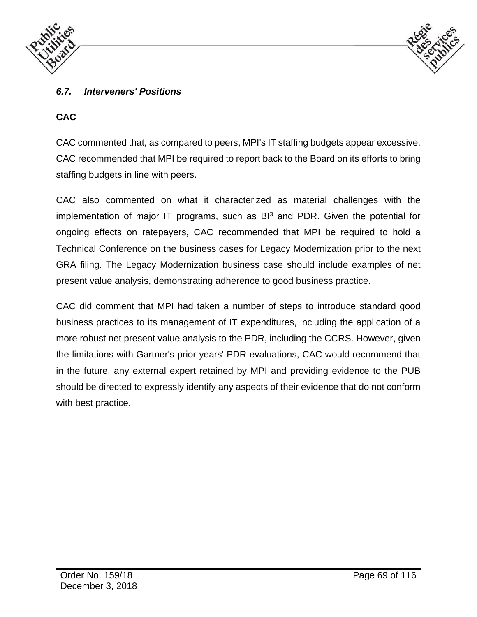



# *6.7. Interveners' Positions*

### **CAC**

CAC commented that, as compared to peers, MPI's IT staffing budgets appear excessive. CAC recommended that MPI be required to report back to the Board on its efforts to bring staffing budgets in line with peers.

CAC also commented on what it characterized as material challenges with the implementation of major IT programs, such as  $B<sup>3</sup>$  and PDR. Given the potential for ongoing effects on ratepayers, CAC recommended that MPI be required to hold a Technical Conference on the business cases for Legacy Modernization prior to the next GRA filing. The Legacy Modernization business case should include examples of net present value analysis, demonstrating adherence to good business practice.

CAC did comment that MPI had taken a number of steps to introduce standard good business practices to its management of IT expenditures, including the application of a more robust net present value analysis to the PDR, including the CCRS. However, given the limitations with Gartner's prior years' PDR evaluations, CAC would recommend that in the future, any external expert retained by MPI and providing evidence to the PUB should be directed to expressly identify any aspects of their evidence that do not conform with best practice.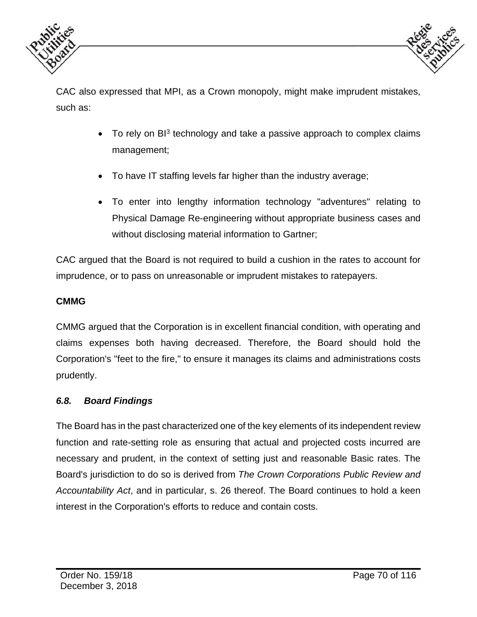



CAC also expressed that MPI, as a Crown monopoly, might make imprudent mistakes, such as:

- To rely on  $B<sup>3</sup>$  technology and take a passive approach to complex claims management;
- To have IT staffing levels far higher than the industry average;
- To enter into lengthy information technology "adventures" relating to Physical Damage Re-engineering without appropriate business cases and without disclosing material information to Gartner;

CAC argued that the Board is not required to build a cushion in the rates to account for imprudence, or to pass on unreasonable or imprudent mistakes to ratepayers.

### **CMMG**

CMMG argued that the Corporation is in excellent financial condition, with operating and claims expenses both having decreased. Therefore, the Board should hold the Corporation's "feet to the fire," to ensure it manages its claims and administrations costs prudently.

#### *6.8. Board Findings*

The Board has in the past characterized one of the key elements of its independent review function and rate-setting role as ensuring that actual and projected costs incurred are necessary and prudent, in the context of setting just and reasonable Basic rates. The Board's jurisdiction to do so is derived from *The Crown Corporations Public Review and Accountability Act*, and in particular, s. 26 thereof. The Board continues to hold a keen interest in the Corporation's efforts to reduce and contain costs.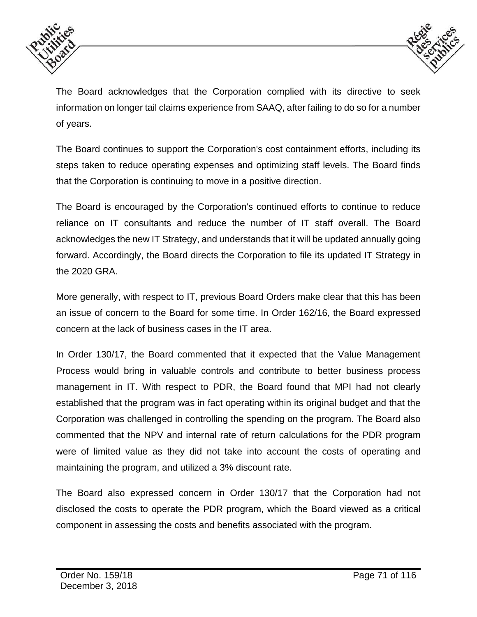



The Board acknowledges that the Corporation complied with its directive to seek information on longer tail claims experience from SAAQ, after failing to do so for a number of years.

The Board continues to support the Corporation's cost containment efforts, including its steps taken to reduce operating expenses and optimizing staff levels. The Board finds that the Corporation is continuing to move in a positive direction.

The Board is encouraged by the Corporation's continued efforts to continue to reduce reliance on IT consultants and reduce the number of IT staff overall. The Board acknowledges the new IT Strategy, and understands that it will be updated annually going forward. Accordingly, the Board directs the Corporation to file its updated IT Strategy in the 2020 GRA.

More generally, with respect to IT, previous Board Orders make clear that this has been an issue of concern to the Board for some time. In Order 162/16, the Board expressed concern at the lack of business cases in the IT area.

In Order 130/17, the Board commented that it expected that the Value Management Process would bring in valuable controls and contribute to better business process management in IT. With respect to PDR, the Board found that MPI had not clearly established that the program was in fact operating within its original budget and that the Corporation was challenged in controlling the spending on the program. The Board also commented that the NPV and internal rate of return calculations for the PDR program were of limited value as they did not take into account the costs of operating and maintaining the program, and utilized a 3% discount rate.

The Board also expressed concern in Order 130/17 that the Corporation had not disclosed the costs to operate the PDR program, which the Board viewed as a critical component in assessing the costs and benefits associated with the program.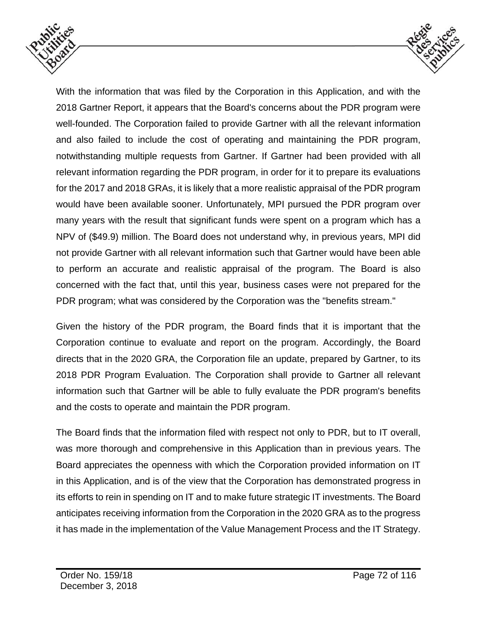



With the information that was filed by the Corporation in this Application, and with the 2018 Gartner Report, it appears that the Board's concerns about the PDR program were well-founded. The Corporation failed to provide Gartner with all the relevant information and also failed to include the cost of operating and maintaining the PDR program, notwithstanding multiple requests from Gartner. If Gartner had been provided with all relevant information regarding the PDR program, in order for it to prepare its evaluations for the 2017 and 2018 GRAs, it is likely that a more realistic appraisal of the PDR program would have been available sooner. Unfortunately, MPI pursued the PDR program over many years with the result that significant funds were spent on a program which has a NPV of (\$49.9) million. The Board does not understand why, in previous years, MPI did not provide Gartner with all relevant information such that Gartner would have been able to perform an accurate and realistic appraisal of the program. The Board is also concerned with the fact that, until this year, business cases were not prepared for the PDR program; what was considered by the Corporation was the "benefits stream."

Given the history of the PDR program, the Board finds that it is important that the Corporation continue to evaluate and report on the program. Accordingly, the Board directs that in the 2020 GRA, the Corporation file an update, prepared by Gartner, to its 2018 PDR Program Evaluation. The Corporation shall provide to Gartner all relevant information such that Gartner will be able to fully evaluate the PDR program's benefits and the costs to operate and maintain the PDR program.

The Board finds that the information filed with respect not only to PDR, but to IT overall, was more thorough and comprehensive in this Application than in previous years. The Board appreciates the openness with which the Corporation provided information on IT in this Application, and is of the view that the Corporation has demonstrated progress in its efforts to rein in spending on IT and to make future strategic IT investments. The Board anticipates receiving information from the Corporation in the 2020 GRA as to the progress it has made in the implementation of the Value Management Process and the IT Strategy.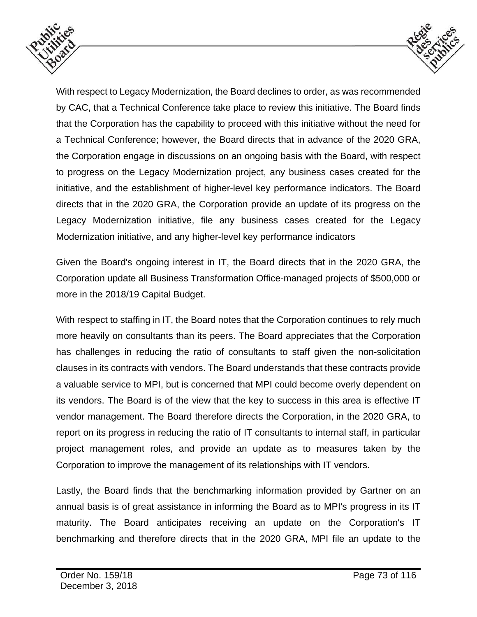



With respect to Legacy Modernization, the Board declines to order, as was recommended by CAC, that a Technical Conference take place to review this initiative. The Board finds that the Corporation has the capability to proceed with this initiative without the need for a Technical Conference; however, the Board directs that in advance of the 2020 GRA, the Corporation engage in discussions on an ongoing basis with the Board, with respect to progress on the Legacy Modernization project, any business cases created for the initiative, and the establishment of higher-level key performance indicators. The Board directs that in the 2020 GRA, the Corporation provide an update of its progress on the Legacy Modernization initiative, file any business cases created for the Legacy Modernization initiative, and any higher-level key performance indicators

Given the Board's ongoing interest in IT, the Board directs that in the 2020 GRA, the Corporation update all Business Transformation Office-managed projects of \$500,000 or more in the 2018/19 Capital Budget.

With respect to staffing in IT, the Board notes that the Corporation continues to rely much more heavily on consultants than its peers. The Board appreciates that the Corporation has challenges in reducing the ratio of consultants to staff given the non-solicitation clauses in its contracts with vendors. The Board understands that these contracts provide a valuable service to MPI, but is concerned that MPI could become overly dependent on its vendors. The Board is of the view that the key to success in this area is effective IT vendor management. The Board therefore directs the Corporation, in the 2020 GRA, to report on its progress in reducing the ratio of IT consultants to internal staff, in particular project management roles, and provide an update as to measures taken by the Corporation to improve the management of its relationships with IT vendors.

Lastly, the Board finds that the benchmarking information provided by Gartner on an annual basis is of great assistance in informing the Board as to MPI's progress in its IT maturity. The Board anticipates receiving an update on the Corporation's IT benchmarking and therefore directs that in the 2020 GRA, MPI file an update to the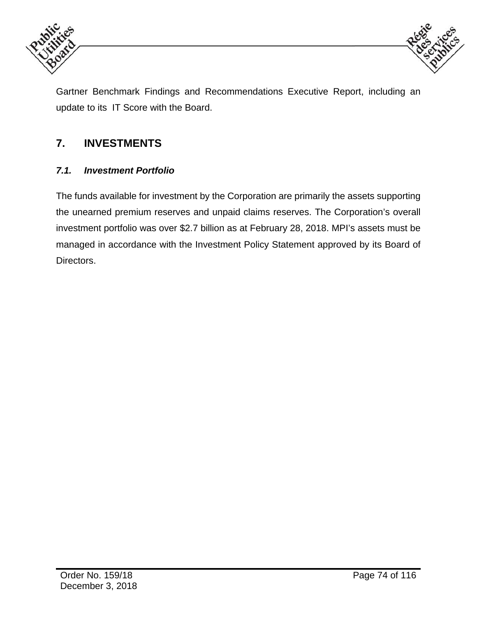



Gartner Benchmark Findings and Recommendations Executive Report, including an update to its IT Score with the Board.

## **7. INVESTMENTS**

### *7.1. Investment Portfolio*

The funds available for investment by the Corporation are primarily the assets supporting the unearned premium reserves and unpaid claims reserves. The Corporation's overall investment portfolio was over \$2.7 billion as at February 28, 2018. MPI's assets must be managed in accordance with the Investment Policy Statement approved by its Board of Directors.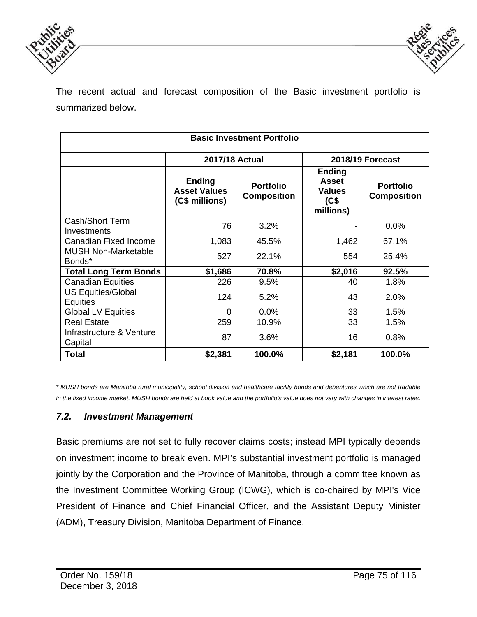



The recent actual and forecast composition of the Basic investment portfolio is summarized below.

| <b>Basic Investment Portfolio</b>            |                                                        |                                        |                                                              |                                        |  |  |  |  |  |
|----------------------------------------------|--------------------------------------------------------|----------------------------------------|--------------------------------------------------------------|----------------------------------------|--|--|--|--|--|
|                                              | <b>2017/18 Actual</b>                                  |                                        | 2018/19 Forecast                                             |                                        |  |  |  |  |  |
|                                              | <b>Ending</b><br><b>Asset Values</b><br>(C\$ millions) | <b>Portfolio</b><br><b>Composition</b> | Ending<br><b>Asset</b><br><b>Values</b><br>(C\$<br>millions) | <b>Portfolio</b><br><b>Composition</b> |  |  |  |  |  |
| Cash/Short Term<br>Investments               | 76                                                     | 3.2%                                   |                                                              | 0.0%                                   |  |  |  |  |  |
| Canadian Fixed Income                        | 1,083                                                  | 45.5%                                  | 1,462                                                        | 67.1%                                  |  |  |  |  |  |
| <b>MUSH Non-Marketable</b><br>Bonds*         | 527                                                    | 22.1%                                  | 554                                                          | 25.4%                                  |  |  |  |  |  |
| <b>Total Long Term Bonds</b>                 | \$1,686                                                | 70.8%                                  | \$2,016                                                      | 92.5%                                  |  |  |  |  |  |
| <b>Canadian Equities</b>                     | 226                                                    | 9.5%                                   | 40                                                           | 1.8%                                   |  |  |  |  |  |
| <b>US Equities/Global</b><br><b>Equities</b> | 124                                                    | 5.2%                                   | 43                                                           | 2.0%                                   |  |  |  |  |  |
| <b>Global LV Equities</b>                    | $\Omega$                                               | 0.0%                                   | 33                                                           | 1.5%                                   |  |  |  |  |  |
| <b>Real Estate</b>                           | 259                                                    | 10.9%                                  | 33                                                           | 1.5%                                   |  |  |  |  |  |
| Infrastructure & Venture<br>Capital          | 87                                                     | 3.6%                                   | 16                                                           | 0.8%                                   |  |  |  |  |  |
| <b>Total</b>                                 | \$2,381                                                | 100.0%                                 | \$2,181                                                      | 100.0%                                 |  |  |  |  |  |

*\* MUSH bonds are Manitoba rural municipality, school division and healthcare facility bonds and debentures which are not tradable in the fixed income market. MUSH bonds are held at book value and the portfolio's value does not vary with changes in interest rates.* 

#### *7.2. Investment Management*

Basic premiums are not set to fully recover claims costs; instead MPI typically depends on investment income to break even. MPI's substantial investment portfolio is managed jointly by the Corporation and the Province of Manitoba, through a committee known as the Investment Committee Working Group (ICWG), which is co-chaired by MPI's Vice President of Finance and Chief Financial Officer, and the Assistant Deputy Minister (ADM), Treasury Division, Manitoba Department of Finance.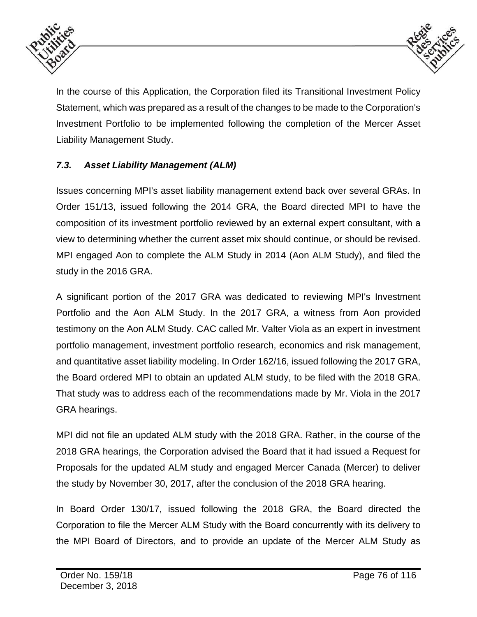



In the course of this Application, the Corporation filed its Transitional Investment Policy Statement, which was prepared as a result of the changes to be made to the Corporation's Investment Portfolio to be implemented following the completion of the Mercer Asset Liability Management Study.

### *7.3. Asset Liability Management (ALM)*

Issues concerning MPI's asset liability management extend back over several GRAs. In Order 151/13, issued following the 2014 GRA, the Board directed MPI to have the composition of its investment portfolio reviewed by an external expert consultant, with a view to determining whether the current asset mix should continue, or should be revised. MPI engaged Aon to complete the ALM Study in 2014 (Aon ALM Study), and filed the study in the 2016 GRA.

A significant portion of the 2017 GRA was dedicated to reviewing MPI's Investment Portfolio and the Aon ALM Study. In the 2017 GRA, a witness from Aon provided testimony on the Aon ALM Study. CAC called Mr. Valter Viola as an expert in investment portfolio management, investment portfolio research, economics and risk management, and quantitative asset liability modeling. In Order 162/16, issued following the 2017 GRA, the Board ordered MPI to obtain an updated ALM study, to be filed with the 2018 GRA. That study was to address each of the recommendations made by Mr. Viola in the 2017 GRA hearings.

MPI did not file an updated ALM study with the 2018 GRA. Rather, in the course of the 2018 GRA hearings, the Corporation advised the Board that it had issued a Request for Proposals for the updated ALM study and engaged Mercer Canada (Mercer) to deliver the study by November 30, 2017, after the conclusion of the 2018 GRA hearing.

In Board Order 130/17, issued following the 2018 GRA, the Board directed the Corporation to file the Mercer ALM Study with the Board concurrently with its delivery to the MPI Board of Directors, and to provide an update of the Mercer ALM Study as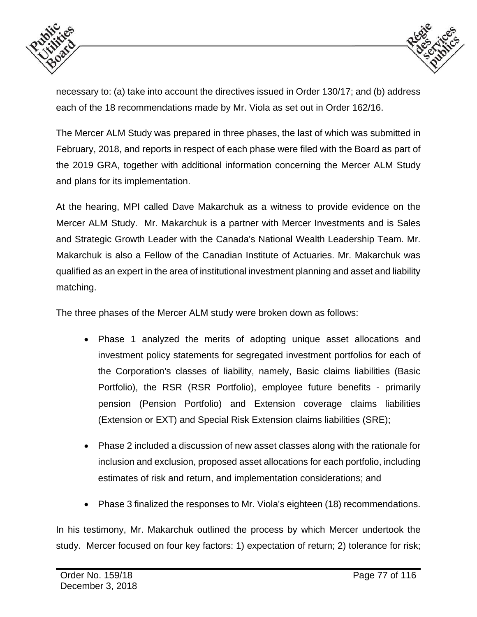



necessary to: (a) take into account the directives issued in Order 130/17; and (b) address each of the 18 recommendations made by Mr. Viola as set out in Order 162/16.

The Mercer ALM Study was prepared in three phases, the last of which was submitted in February, 2018, and reports in respect of each phase were filed with the Board as part of the 2019 GRA, together with additional information concerning the Mercer ALM Study and plans for its implementation.

At the hearing, MPI called Dave Makarchuk as a witness to provide evidence on the Mercer ALM Study. Mr. Makarchuk is a partner with Mercer Investments and is Sales and Strategic Growth Leader with the Canada's National Wealth Leadership Team. Mr. Makarchuk is also a Fellow of the Canadian Institute of Actuaries. Mr. Makarchuk was qualified as an expert in the area of institutional investment planning and asset and liability matching.

The three phases of the Mercer ALM study were broken down as follows:

- Phase 1 analyzed the merits of adopting unique asset allocations and investment policy statements for segregated investment portfolios for each of the Corporation's classes of liability, namely, Basic claims liabilities (Basic Portfolio), the RSR (RSR Portfolio), employee future benefits - primarily pension (Pension Portfolio) and Extension coverage claims liabilities (Extension or EXT) and Special Risk Extension claims liabilities (SRE);
- Phase 2 included a discussion of new asset classes along with the rationale for inclusion and exclusion, proposed asset allocations for each portfolio, including estimates of risk and return, and implementation considerations; and
- Phase 3 finalized the responses to Mr. Viola's eighteen (18) recommendations.

In his testimony, Mr. Makarchuk outlined the process by which Mercer undertook the study. Mercer focused on four key factors: 1) expectation of return; 2) tolerance for risk;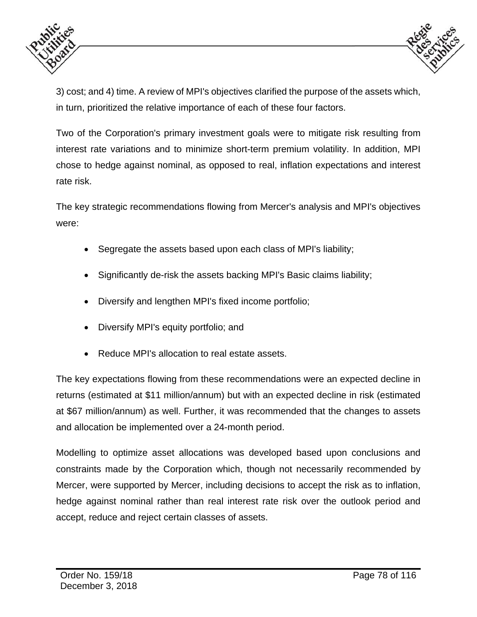



3) cost; and 4) time. A review of MPI's objectives clarified the purpose of the assets which, in turn, prioritized the relative importance of each of these four factors.

Two of the Corporation's primary investment goals were to mitigate risk resulting from interest rate variations and to minimize short-term premium volatility. In addition, MPI chose to hedge against nominal, as opposed to real, inflation expectations and interest rate risk.

The key strategic recommendations flowing from Mercer's analysis and MPI's objectives were:

- Segregate the assets based upon each class of MPI's liability;
- Significantly de-risk the assets backing MPI's Basic claims liability;
- Diversify and lengthen MPI's fixed income portfolio;
- Diversify MPI's equity portfolio; and
- Reduce MPI's allocation to real estate assets.

The key expectations flowing from these recommendations were an expected decline in returns (estimated at \$11 million/annum) but with an expected decline in risk (estimated at \$67 million/annum) as well. Further, it was recommended that the changes to assets and allocation be implemented over a 24-month period.

Modelling to optimize asset allocations was developed based upon conclusions and constraints made by the Corporation which, though not necessarily recommended by Mercer, were supported by Mercer, including decisions to accept the risk as to inflation, hedge against nominal rather than real interest rate risk over the outlook period and accept, reduce and reject certain classes of assets.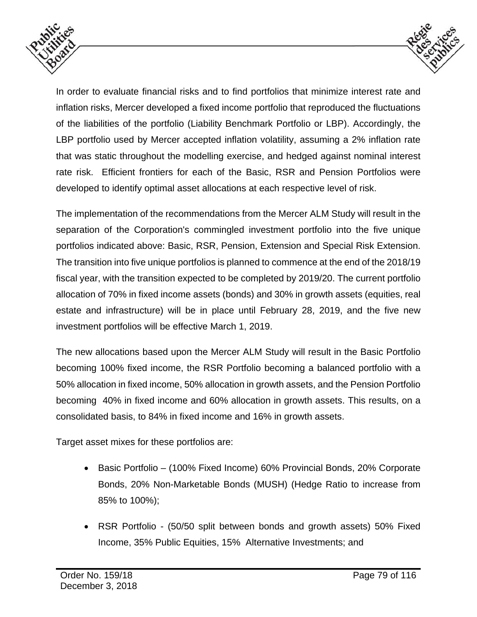



In order to evaluate financial risks and to find portfolios that minimize interest rate and inflation risks, Mercer developed a fixed income portfolio that reproduced the fluctuations of the liabilities of the portfolio (Liability Benchmark Portfolio or LBP). Accordingly, the LBP portfolio used by Mercer accepted inflation volatility, assuming a 2% inflation rate that was static throughout the modelling exercise, and hedged against nominal interest rate risk. Efficient frontiers for each of the Basic, RSR and Pension Portfolios were developed to identify optimal asset allocations at each respective level of risk.

The implementation of the recommendations from the Mercer ALM Study will result in the separation of the Corporation's commingled investment portfolio into the five unique portfolios indicated above: Basic, RSR, Pension, Extension and Special Risk Extension. The transition into five unique portfolios is planned to commence at the end of the 2018/19 fiscal year, with the transition expected to be completed by 2019/20. The current portfolio allocation of 70% in fixed income assets (bonds) and 30% in growth assets (equities, real estate and infrastructure) will be in place until February 28, 2019, and the five new investment portfolios will be effective March 1, 2019.

The new allocations based upon the Mercer ALM Study will result in the Basic Portfolio becoming 100% fixed income, the RSR Portfolio becoming a balanced portfolio with a 50% allocation in fixed income, 50% allocation in growth assets, and the Pension Portfolio becoming 40% in fixed income and 60% allocation in growth assets. This results, on a consolidated basis, to 84% in fixed income and 16% in growth assets.

Target asset mixes for these portfolios are:

- Basic Portfolio (100% Fixed Income) 60% Provincial Bonds, 20% Corporate Bonds, 20% Non-Marketable Bonds (MUSH) (Hedge Ratio to increase from 85% to 100%);
- RSR Portfolio (50/50 split between bonds and growth assets) 50% Fixed Income, 35% Public Equities, 15% Alternative Investments; and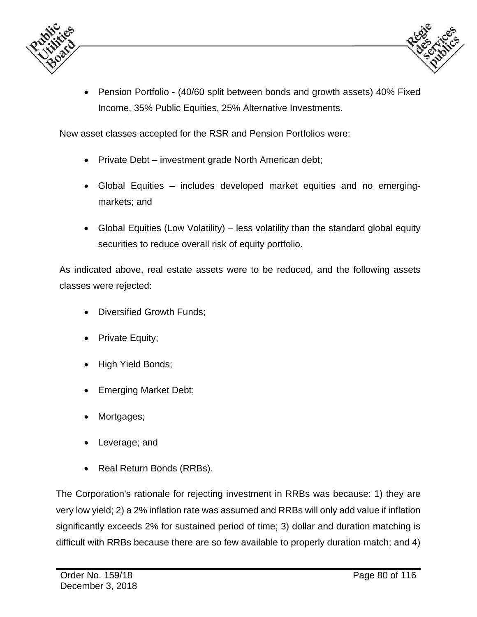



 Pension Portfolio - (40/60 split between bonds and growth assets) 40% Fixed Income, 35% Public Equities, 25% Alternative Investments.

New asset classes accepted for the RSR and Pension Portfolios were:

- Private Debt investment grade North American debt;
- Global Equities includes developed market equities and no emergingmarkets; and
- Global Equities (Low Volatility) less volatility than the standard global equity securities to reduce overall risk of equity portfolio.

As indicated above, real estate assets were to be reduced, and the following assets classes were rejected:

- Diversified Growth Funds;
- Private Equity;
- High Yield Bonds;
- Emerging Market Debt;
- Mortgages;
- Leverage; and
- Real Return Bonds (RRBs).

The Corporation's rationale for rejecting investment in RRBs was because: 1) they are very low yield; 2) a 2% inflation rate was assumed and RRBs will only add value if inflation significantly exceeds 2% for sustained period of time; 3) dollar and duration matching is difficult with RRBs because there are so few available to properly duration match; and 4)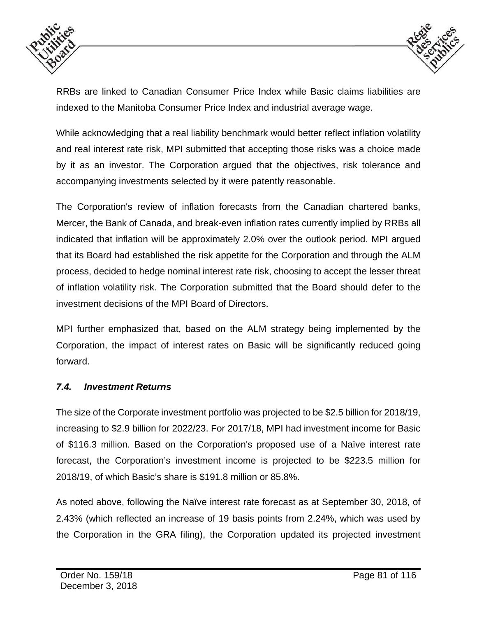



RRBs are linked to Canadian Consumer Price Index while Basic claims liabilities are indexed to the Manitoba Consumer Price Index and industrial average wage.

While acknowledging that a real liability benchmark would better reflect inflation volatility and real interest rate risk, MPI submitted that accepting those risks was a choice made by it as an investor. The Corporation argued that the objectives, risk tolerance and accompanying investments selected by it were patently reasonable.

The Corporation's review of inflation forecasts from the Canadian chartered banks, Mercer, the Bank of Canada, and break-even inflation rates currently implied by RRBs all indicated that inflation will be approximately 2.0% over the outlook period. MPI argued that its Board had established the risk appetite for the Corporation and through the ALM process, decided to hedge nominal interest rate risk, choosing to accept the lesser threat of inflation volatility risk. The Corporation submitted that the Board should defer to the investment decisions of the MPI Board of Directors.

MPI further emphasized that, based on the ALM strategy being implemented by the Corporation, the impact of interest rates on Basic will be significantly reduced going forward.

#### *7.4. Investment Returns*

The size of the Corporate investment portfolio was projected to be \$2.5 billion for 2018/19, increasing to \$2.9 billion for 2022/23. For 2017/18, MPI had investment income for Basic of \$116.3 million. Based on the Corporation's proposed use of a Naïve interest rate forecast, the Corporation's investment income is projected to be \$223.5 million for 2018/19, of which Basic's share is \$191.8 million or 85.8%.

As noted above, following the Naïve interest rate forecast as at September 30, 2018, of 2.43% (which reflected an increase of 19 basis points from 2.24%, which was used by the Corporation in the GRA filing), the Corporation updated its projected investment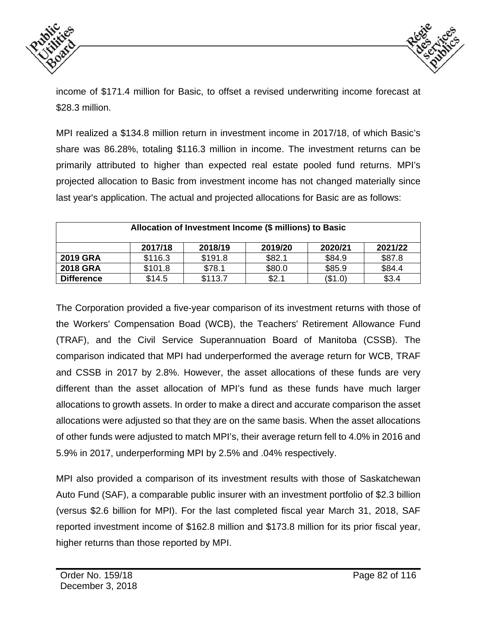



income of \$171.4 million for Basic, to offset a revised underwriting income forecast at \$28.3 million.

MPI realized a \$134.8 million return in investment income in 2017/18, of which Basic's share was 86.28%, totaling \$116.3 million in income. The investment returns can be primarily attributed to higher than expected real estate pooled fund returns. MPI's projected allocation to Basic from investment income has not changed materially since last year's application. The actual and projected allocations for Basic are as follows:

| Allocation of Investment Income (\$ millions) to Basic |         |         |         |         |         |  |  |  |  |
|--------------------------------------------------------|---------|---------|---------|---------|---------|--|--|--|--|
|                                                        | 2017/18 | 2018/19 | 2019/20 | 2020/21 | 2021/22 |  |  |  |  |
| <b>2019 GRA</b>                                        | \$116.3 | \$191.8 | \$82.1  | \$84.9  | \$87.8  |  |  |  |  |
| <b>2018 GRA</b>                                        | \$101.8 | \$78.1  | \$80.0  | \$85.9  | \$84.4  |  |  |  |  |
| <b>Difference</b>                                      | \$14.5  | \$113.7 | \$2.1   | (\$1.0) | \$3.4   |  |  |  |  |

The Corporation provided a five-year comparison of its investment returns with those of the Workers' Compensation Boad (WCB), the Teachers' Retirement Allowance Fund (TRAF), and the Civil Service Superannuation Board of Manitoba (CSSB). The comparison indicated that MPI had underperformed the average return for WCB, TRAF and CSSB in 2017 by 2.8%. However, the asset allocations of these funds are very different than the asset allocation of MPI's fund as these funds have much larger allocations to growth assets. In order to make a direct and accurate comparison the asset allocations were adjusted so that they are on the same basis. When the asset allocations of other funds were adjusted to match MPI's, their average return fell to 4.0% in 2016 and 5.9% in 2017, underperforming MPI by 2.5% and .04% respectively.

MPI also provided a comparison of its investment results with those of Saskatchewan Auto Fund (SAF), a comparable public insurer with an investment portfolio of \$2.3 billion (versus \$2.6 billion for MPI). For the last completed fiscal year March 31, 2018, SAF reported investment income of \$162.8 million and \$173.8 million for its prior fiscal year, higher returns than those reported by MPI.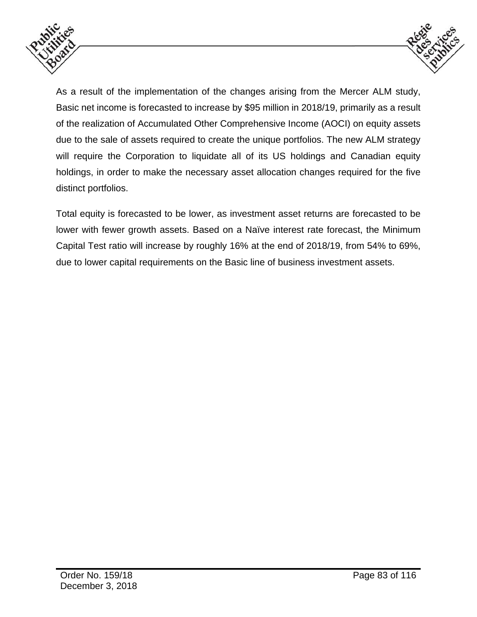



As a result of the implementation of the changes arising from the Mercer ALM study, Basic net income is forecasted to increase by \$95 million in 2018/19, primarily as a result of the realization of Accumulated Other Comprehensive Income (AOCI) on equity assets due to the sale of assets required to create the unique portfolios. The new ALM strategy will require the Corporation to liquidate all of its US holdings and Canadian equity holdings, in order to make the necessary asset allocation changes required for the five distinct portfolios.

Total equity is forecasted to be lower, as investment asset returns are forecasted to be lower with fewer growth assets. Based on a Naïve interest rate forecast, the Minimum Capital Test ratio will increase by roughly 16% at the end of 2018/19, from 54% to 69%, due to lower capital requirements on the Basic line of business investment assets.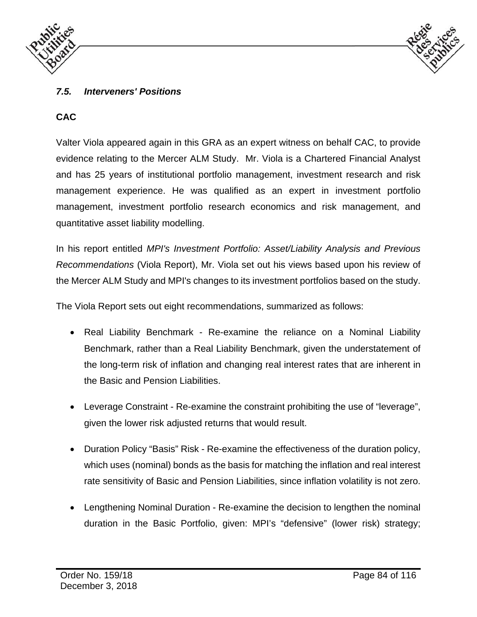



#### *7.5. Interveners' Positions*

### **CAC**

Valter Viola appeared again in this GRA as an expert witness on behalf CAC, to provide evidence relating to the Mercer ALM Study. Mr. Viola is a Chartered Financial Analyst and has 25 years of institutional portfolio management, investment research and risk management experience. He was qualified as an expert in investment portfolio management, investment portfolio research economics and risk management, and quantitative asset liability modelling.

In his report entitled *MPI's Investment Portfolio: Asset/Liability Analysis and Previous Recommendations* (Viola Report), Mr. Viola set out his views based upon his review of the Mercer ALM Study and MPI's changes to its investment portfolios based on the study.

The Viola Report sets out eight recommendations, summarized as follows:

- Real Liability Benchmark Re-examine the reliance on a Nominal Liability Benchmark, rather than a Real Liability Benchmark, given the understatement of the long-term risk of inflation and changing real interest rates that are inherent in the Basic and Pension Liabilities.
- Leverage Constraint Re-examine the constraint prohibiting the use of "leverage", given the lower risk adjusted returns that would result.
- Duration Policy "Basis" Risk Re-examine the effectiveness of the duration policy, which uses (nominal) bonds as the basis for matching the inflation and real interest rate sensitivity of Basic and Pension Liabilities, since inflation volatility is not zero.
- Lengthening Nominal Duration Re-examine the decision to lengthen the nominal duration in the Basic Portfolio, given: MPI's "defensive" (lower risk) strategy;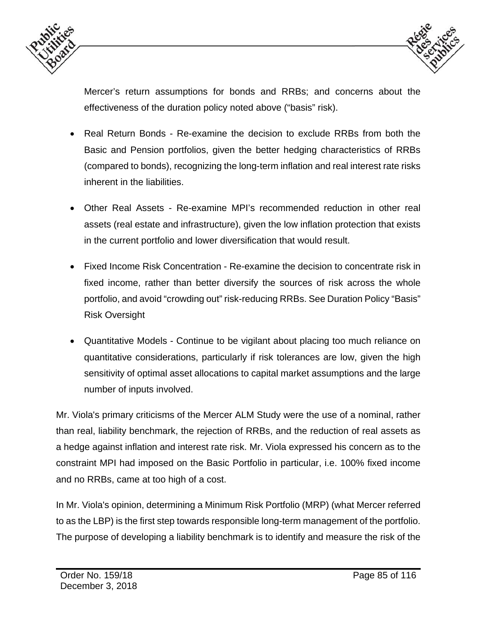



Mercer's return assumptions for bonds and RRBs; and concerns about the effectiveness of the duration policy noted above ("basis" risk).

- Real Return Bonds Re-examine the decision to exclude RRBs from both the Basic and Pension portfolios, given the better hedging characteristics of RRBs (compared to bonds), recognizing the long-term inflation and real interest rate risks inherent in the liabilities.
- Other Real Assets Re-examine MPI's recommended reduction in other real assets (real estate and infrastructure), given the low inflation protection that exists in the current portfolio and lower diversification that would result.
- Fixed Income Risk Concentration Re-examine the decision to concentrate risk in fixed income, rather than better diversify the sources of risk across the whole portfolio, and avoid "crowding out" risk-reducing RRBs. See Duration Policy "Basis" Risk Oversight
- Quantitative Models Continue to be vigilant about placing too much reliance on quantitative considerations, particularly if risk tolerances are low, given the high sensitivity of optimal asset allocations to capital market assumptions and the large number of inputs involved.

Mr. Viola's primary criticisms of the Mercer ALM Study were the use of a nominal, rather than real, liability benchmark, the rejection of RRBs, and the reduction of real assets as a hedge against inflation and interest rate risk. Mr. Viola expressed his concern as to the constraint MPI had imposed on the Basic Portfolio in particular, i.e. 100% fixed income and no RRBs, came at too high of a cost.

In Mr. Viola's opinion, determining a Minimum Risk Portfolio (MRP) (what Mercer referred to as the LBP) is the first step towards responsible long-term management of the portfolio. The purpose of developing a liability benchmark is to identify and measure the risk of the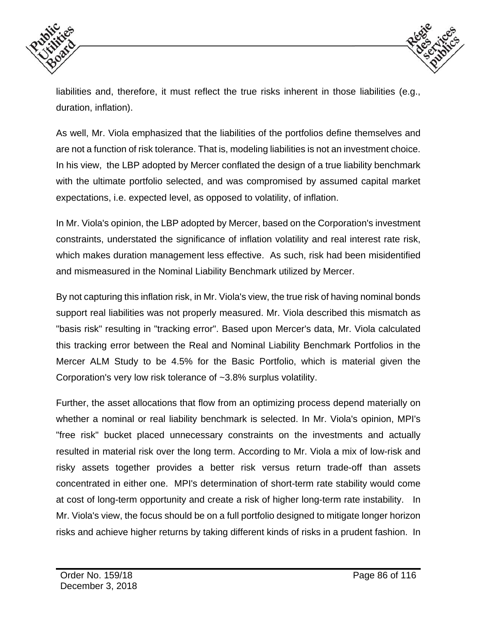



liabilities and, therefore, it must reflect the true risks inherent in those liabilities (e.g., duration, inflation).

As well, Mr. Viola emphasized that the liabilities of the portfolios define themselves and are not a function of risk tolerance. That is, modeling liabilities is not an investment choice. In his view, the LBP adopted by Mercer conflated the design of a true liability benchmark with the ultimate portfolio selected, and was compromised by assumed capital market expectations, i.e. expected level, as opposed to volatility, of inflation.

In Mr. Viola's opinion, the LBP adopted by Mercer, based on the Corporation's investment constraints, understated the significance of inflation volatility and real interest rate risk, which makes duration management less effective. As such, risk had been misidentified and mismeasured in the Nominal Liability Benchmark utilized by Mercer.

By not capturing this inflation risk, in Mr. Viola's view, the true risk of having nominal bonds support real liabilities was not properly measured. Mr. Viola described this mismatch as "basis risk" resulting in "tracking error". Based upon Mercer's data, Mr. Viola calculated this tracking error between the Real and Nominal Liability Benchmark Portfolios in the Mercer ALM Study to be 4.5% for the Basic Portfolio, which is material given the Corporation's very low risk tolerance of ~3.8% surplus volatility.

Further, the asset allocations that flow from an optimizing process depend materially on whether a nominal or real liability benchmark is selected. In Mr. Viola's opinion, MPI's "free risk" bucket placed unnecessary constraints on the investments and actually resulted in material risk over the long term. According to Mr. Viola a mix of low-risk and risky assets together provides a better risk versus return trade-off than assets concentrated in either one. MPI's determination of short-term rate stability would come at cost of long-term opportunity and create a risk of higher long-term rate instability. In Mr. Viola's view, the focus should be on a full portfolio designed to mitigate longer horizon risks and achieve higher returns by taking different kinds of risks in a prudent fashion. In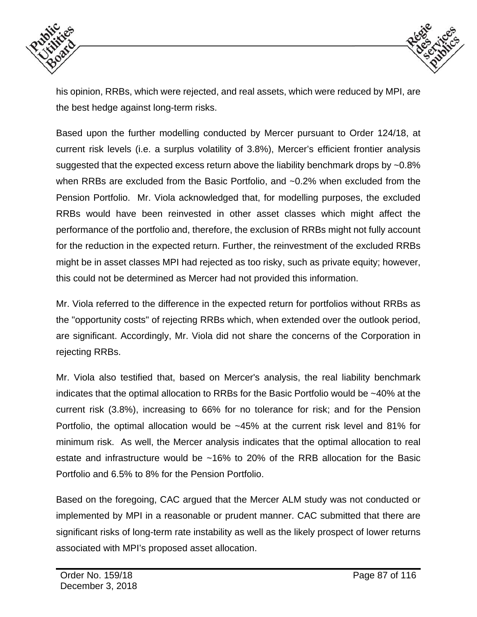



his opinion, RRBs, which were rejected, and real assets, which were reduced by MPI, are the best hedge against long-term risks.

Based upon the further modelling conducted by Mercer pursuant to Order 124/18, at current risk levels (i.e. a surplus volatility of 3.8%), Mercer's efficient frontier analysis suggested that the expected excess return above the liability benchmark drops by ~0.8% when RRBs are excluded from the Basic Portfolio, and ~0.2% when excluded from the Pension Portfolio. Mr. Viola acknowledged that, for modelling purposes, the excluded RRBs would have been reinvested in other asset classes which might affect the performance of the portfolio and, therefore, the exclusion of RRBs might not fully account for the reduction in the expected return. Further, the reinvestment of the excluded RRBs might be in asset classes MPI had rejected as too risky, such as private equity; however, this could not be determined as Mercer had not provided this information.

Mr. Viola referred to the difference in the expected return for portfolios without RRBs as the "opportunity costs" of rejecting RRBs which, when extended over the outlook period, are significant. Accordingly, Mr. Viola did not share the concerns of the Corporation in rejecting RRBs.

Mr. Viola also testified that, based on Mercer's analysis, the real liability benchmark indicates that the optimal allocation to RRBs for the Basic Portfolio would be ~40% at the current risk (3.8%), increasing to 66% for no tolerance for risk; and for the Pension Portfolio, the optimal allocation would be ~45% at the current risk level and 81% for minimum risk. As well, the Mercer analysis indicates that the optimal allocation to real estate and infrastructure would be ~16% to 20% of the RRB allocation for the Basic Portfolio and 6.5% to 8% for the Pension Portfolio.

Based on the foregoing, CAC argued that the Mercer ALM study was not conducted or implemented by MPI in a reasonable or prudent manner. CAC submitted that there are significant risks of long-term rate instability as well as the likely prospect of lower returns associated with MPI's proposed asset allocation.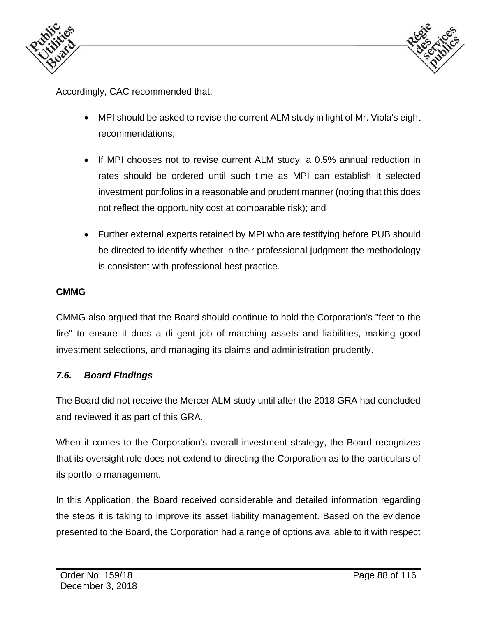



Accordingly, CAC recommended that:

- MPI should be asked to revise the current ALM study in light of Mr. Viola's eight recommendations;
- If MPI chooses not to revise current ALM study, a 0.5% annual reduction in rates should be ordered until such time as MPI can establish it selected investment portfolios in a reasonable and prudent manner (noting that this does not reflect the opportunity cost at comparable risk); and
- Further external experts retained by MPI who are testifying before PUB should be directed to identify whether in their professional judgment the methodology is consistent with professional best practice.

#### **CMMG**

CMMG also argued that the Board should continue to hold the Corporation's "feet to the fire" to ensure it does a diligent job of matching assets and liabilities, making good investment selections, and managing its claims and administration prudently.

#### *7.6. Board Findings*

The Board did not receive the Mercer ALM study until after the 2018 GRA had concluded and reviewed it as part of this GRA.

When it comes to the Corporation's overall investment strategy, the Board recognizes that its oversight role does not extend to directing the Corporation as to the particulars of its portfolio management.

In this Application, the Board received considerable and detailed information regarding the steps it is taking to improve its asset liability management. Based on the evidence presented to the Board, the Corporation had a range of options available to it with respect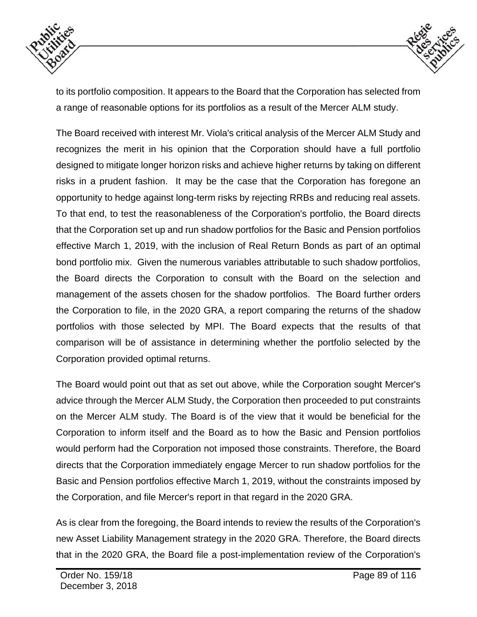



to its portfolio composition. It appears to the Board that the Corporation has selected from a range of reasonable options for its portfolios as a result of the Mercer ALM study.

The Board received with interest Mr. Viola's critical analysis of the Mercer ALM Study and recognizes the merit in his opinion that the Corporation should have a full portfolio designed to mitigate longer horizon risks and achieve higher returns by taking on different risks in a prudent fashion. It may be the case that the Corporation has foregone an opportunity to hedge against long-term risks by rejecting RRBs and reducing real assets. To that end, to test the reasonableness of the Corporation's portfolio, the Board directs that the Corporation set up and run shadow portfolios for the Basic and Pension portfolios effective March 1, 2019, with the inclusion of Real Return Bonds as part of an optimal bond portfolio mix. Given the numerous variables attributable to such shadow portfolios, the Board directs the Corporation to consult with the Board on the selection and management of the assets chosen for the shadow portfolios. The Board further orders the Corporation to file, in the 2020 GRA, a report comparing the returns of the shadow portfolios with those selected by MPI. The Board expects that the results of that comparison will be of assistance in determining whether the portfolio selected by the Corporation provided optimal returns.

The Board would point out that as set out above, while the Corporation sought Mercer's advice through the Mercer ALM Study, the Corporation then proceeded to put constraints on the Mercer ALM study. The Board is of the view that it would be beneficial for the Corporation to inform itself and the Board as to how the Basic and Pension portfolios would perform had the Corporation not imposed those constraints. Therefore, the Board directs that the Corporation immediately engage Mercer to run shadow portfolios for the Basic and Pension portfolios effective March 1, 2019, without the constraints imposed by the Corporation, and file Mercer's report in that regard in the 2020 GRA.

As is clear from the foregoing, the Board intends to review the results of the Corporation's new Asset Liability Management strategy in the 2020 GRA. Therefore, the Board directs that in the 2020 GRA, the Board file a post-implementation review of the Corporation's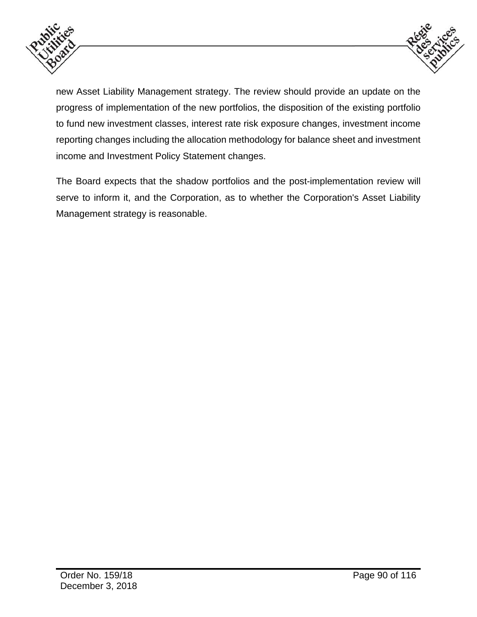



new Asset Liability Management strategy. The review should provide an update on the progress of implementation of the new portfolios, the disposition of the existing portfolio to fund new investment classes, interest rate risk exposure changes, investment income reporting changes including the allocation methodology for balance sheet and investment income and Investment Policy Statement changes.

The Board expects that the shadow portfolios and the post-implementation review will serve to inform it, and the Corporation, as to whether the Corporation's Asset Liability Management strategy is reasonable.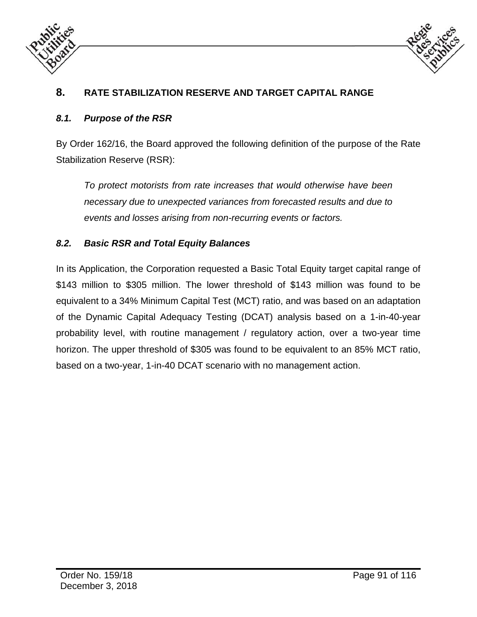



## **8. RATE STABILIZATION RESERVE AND TARGET CAPITAL RANGE**

#### *8.1. Purpose of the RSR*

By Order 162/16, the Board approved the following definition of the purpose of the Rate Stabilization Reserve (RSR):

*To protect motorists from rate increases that would otherwise have been necessary due to unexpected variances from forecasted results and due to events and losses arising from non-recurring events or factors.* 

#### *8.2. Basic RSR and Total Equity Balances*

In its Application, the Corporation requested a Basic Total Equity target capital range of \$143 million to \$305 million. The lower threshold of \$143 million was found to be equivalent to a 34% Minimum Capital Test (MCT) ratio, and was based on an adaptation of the Dynamic Capital Adequacy Testing (DCAT) analysis based on a 1-in-40-year probability level, with routine management / regulatory action, over a two-year time horizon. The upper threshold of \$305 was found to be equivalent to an 85% MCT ratio, based on a two-year, 1-in-40 DCAT scenario with no management action.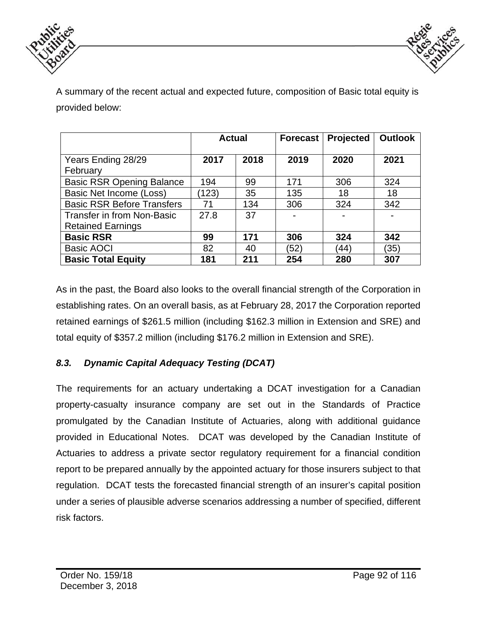



A summary of the recent actual and expected future, composition of Basic total equity is provided below:

|                                   | <b>Actual</b> |      | <b>Forecast</b>          | <b>Projected</b> | <b>Outlook</b> |
|-----------------------------------|---------------|------|--------------------------|------------------|----------------|
| Years Ending 28/29<br>February    | 2017          | 2018 | 2019                     | 2020             | 2021           |
| <b>Basic RSR Opening Balance</b>  | 194           | 99   | 171                      | 306              | 324            |
| Basic Net Income (Loss)           | (123)         | 35   | 135                      | 18               | 18             |
| <b>Basic RSR Before Transfers</b> | 71            | 134  | 306                      | 324              | 342            |
| <b>Transfer in from Non-Basic</b> | 27.8          | 37   | $\overline{\phantom{0}}$ |                  |                |
| <b>Retained Earnings</b>          |               |      |                          |                  |                |
| <b>Basic RSR</b>                  | 99            | 171  | 306                      | 324              | 342            |
| <b>Basic AOCI</b>                 | 82            | 40   | (52)                     | (44)             | (35)           |
| <b>Basic Total Equity</b>         | 181           | 211  | 254                      | 280              | 307            |

As in the past, the Board also looks to the overall financial strength of the Corporation in establishing rates. On an overall basis, as at February 28, 2017 the Corporation reported retained earnings of \$261.5 million (including \$162.3 million in Extension and SRE) and total equity of \$357.2 million (including \$176.2 million in Extension and SRE).

## *8.3. Dynamic Capital Adequacy Testing (DCAT)*

The requirements for an actuary undertaking a DCAT investigation for a Canadian property-casualty insurance company are set out in the Standards of Practice promulgated by the Canadian Institute of Actuaries, along with additional guidance provided in Educational Notes. DCAT was developed by the Canadian Institute of Actuaries to address a private sector regulatory requirement for a financial condition report to be prepared annually by the appointed actuary for those insurers subject to that regulation. DCAT tests the forecasted financial strength of an insurer's capital position under a series of plausible adverse scenarios addressing a number of specified, different risk factors.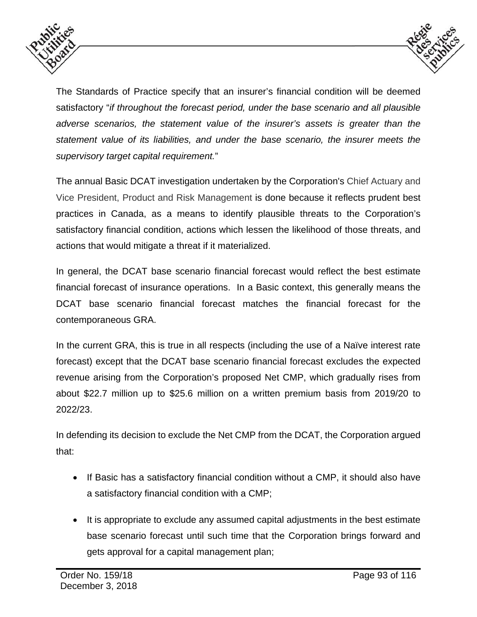



The Standards of Practice specify that an insurer's financial condition will be deemed satisfactory "*if throughout the forecast period, under the base scenario and all plausible adverse scenarios, the statement value of the insurer's assets is greater than the statement value of its liabilities, and under the base scenario, the insurer meets the supervisory target capital requirement.*"

The annual Basic DCAT investigation undertaken by the Corporation's Chief Actuary and Vice President, Product and Risk Management is done because it reflects prudent best practices in Canada, as a means to identify plausible threats to the Corporation's satisfactory financial condition, actions which lessen the likelihood of those threats, and actions that would mitigate a threat if it materialized.

In general, the DCAT base scenario financial forecast would reflect the best estimate financial forecast of insurance operations. In a Basic context, this generally means the DCAT base scenario financial forecast matches the financial forecast for the contemporaneous GRA.

In the current GRA, this is true in all respects (including the use of a Naïve interest rate forecast) except that the DCAT base scenario financial forecast excludes the expected revenue arising from the Corporation's proposed Net CMP, which gradually rises from about \$22.7 million up to \$25.6 million on a written premium basis from 2019/20 to 2022/23.

In defending its decision to exclude the Net CMP from the DCAT, the Corporation argued that:

- If Basic has a satisfactory financial condition without a CMP, it should also have a satisfactory financial condition with a CMP;
- It is appropriate to exclude any assumed capital adjustments in the best estimate base scenario forecast until such time that the Corporation brings forward and gets approval for a capital management plan;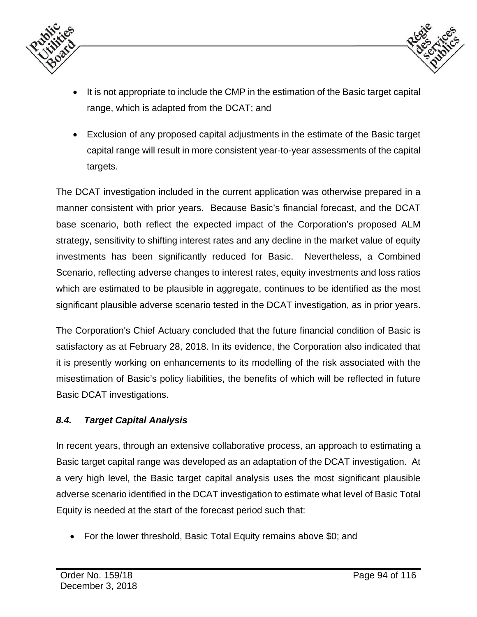



- It is not appropriate to include the CMP in the estimation of the Basic target capital range, which is adapted from the DCAT; and
- Exclusion of any proposed capital adjustments in the estimate of the Basic target capital range will result in more consistent year-to-year assessments of the capital targets.

The DCAT investigation included in the current application was otherwise prepared in a manner consistent with prior years. Because Basic's financial forecast, and the DCAT base scenario, both reflect the expected impact of the Corporation's proposed ALM strategy, sensitivity to shifting interest rates and any decline in the market value of equity investments has been significantly reduced for Basic. Nevertheless, a Combined Scenario, reflecting adverse changes to interest rates, equity investments and loss ratios which are estimated to be plausible in aggregate, continues to be identified as the most significant plausible adverse scenario tested in the DCAT investigation, as in prior years.

The Corporation's Chief Actuary concluded that the future financial condition of Basic is satisfactory as at February 28, 2018. In its evidence, the Corporation also indicated that it is presently working on enhancements to its modelling of the risk associated with the misestimation of Basic's policy liabilities, the benefits of which will be reflected in future Basic DCAT investigations.

### *8.4. Target Capital Analysis*

In recent years, through an extensive collaborative process, an approach to estimating a Basic target capital range was developed as an adaptation of the DCAT investigation. At a very high level, the Basic target capital analysis uses the most significant plausible adverse scenario identified in the DCAT investigation to estimate what level of Basic Total Equity is needed at the start of the forecast period such that:

For the lower threshold, Basic Total Equity remains above \$0; and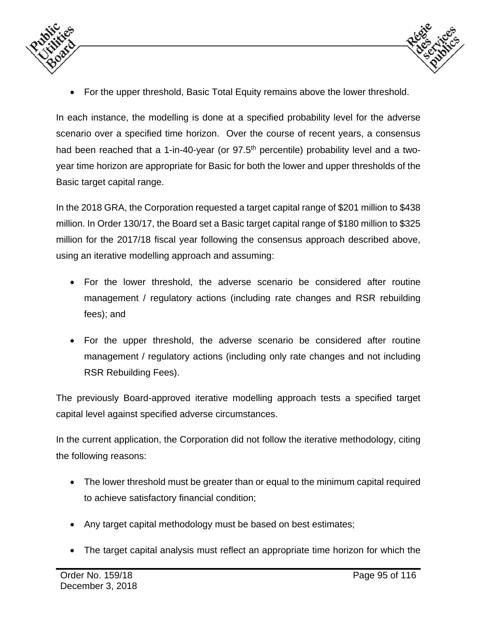

- 
- For the upper threshold, Basic Total Equity remains above the lower threshold.

In each instance, the modelling is done at a specified probability level for the adverse scenario over a specified time horizon. Over the course of recent years, a consensus had been reached that a 1-in-40-year (or 97.5<sup>th</sup> percentile) probability level and a twoyear time horizon are appropriate for Basic for both the lower and upper thresholds of the Basic target capital range.

In the 2018 GRA, the Corporation requested a target capital range of \$201 million to \$438 million. In Order 130/17, the Board set a Basic target capital range of \$180 million to \$325 million for the 2017/18 fiscal year following the consensus approach described above, using an iterative modelling approach and assuming:

- For the lower threshold, the adverse scenario be considered after routine management / regulatory actions (including rate changes and RSR rebuilding fees); and
- For the upper threshold, the adverse scenario be considered after routine management / regulatory actions (including only rate changes and not including RSR Rebuilding Fees).

The previously Board-approved iterative modelling approach tests a specified target capital level against specified adverse circumstances.

In the current application, the Corporation did not follow the iterative methodology, citing the following reasons:

- The lower threshold must be greater than or equal to the minimum capital required to achieve satisfactory financial condition;
- Any target capital methodology must be based on best estimates;
- The target capital analysis must reflect an appropriate time horizon for which the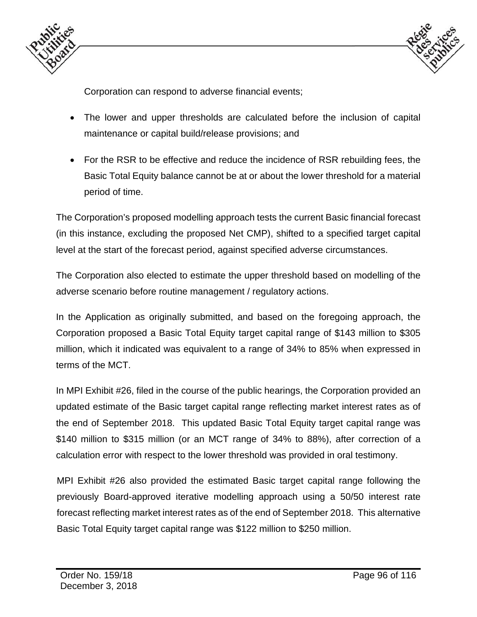



Corporation can respond to adverse financial events;

- The lower and upper thresholds are calculated before the inclusion of capital maintenance or capital build/release provisions; and
- For the RSR to be effective and reduce the incidence of RSR rebuilding fees, the Basic Total Equity balance cannot be at or about the lower threshold for a material period of time.

The Corporation's proposed modelling approach tests the current Basic financial forecast (in this instance, excluding the proposed Net CMP), shifted to a specified target capital level at the start of the forecast period, against specified adverse circumstances.

The Corporation also elected to estimate the upper threshold based on modelling of the adverse scenario before routine management / regulatory actions.

In the Application as originally submitted, and based on the foregoing approach, the Corporation proposed a Basic Total Equity target capital range of \$143 million to \$305 million, which it indicated was equivalent to a range of 34% to 85% when expressed in terms of the MCT.

In MPI Exhibit #26, filed in the course of the public hearings, the Corporation provided an updated estimate of the Basic target capital range reflecting market interest rates as of the end of September 2018. This updated Basic Total Equity target capital range was \$140 million to \$315 million (or an MCT range of 34% to 88%), after correction of a calculation error with respect to the lower threshold was provided in oral testimony.

MPI Exhibit #26 also provided the estimated Basic target capital range following the previously Board-approved iterative modelling approach using a 50/50 interest rate forecast reflecting market interest rates as of the end of September 2018. This alternative Basic Total Equity target capital range was \$122 million to \$250 million.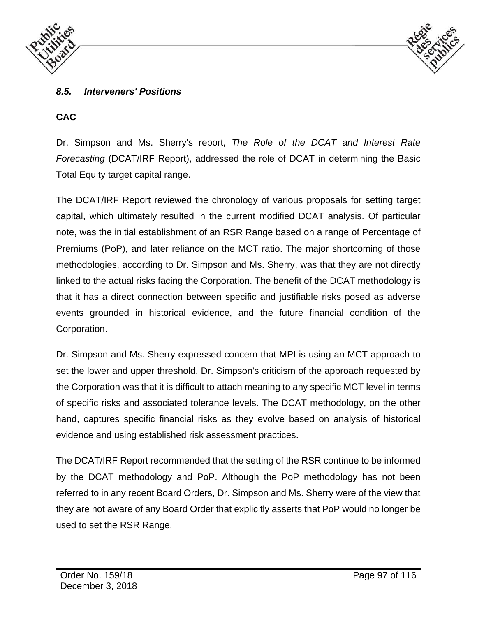



#### *8.5. Interveners' Positions*

#### **CAC**

Dr. Simpson and Ms. Sherry's report, *The Role of the DCAT and Interest Rate Forecasting (DCAT/IRF Report), addressed the role of DCAT in determining the Basic* Total Equity target capital range.

The DCAT/IRF Report reviewed the chronology of various proposals for setting target capital, which ultimately resulted in the current modified DCAT analysis. Of particular note, was the initial establishment of an RSR Range based on a range of Percentage of Premiums (PoP), and later reliance on the MCT ratio. The major shortcoming of those methodologies, according to Dr. Simpson and Ms. Sherry, was that they are not directly linked to the actual risks facing the Corporation. The benefit of the DCAT methodology is that it has a direct connection between specific and justifiable risks posed as adverse events grounded in historical evidence, and the future financial condition of the Corporation.

Dr. Simpson and Ms. Sherry expressed concern that MPI is using an MCT approach to set the lower and upper threshold. Dr. Simpson's criticism of the approach requested by the Corporation was that it is difficult to attach meaning to any specific MCT level in terms of specific risks and associated tolerance levels. The DCAT methodology, on the other hand, captures specific financial risks as they evolve based on analysis of historical evidence and using established risk assessment practices.

The DCAT/IRF Report recommended that the setting of the RSR continue to be informed by the DCAT methodology and PoP. Although the PoP methodology has not been referred to in any recent Board Orders, Dr. Simpson and Ms. Sherry were of the view that they are not aware of any Board Order that explicitly asserts that PoP would no longer be used to set the RSR Range.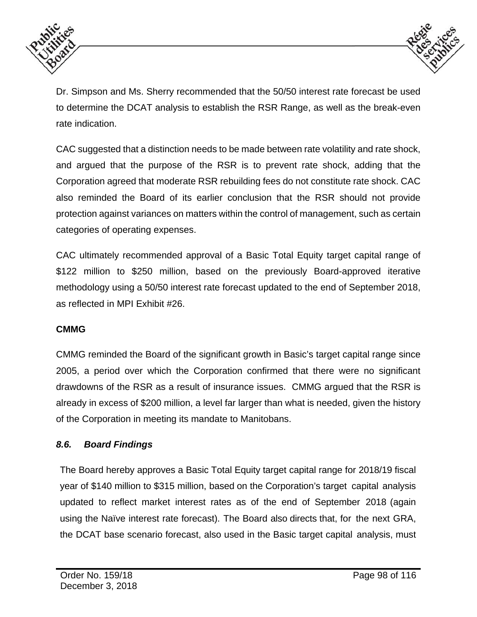



Dr. Simpson and Ms. Sherry recommended that the 50/50 interest rate forecast be used to determine the DCAT analysis to establish the RSR Range, as well as the break-even rate indication.

CAC suggested that a distinction needs to be made between rate volatility and rate shock, and argued that the purpose of the RSR is to prevent rate shock, adding that the Corporation agreed that moderate RSR rebuilding fees do not constitute rate shock. CAC also reminded the Board of its earlier conclusion that the RSR should not provide protection against variances on matters within the control of management, such as certain categories of operating expenses.

CAC ultimately recommended approval of a Basic Total Equity target capital range of \$122 million to \$250 million, based on the previously Board-approved iterative methodology using a 50/50 interest rate forecast updated to the end of September 2018, as reflected in MPI Exhibit #26.

#### **CMMG**

CMMG reminded the Board of the significant growth in Basic's target capital range since 2005, a period over which the Corporation confirmed that there were no significant drawdowns of the RSR as a result of insurance issues. CMMG argued that the RSR is already in excess of \$200 million, a level far larger than what is needed, given the history of the Corporation in meeting its mandate to Manitobans.

### *8.6. Board Findings*

The Board hereby approves a Basic Total Equity target capital range for 2018/19 fiscal year of \$140 million to \$315 million, based on the Corporation's target capital analysis updated to reflect market interest rates as of the end of September 2018 (again using the Naïve interest rate forecast). The Board also directs that, for the next GRA, the DCAT base scenario forecast, also used in the Basic target capital analysis, must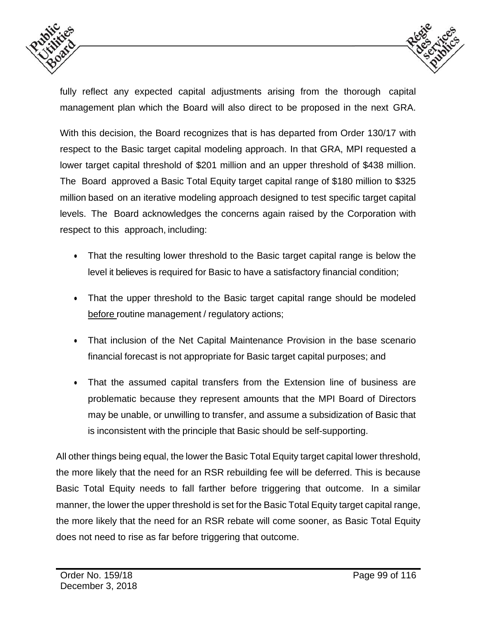



fully reflect any expected capital adjustments arising from the thorough capital management plan which the Board will also direct to be proposed in the next GRA.

With this decision, the Board recognizes that is has departed from Order 130/17 with respect to the Basic target capital modeling approach. In that GRA, MPI requested a lower target capital threshold of \$201 million and an upper threshold of \$438 million. The Board approved a Basic Total Equity target capital range of \$180 million to \$325 million based on an iterative modeling approach designed to test specific target capital levels. The Board acknowledges the concerns again raised by the Corporation with respect to this approach, including:

- That the resulting lower threshold to the Basic target capital range is below the level it believes is required for Basic to have a satisfactory financial condition;
- That the upper threshold to the Basic target capital range should be modeled before routine management / regulatory actions;
- That inclusion of the Net Capital Maintenance Provision in the base scenario financial forecast is not appropriate for Basic target capital purposes; and
- That the assumed capital transfers from the Extension line of business are problematic because they represent amounts that the MPI Board of Directors may be unable, or unwilling to transfer, and assume a subsidization of Basic that is inconsistent with the principle that Basic should be self-supporting.

All other things being equal, the lower the Basic Total Equity target capital lower threshold, the more likely that the need for an RSR rebuilding fee will be deferred. This is because Basic Total Equity needs to fall farther before triggering that outcome. In a similar manner, the lower the upper threshold is set for the Basic Total Equity target capital range, the more likely that the need for an RSR rebate will come sooner, as Basic Total Equity does not need to rise as far before triggering that outcome.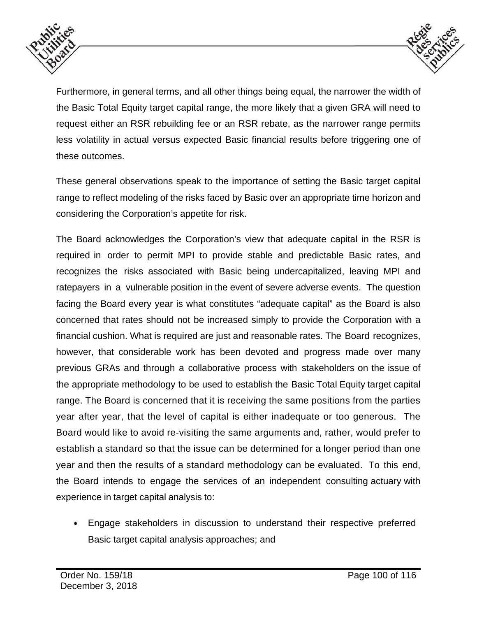



Furthermore, in general terms, and all other things being equal, the narrower the width of the Basic Total Equity target capital range, the more likely that a given GRA will need to request either an RSR rebuilding fee or an RSR rebate, as the narrower range permits less volatility in actual versus expected Basic financial results before triggering one of these outcomes.

These general observations speak to the importance of setting the Basic target capital range to reflect modeling of the risks faced by Basic over an appropriate time horizon and considering the Corporation's appetite for risk.

The Board acknowledges the Corporation's view that adequate capital in the RSR is required in order to permit MPI to provide stable and predictable Basic rates, and recognizes the risks associated with Basic being undercapitalized, leaving MPI and ratepayers in a vulnerable position in the event of severe adverse events. The question facing the Board every year is what constitutes "adequate capital" as the Board is also concerned that rates should not be increased simply to provide the Corporation with a financial cushion. What is required are just and reasonable rates. The Board recognizes, however, that considerable work has been devoted and progress made over many previous GRAs and through a collaborative process with stakeholders on the issue of the appropriate methodology to be used to establish the Basic Total Equity target capital range. The Board is concerned that it is receiving the same positions from the parties year after year, that the level of capital is either inadequate or too generous. The Board would like to avoid re-visiting the same arguments and, rather, would prefer to establish a standard so that the issue can be determined for a longer period than one year and then the results of a standard methodology can be evaluated. To this end, the Board intends to engage the services of an independent consulting actuary with experience in target capital analysis to:

 Engage stakeholders in discussion to understand their respective preferred Basic target capital analysis approaches; and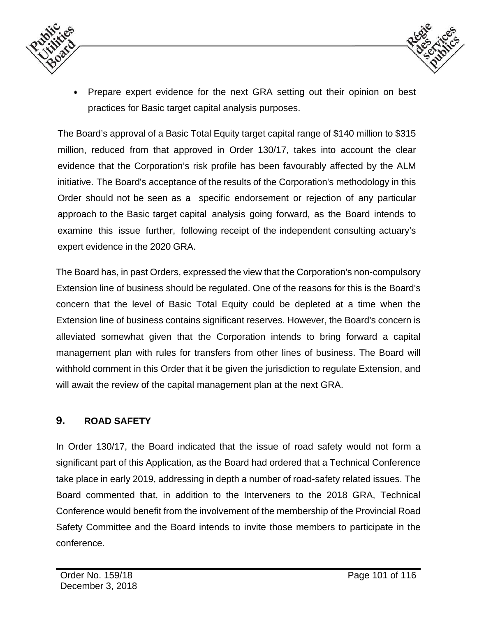



 Prepare expert evidence for the next GRA setting out their opinion on best practices for Basic target capital analysis purposes.

The Board's approval of a Basic Total Equity target capital range of \$140 million to \$315 million, reduced from that approved in Order 130/17, takes into account the clear evidence that the Corporation's risk profile has been favourably affected by the ALM initiative. The Board's acceptance of the results of the Corporation's methodology in this Order should not be seen as a specific endorsement or rejection of any particular approach to the Basic target capital analysis going forward, as the Board intends to examine this issue further, following receipt of the independent consulting actuary's expert evidence in the 2020 GRA.

The Board has, in past Orders, expressed the view that the Corporation's non-compulsory Extension line of business should be regulated. One of the reasons for this is the Board's concern that the level of Basic Total Equity could be depleted at a time when the Extension line of business contains significant reserves. However, the Board's concern is alleviated somewhat given that the Corporation intends to bring forward a capital management plan with rules for transfers from other lines of business. The Board will withhold comment in this Order that it be given the jurisdiction to regulate Extension, and will await the review of the capital management plan at the next GRA.

### **9. ROAD SAFETY**

In Order 130/17, the Board indicated that the issue of road safety would not form a significant part of this Application, as the Board had ordered that a Technical Conference take place in early 2019, addressing in depth a number of road-safety related issues. The Board commented that, in addition to the Interveners to the 2018 GRA, Technical Conference would benefit from the involvement of the membership of the Provincial Road Safety Committee and the Board intends to invite those members to participate in the conference.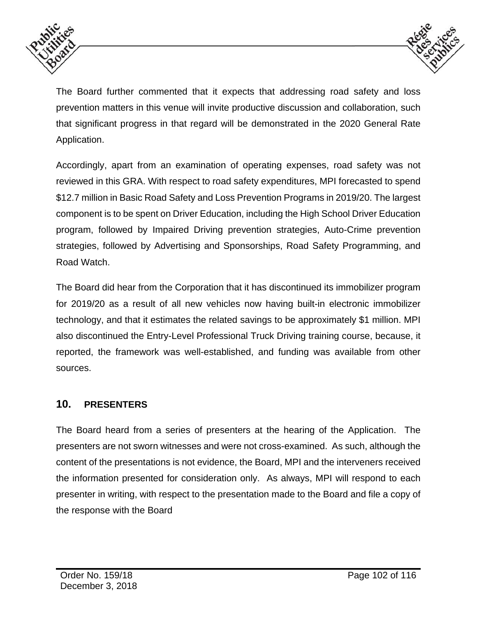



The Board further commented that it expects that addressing road safety and loss prevention matters in this venue will invite productive discussion and collaboration, such that significant progress in that regard will be demonstrated in the 2020 General Rate Application.

Accordingly, apart from an examination of operating expenses, road safety was not reviewed in this GRA. With respect to road safety expenditures, MPI forecasted to spend \$12.7 million in Basic Road Safety and Loss Prevention Programs in 2019/20. The largest component is to be spent on Driver Education, including the High School Driver Education program, followed by Impaired Driving prevention strategies, Auto-Crime prevention strategies, followed by Advertising and Sponsorships, Road Safety Programming, and Road Watch.

The Board did hear from the Corporation that it has discontinued its immobilizer program for 2019/20 as a result of all new vehicles now having built-in electronic immobilizer technology, and that it estimates the related savings to be approximately \$1 million. MPI also discontinued the Entry-Level Professional Truck Driving training course, because, it reported, the framework was well-established, and funding was available from other sources.

### **10. PRESENTERS**

The Board heard from a series of presenters at the hearing of the Application. The presenters are not sworn witnesses and were not cross-examined. As such, although the content of the presentations is not evidence, the Board, MPI and the interveners received the information presented for consideration only. As always, MPI will respond to each presenter in writing, with respect to the presentation made to the Board and file a copy of the response with the Board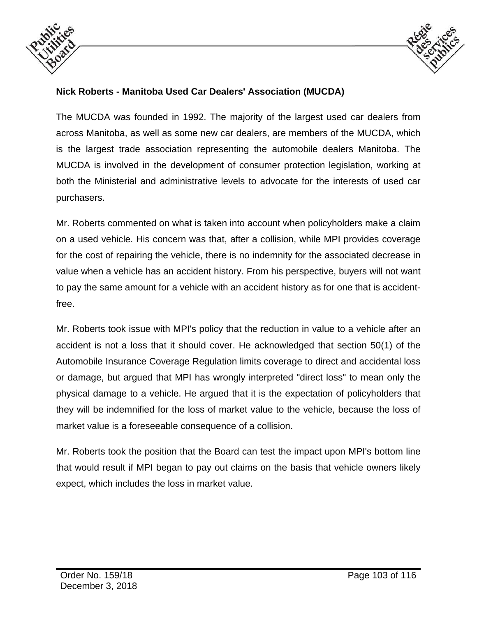



#### **Nick Roberts - Manitoba Used Car Dealers' Association (MUCDA)**

The MUCDA was founded in 1992. The majority of the largest used car dealers from across Manitoba, as well as some new car dealers, are members of the MUCDA, which is the largest trade association representing the automobile dealers Manitoba. The MUCDA is involved in the development of consumer protection legislation, working at both the Ministerial and administrative levels to advocate for the interests of used car purchasers.

Mr. Roberts commented on what is taken into account when policyholders make a claim on a used vehicle. His concern was that, after a collision, while MPI provides coverage for the cost of repairing the vehicle, there is no indemnity for the associated decrease in value when a vehicle has an accident history. From his perspective, buyers will not want to pay the same amount for a vehicle with an accident history as for one that is accidentfree.

Mr. Roberts took issue with MPI's policy that the reduction in value to a vehicle after an accident is not a loss that it should cover. He acknowledged that section 50(1) of the Automobile Insurance Coverage Regulation limits coverage to direct and accidental loss or damage, but argued that MPI has wrongly interpreted "direct loss" to mean only the physical damage to a vehicle. He argued that it is the expectation of policyholders that they will be indemnified for the loss of market value to the vehicle, because the loss of market value is a foreseeable consequence of a collision.

Mr. Roberts took the position that the Board can test the impact upon MPI's bottom line that would result if MPI began to pay out claims on the basis that vehicle owners likely expect, which includes the loss in market value.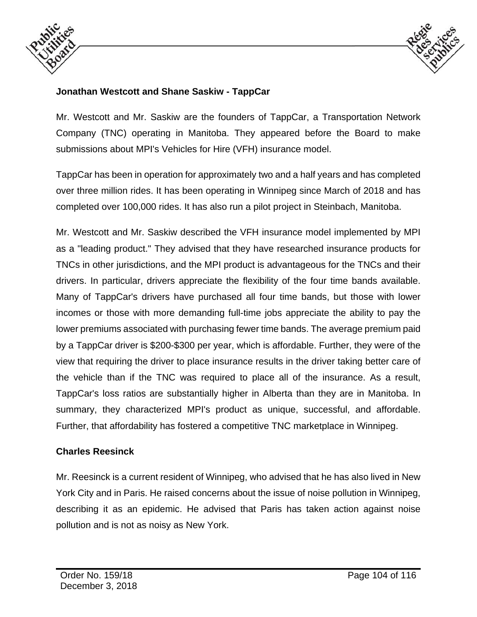



### **Jonathan Westcott and Shane Saskiw - TappCar**

Mr. Westcott and Mr. Saskiw are the founders of TappCar, a Transportation Network Company (TNC) operating in Manitoba. They appeared before the Board to make submissions about MPI's Vehicles for Hire (VFH) insurance model.

TappCar has been in operation for approximately two and a half years and has completed over three million rides. It has been operating in Winnipeg since March of 2018 and has completed over 100,000 rides. It has also run a pilot project in Steinbach, Manitoba.

Mr. Westcott and Mr. Saskiw described the VFH insurance model implemented by MPI as a "leading product." They advised that they have researched insurance products for TNCs in other jurisdictions, and the MPI product is advantageous for the TNCs and their drivers. In particular, drivers appreciate the flexibility of the four time bands available. Many of TappCar's drivers have purchased all four time bands, but those with lower incomes or those with more demanding full-time jobs appreciate the ability to pay the lower premiums associated with purchasing fewer time bands. The average premium paid by a TappCar driver is \$200-\$300 per year, which is affordable. Further, they were of the view that requiring the driver to place insurance results in the driver taking better care of the vehicle than if the TNC was required to place all of the insurance. As a result, TappCar's loss ratios are substantially higher in Alberta than they are in Manitoba. In summary, they characterized MPI's product as unique, successful, and affordable. Further, that affordability has fostered a competitive TNC marketplace in Winnipeg.

#### **Charles Reesinck**

Mr. Reesinck is a current resident of Winnipeg, who advised that he has also lived in New York City and in Paris. He raised concerns about the issue of noise pollution in Winnipeg, describing it as an epidemic. He advised that Paris has taken action against noise pollution and is not as noisy as New York.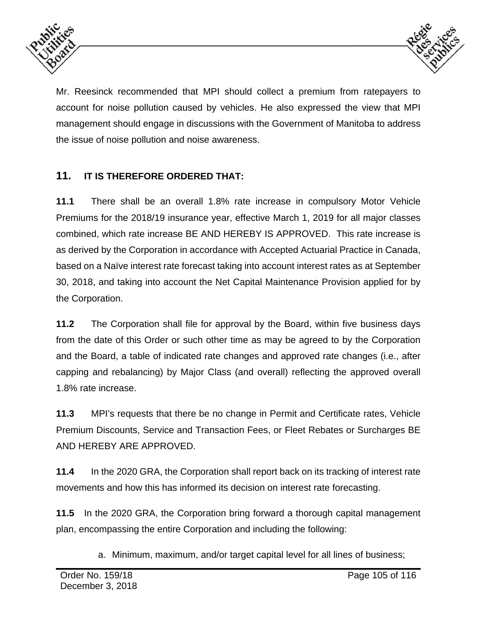



Mr. Reesinck recommended that MPI should collect a premium from ratepayers to account for noise pollution caused by vehicles. He also expressed the view that MPI management should engage in discussions with the Government of Manitoba to address the issue of noise pollution and noise awareness.

# **11. IT IS THEREFORE ORDERED THAT:**

**11.1** There shall be an overall 1.8% rate increase in compulsory Motor Vehicle Premiums for the 2018/19 insurance year, effective March 1, 2019 for all major classes combined, which rate increase BE AND HEREBY IS APPROVED. This rate increase is as derived by the Corporation in accordance with Accepted Actuarial Practice in Canada, based on a Naïve interest rate forecast taking into account interest rates as at September 30, 2018, and taking into account the Net Capital Maintenance Provision applied for by the Corporation.

**11.2** The Corporation shall file for approval by the Board, within five business days from the date of this Order or such other time as may be agreed to by the Corporation and the Board, a table of indicated rate changes and approved rate changes (i.e., after capping and rebalancing) by Major Class (and overall) reflecting the approved overall 1.8% rate increase.

**11.3** MPI's requests that there be no change in Permit and Certificate rates, Vehicle Premium Discounts, Service and Transaction Fees, or Fleet Rebates or Surcharges BE AND HEREBY ARE APPROVED.

**11.4** In the 2020 GRA, the Corporation shall report back on its tracking of interest rate movements and how this has informed its decision on interest rate forecasting.

**11.5** In the 2020 GRA, the Corporation bring forward a thorough capital management plan, encompassing the entire Corporation and including the following:

a. Minimum, maximum, and/or target capital level for all lines of business;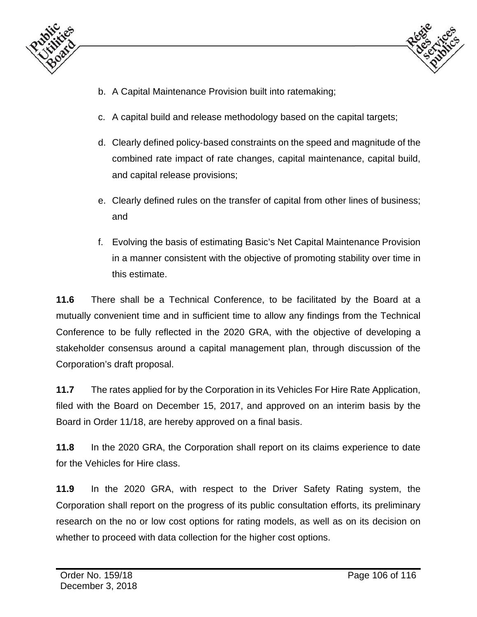



- b. A Capital Maintenance Provision built into ratemaking;
- c. A capital build and release methodology based on the capital targets;
- d. Clearly defined policy‐based constraints on the speed and magnitude of the combined rate impact of rate changes, capital maintenance, capital build, and capital release provisions;
- e. Clearly defined rules on the transfer of capital from other lines of business; and
- f. Evolving the basis of estimating Basic's Net Capital Maintenance Provision in a manner consistent with the objective of promoting stability over time in this estimate.

**11.6** There shall be a Technical Conference, to be facilitated by the Board at a mutually convenient time and in sufficient time to allow any findings from the Technical Conference to be fully reflected in the 2020 GRA, with the objective of developing a stakeholder consensus around a capital management plan, through discussion of the Corporation's draft proposal.

**11.7** The rates applied for by the Corporation in its Vehicles For Hire Rate Application, filed with the Board on December 15, 2017, and approved on an interim basis by the Board in Order 11/18, are hereby approved on a final basis.

**11.8** In the 2020 GRA, the Corporation shall report on its claims experience to date for the Vehicles for Hire class.

**11.9** In the 2020 GRA, with respect to the Driver Safety Rating system, the Corporation shall report on the progress of its public consultation efforts, its preliminary research on the no or low cost options for rating models, as well as on its decision on whether to proceed with data collection for the higher cost options.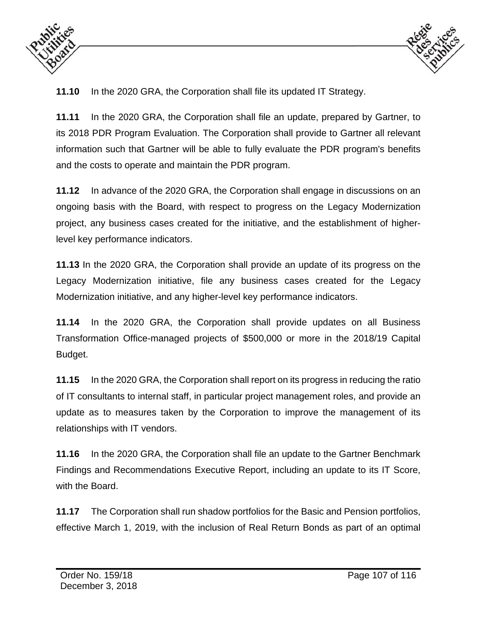



**11.10** In the 2020 GRA, the Corporation shall file its updated IT Strategy.

**11.11** In the 2020 GRA, the Corporation shall file an update, prepared by Gartner, to its 2018 PDR Program Evaluation. The Corporation shall provide to Gartner all relevant information such that Gartner will be able to fully evaluate the PDR program's benefits and the costs to operate and maintain the PDR program.

**11.12** In advance of the 2020 GRA, the Corporation shall engage in discussions on an ongoing basis with the Board, with respect to progress on the Legacy Modernization project, any business cases created for the initiative, and the establishment of higherlevel key performance indicators.

**11.13** In the 2020 GRA, the Corporation shall provide an update of its progress on the Legacy Modernization initiative, file any business cases created for the Legacy Modernization initiative, and any higher-level key performance indicators.

**11.14** In the 2020 GRA, the Corporation shall provide updates on all Business Transformation Office-managed projects of \$500,000 or more in the 2018/19 Capital Budget.

**11.15** In the 2020 GRA, the Corporation shall report on its progress in reducing the ratio of IT consultants to internal staff, in particular project management roles, and provide an update as to measures taken by the Corporation to improve the management of its relationships with IT vendors.

**11.16** In the 2020 GRA, the Corporation shall file an update to the Gartner Benchmark Findings and Recommendations Executive Report, including an update to its IT Score, with the Board.

**11.17** The Corporation shall run shadow portfolios for the Basic and Pension portfolios, effective March 1, 2019, with the inclusion of Real Return Bonds as part of an optimal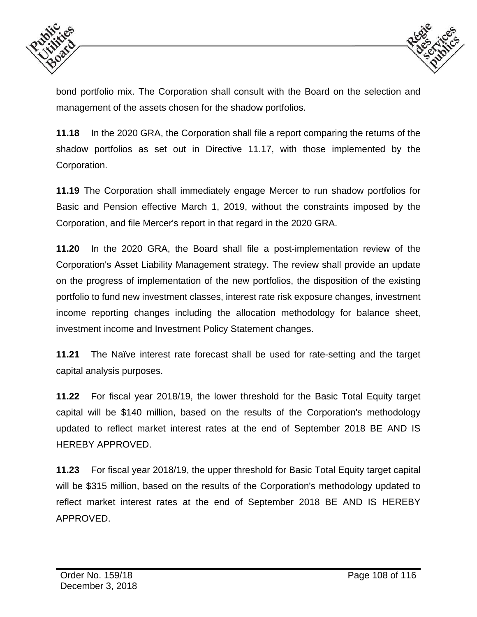



bond portfolio mix. The Corporation shall consult with the Board on the selection and management of the assets chosen for the shadow portfolios.

**11.18** In the 2020 GRA, the Corporation shall file a report comparing the returns of the shadow portfolios as set out in Directive 11.17, with those implemented by the Corporation.

**11.19** The Corporation shall immediately engage Mercer to run shadow portfolios for Basic and Pension effective March 1, 2019, without the constraints imposed by the Corporation, and file Mercer's report in that regard in the 2020 GRA.

**11.20** In the 2020 GRA, the Board shall file a post-implementation review of the Corporation's Asset Liability Management strategy. The review shall provide an update on the progress of implementation of the new portfolios, the disposition of the existing portfolio to fund new investment classes, interest rate risk exposure changes, investment income reporting changes including the allocation methodology for balance sheet, investment income and Investment Policy Statement changes.

**11.21** The Naïve interest rate forecast shall be used for rate-setting and the target capital analysis purposes.

**11.22** For fiscal year 2018/19, the lower threshold for the Basic Total Equity target capital will be \$140 million, based on the results of the Corporation's methodology updated to reflect market interest rates at the end of September 2018 BE AND IS HEREBY APPROVED.

**11.23** For fiscal year 2018/19, the upper threshold for Basic Total Equity target capital will be \$315 million, based on the results of the Corporation's methodology updated to reflect market interest rates at the end of September 2018 BE AND IS HEREBY APPROVED.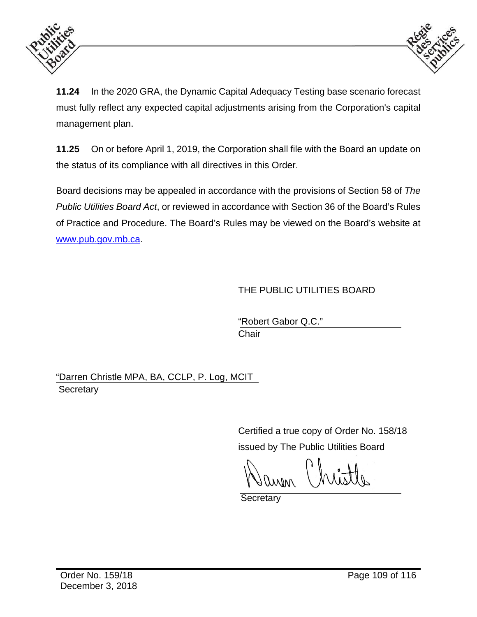



**11.24** In the 2020 GRA, the Dynamic Capital Adequacy Testing base scenario forecast must fully reflect any expected capital adjustments arising from the Corporation's capital management plan.

**11.25** On or before April 1, 2019, the Corporation shall file with the Board an update on the status of its compliance with all directives in this Order.

Board decisions may be appealed in accordance with the provisions of Section 58 of *The Public Utilities Board Act*, or reviewed in accordance with Section 36 of the Board's Rules of Practice and Procedure. The Board's Rules may be viewed on the Board's website at www.pub.gov.mb.ca.

#### THE PUBLIC UTILITIES BOARD

 "Robert Gabor Q.C." **Chair** (1999) **Chair** (1999) **Chair** 

"Darren Christle MPA, BA, CCLP, P. Log, MCIT **Secretary** 

> Certified a true copy of Order No. 158/18 issued by The Public Utilities Board

**Secretary**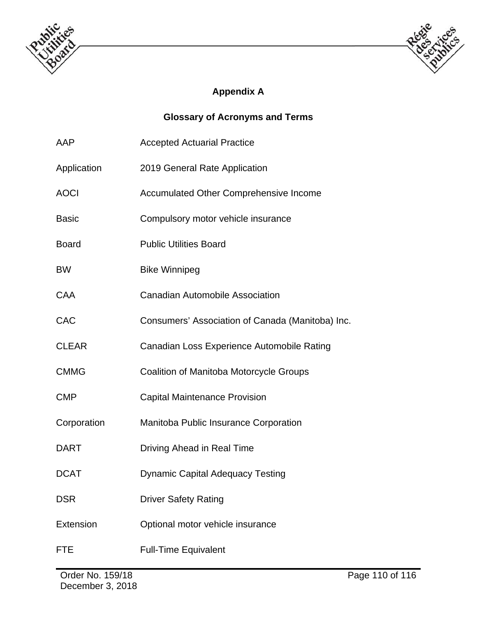



## **Appendix A**

### **Glossary of Acronyms and Terms**

| AAP          | <b>Accepted Actuarial Practice</b>               |  |
|--------------|--------------------------------------------------|--|
| Application  | 2019 General Rate Application                    |  |
| <b>AOCI</b>  | <b>Accumulated Other Comprehensive Income</b>    |  |
| <b>Basic</b> | Compulsory motor vehicle insurance               |  |
| <b>Board</b> | <b>Public Utilities Board</b>                    |  |
| <b>BW</b>    | <b>Bike Winnipeg</b>                             |  |
| <b>CAA</b>   | <b>Canadian Automobile Association</b>           |  |
| <b>CAC</b>   | Consumers' Association of Canada (Manitoba) Inc. |  |
| <b>CLEAR</b> | Canadian Loss Experience Automobile Rating       |  |
| <b>CMMG</b>  | Coalition of Manitoba Motorcycle Groups          |  |
| <b>CMP</b>   | <b>Capital Maintenance Provision</b>             |  |
| Corporation  | Manitoba Public Insurance Corporation            |  |
| <b>DART</b>  | Driving Ahead in Real Time                       |  |
| <b>DCAT</b>  | <b>Dynamic Capital Adequacy Testing</b>          |  |
| <b>DSR</b>   | <b>Driver Safety Rating</b>                      |  |
| Extension    | Optional motor vehicle insurance                 |  |
| <b>FTE</b>   | <b>Full-Time Equivalent</b>                      |  |
|              |                                                  |  |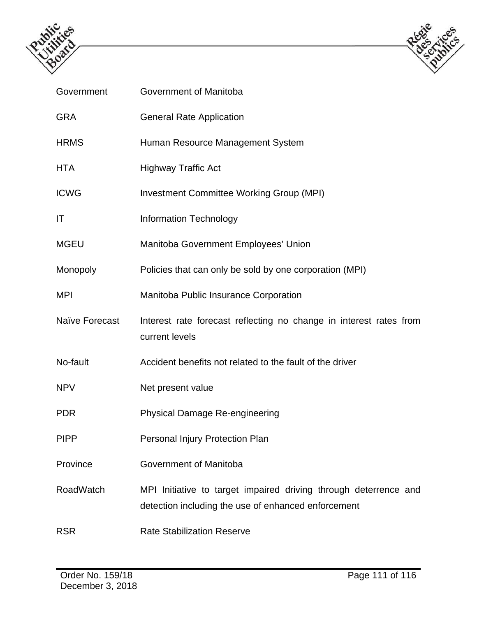



| Government       | Government of Manitoba                                                                                                  |
|------------------|-------------------------------------------------------------------------------------------------------------------------|
| <b>GRA</b>       | <b>General Rate Application</b>                                                                                         |
| <b>HRMS</b>      | Human Resource Management System                                                                                        |
| <b>HTA</b>       | <b>Highway Traffic Act</b>                                                                                              |
| <b>ICWG</b>      | <b>Investment Committee Working Group (MPI)</b>                                                                         |
| IT               | <b>Information Technology</b>                                                                                           |
| <b>MGEU</b>      | Manitoba Government Employees' Union                                                                                    |
| Monopoly         | Policies that can only be sold by one corporation (MPI)                                                                 |
| <b>MPI</b>       | Manitoba Public Insurance Corporation                                                                                   |
| Naïve Forecast   | Interest rate forecast reflecting no change in interest rates from<br>current levels                                    |
| No-fault         | Accident benefits not related to the fault of the driver                                                                |
| <b>NPV</b>       | Net present value                                                                                                       |
| <b>PDR</b>       | <b>Physical Damage Re-engineering</b>                                                                                   |
| <b>PIPP</b>      | Personal Injury Protection Plan                                                                                         |
| Province         | Government of Manitoba                                                                                                  |
| <b>RoadWatch</b> | MPI Initiative to target impaired driving through deterrence and<br>detection including the use of enhanced enforcement |
| <b>RSR</b>       | <b>Rate Stabilization Reserve</b>                                                                                       |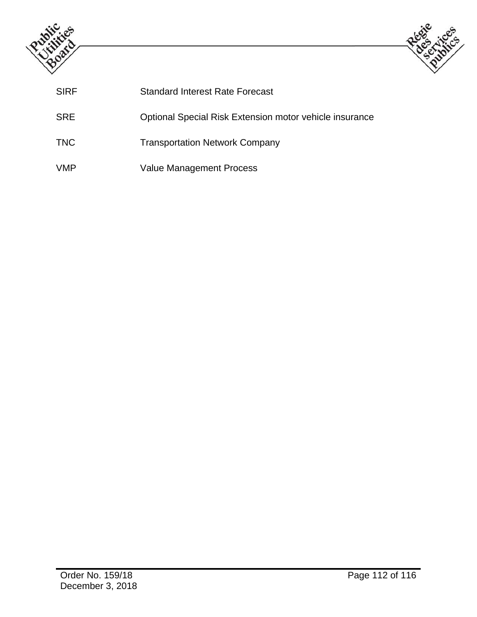



| <b>SIRF</b> | <b>Standard Interest Rate Forecast</b>                  |
|-------------|---------------------------------------------------------|
| <b>SRE</b>  | Optional Special Risk Extension motor vehicle insurance |
| <b>TNC</b>  | <b>Transportation Network Company</b>                   |
| <b>VMP</b>  | <b>Value Management Process</b>                         |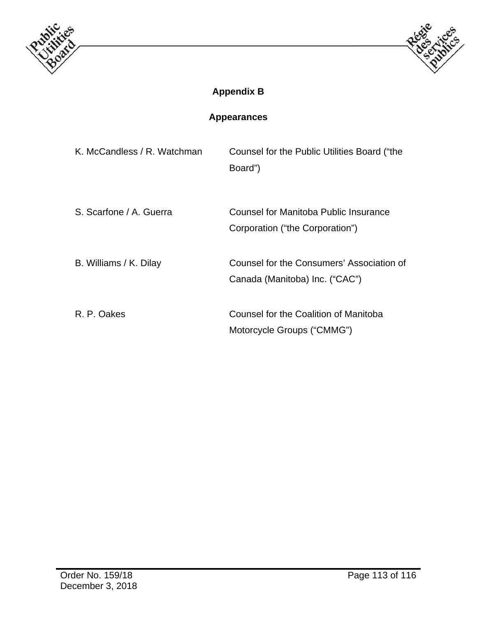



# **Appendix B**

## **Appearances**

| K. McCandless / R. Watchman | Counsel for the Public Utilities Board ("the<br>Board")                     |
|-----------------------------|-----------------------------------------------------------------------------|
| S. Scarfone / A. Guerra     | Counsel for Manitoba Public Insurance<br>Corporation ("the Corporation")    |
| B. Williams / K. Dilay      | Counsel for the Consumers' Association of<br>Canada (Manitoba) Inc. ("CAC") |
| R. P. Oakes                 | Counsel for the Coalition of Manitoba<br>Motorcycle Groups ("CMMG")         |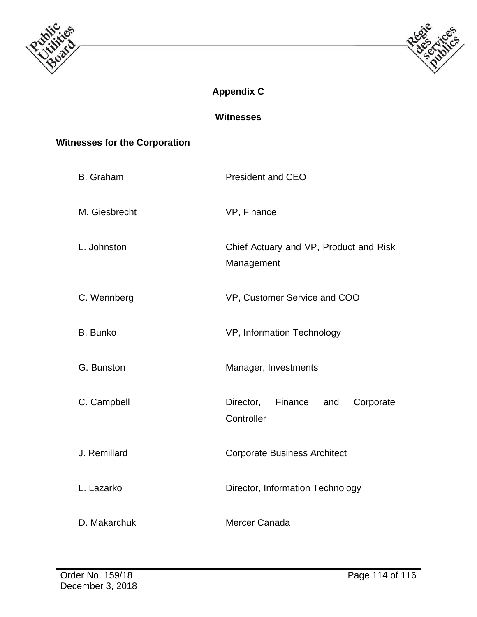



## **Appendix C**

**Witnesses** 

### **Witnesses for the Corporation**

| <b>B.</b> Graham | <b>President and CEO</b>                               |
|------------------|--------------------------------------------------------|
| M. Giesbrecht    | VP, Finance                                            |
| L. Johnston      | Chief Actuary and VP, Product and Risk<br>Management   |
| C. Wennberg      | VP, Customer Service and COO                           |
| <b>B.</b> Bunko  | VP, Information Technology                             |
| G. Bunston       | Manager, Investments                                   |
| C. Campbell      | Director,<br>Finance<br>and<br>Corporate<br>Controller |
| J. Remillard     | <b>Corporate Business Architect</b>                    |
| L. Lazarko       | Director, Information Technology                       |
| D. Makarchuk     | Mercer Canada                                          |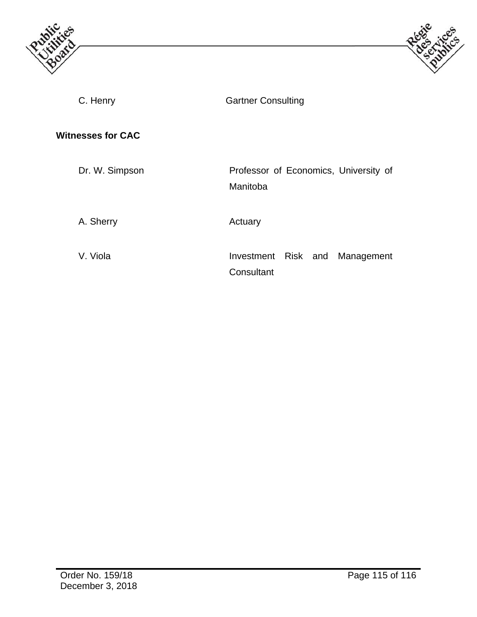



C. Henry Gartner Consulting **Witnesses for CAC**  Dr. W. Simpson Professor of Economics, University of Manitoba A. Sherry **Actuary** Actuary V. Viola **Investment Risk and Management Consultant**